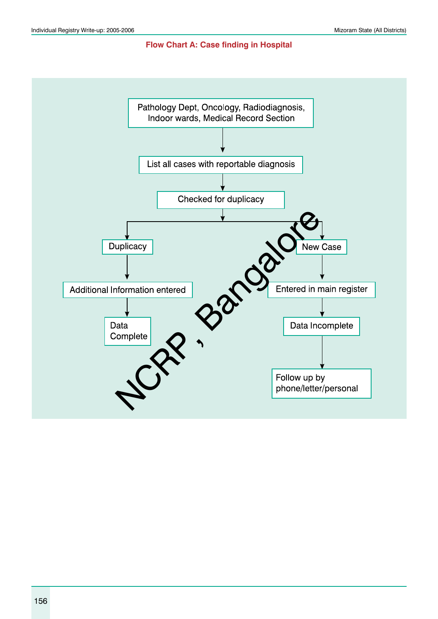#### **Flow Chart A: Case finding in Hospital**

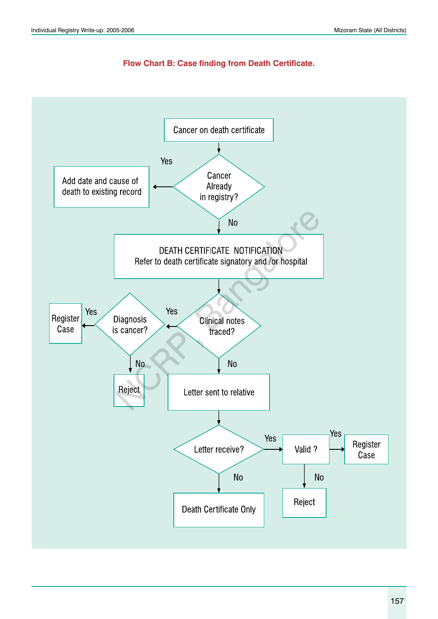

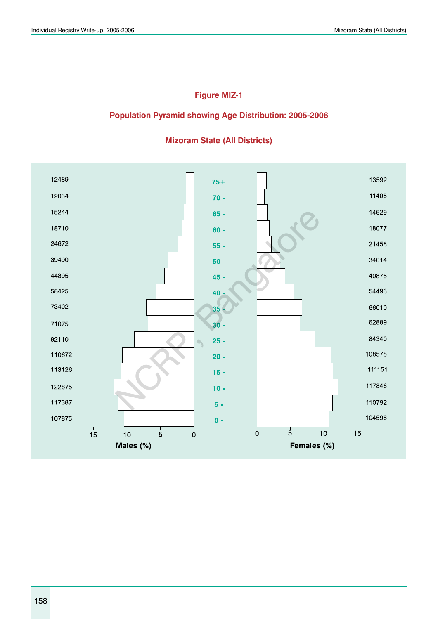### **Figure MIZ-1**

#### **Population Pyramid showing Age Distribution: 2005-2006**



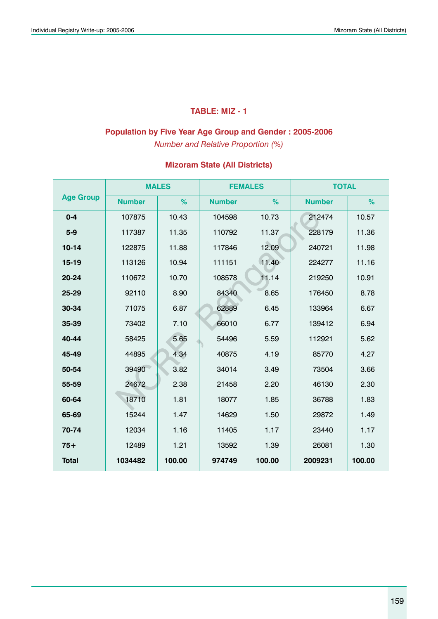### **TABLE: MIZ - 1**

### **Population by Five Year Age Group and Gender : 2005-2006**

*Number and Relative Proportion (%)*

|                  |               | <b>MALES</b> | <b>FEMALES</b> |        | <b>TOTAL</b>  |        |
|------------------|---------------|--------------|----------------|--------|---------------|--------|
| <b>Age Group</b> | <b>Number</b> | $\%$         | <b>Number</b>  | %      | <b>Number</b> | %      |
| $0 - 4$          | 107875        | 10.43        | 104598         | 10.73  | 212474        | 10.57  |
| $5-9$            | 117387        | 11.35        | 110792         | 11.37  | 228179        | 11.36  |
| $10 - 14$        | 122875        | 11.88        | 117846         | 12.09  | 240721        | 11.98  |
| $15 - 19$        | 113126        | 10.94        | 111151         | 11.40  | 224277        | 11.16  |
| 20-24            | 110672        | 10.70        | 108578         | 11.14  | 219250        | 10.91  |
| 25-29            | 92110         | 8.90         | 84340          | 8.65   | 176450        | 8.78   |
| 30-34            | 71075         | 6.87         | 62889          | 6.45   | 133964        | 6.67   |
| 35-39            | 73402         | 7.10         | 66010          | 6.77   | 139412        | 6.94   |
| 40-44            | 58425         | 5.65         | 54496          | 5.59   | 112921        | 5.62   |
| 45-49            | 44895         | 4.34         | 40875          | 4.19   | 85770         | 4.27   |
| 50-54            | 39490         | 3.82         | 34014          | 3.49   | 73504         | 3.66   |
| 55-59            | 24672         | 2.38         | 21458          | 2.20   | 46130         | 2.30   |
| 60-64            | 18710         | 1.81         | 18077          | 1.85   | 36788         | 1.83   |
| 65-69            | 15244         | 1.47         | 14629          | 1.50   | 29872         | 1.49   |
| 70-74            | 12034         | 1.16         | 11405          | 1.17   | 23440         | 1.17   |
| $75+$            | 12489         | 1.21         | 13592          | 1.39   | 26081         | 1.30   |
| <b>Total</b>     | 1034482       | 100.00       | 974749         | 100.00 | 2009231       | 100.00 |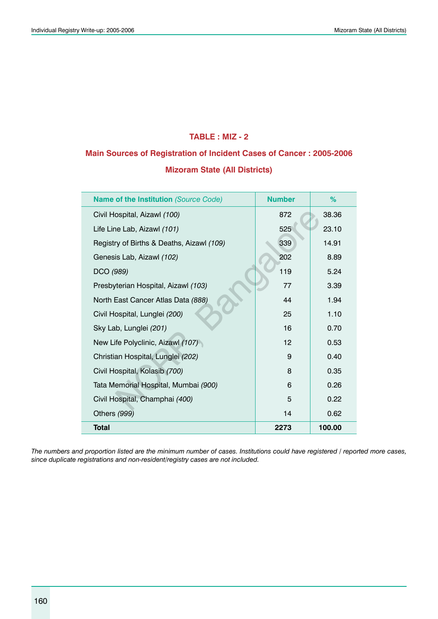#### **TABLE : MIZ - 2**

# **Main Sources of Registration of Incident Cases of Cancer : 2005-2006 Mizoram State (All Districts)**

| <b>Name of the Institution (Source Code)</b> | <b>Number</b> | %      |
|----------------------------------------------|---------------|--------|
| Civil Hospital, Aizawl (100)                 | 872           | 38.36  |
| Life Line Lab, Aizawl (101)                  | 525           | 23.10  |
| Registry of Births & Deaths, Aizawl (109)    | 339           | 14.91  |
| Genesis Lab, Aizawl (102)                    | 202           | 8.89   |
| DCO (989)                                    | 119           | 5.24   |
| Presbyterian Hospital, Aizawl (103)          | 77            | 3.39   |
| North East Cancer Atlas Data (888)           | 44            | 1.94   |
| Civil Hospital, Lunglei (200)                | 25            | 1.10   |
| Sky Lab, Lunglei (201)                       | 16            | 0.70   |
| New Life Polyclinic, Aizawl (107)            | 12            | 0.53   |
| Christian Hospital, Lunglei (202)            | 9             | 0.40   |
| Civil Hospital, Kolasib (700)                | 8             | 0.35   |
| Tata Memorial Hospital, Mumbai (900)         | 6             | 0.26   |
| Civil Hospital, Champhai (400)               | 5             | 0.22   |
| Others (999)                                 | 14            | 0.62   |
| <b>Total</b>                                 | 2273          | 100.00 |

*The numbers and proportion listed are the minimum number of cases. Institutions could have registered / reported more cases, since duplicate registrations and non-resident/registry cases are not included.*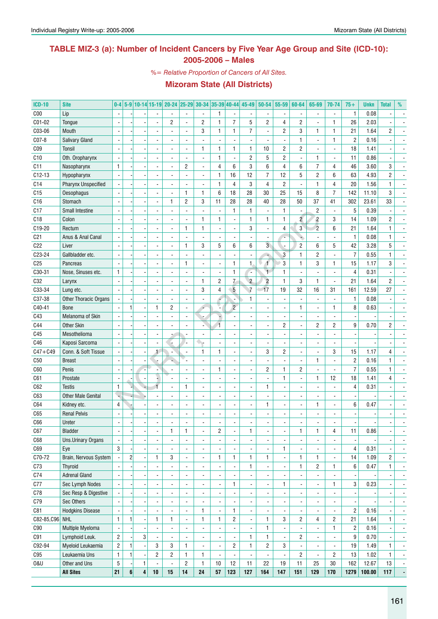### **TABLE MIZ-3 (a): Number of Incident Cancers by Five Year Age Group and Site (ICD-10): 2005-2006 – Males**

*%= Relative Proportion of Cancers of All Sites.*

| <b>ICD-10</b>   | <b>Site</b>               | $0-4$                    |                |              |                | 5-9 10-14 15-19 20-24 25-29 30-34 35-39 40-44 |                          |                          |                |                          | 45-49                    | $50 - 54$               | 55-59                    | 60-64                    | 65-69                    | 70-74                    | $75+$                    | <b>Unkn</b> | <b>Total</b>             | %                        |
|-----------------|---------------------------|--------------------------|----------------|--------------|----------------|-----------------------------------------------|--------------------------|--------------------------|----------------|--------------------------|--------------------------|-------------------------|--------------------------|--------------------------|--------------------------|--------------------------|--------------------------|-------------|--------------------------|--------------------------|
| C <sub>00</sub> | Lip                       |                          |                |              |                |                                               |                          | $\overline{\phantom{a}}$ | $\mathbf{1}$   | $\blacksquare$           |                          |                         | $\blacksquare$           |                          | $\blacksquare$           | $\frac{1}{2}$            | $\mathbf{1}$             | 0.08        |                          |                          |
| C01-02          | Tongue                    |                          |                |              |                | 2                                             | $\blacksquare$           | $\overline{c}$           | $\mathbf{1}$   | $\overline{7}$           | 5                        | $\overline{c}$          | $\overline{4}$           | $\overline{c}$           | $\overline{a}$           | $\mathbf{1}$             | 26                       | 2.03        |                          |                          |
| C03-06          | Mouth                     |                          |                |              |                |                                               | $\blacksquare$           | 3                        | $\mathbf{1}$   | $\mathbf{1}$             | $\overline{7}$           | $\blacksquare$          | $\overline{c}$           | 3                        | 1                        | $\mathbf{1}$             | 21                       | 1.64        | $\overline{c}$           |                          |
| C07-8           | <b>Salivary Gland</b>     |                          |                |              |                |                                               |                          |                          |                | $\blacksquare$           |                          |                         | ÷,                       | $\mathbf{1}$             | $\overline{a}$           | 1                        | $\overline{c}$           | 0.16        |                          |                          |
| CO <sub>9</sub> | Tonsil                    |                          |                |              |                | $\overline{a}$                                | $\blacksquare$           | 1                        | $\mathbf{1}$   | $\mathbf{1}$             | $\mathbf{1}$             | 10                      | $\overline{2}$           | $\overline{c}$           |                          | $\overline{a}$           | 18                       | 1.41        |                          |                          |
| C10             | Oth. Oropharynx           |                          |                |              |                | ÷.                                            |                          | ÷.                       | $\mathbf{1}$   | $\blacksquare$           | $\overline{c}$           | 5                       | $\overline{c}$           | $\overline{a}$           | 1                        | $\overline{a}$           | 11                       | 0.86        |                          |                          |
| C <sub>11</sub> | Nasopharynx               | $\mathbf{1}$             |                |              |                | $\overline{a}$                                | $\overline{c}$           | $\overline{a}$           | 4              | 6                        | 3                        | 6                       | $\overline{4}$           | 6                        | $\overline{7}$           | $\overline{4}$           | 46                       | 3.60        | 3                        |                          |
| $C12-13$        | Hypopharynx               | $\blacksquare$           |                |              |                | $\overline{a}$                                |                          | $\overline{a}$           | 1              | 16                       | 12                       | $\overline{7}$          | 12                       | 5                        | $\overline{c}$           | 6                        | 63                       | 4.93        | 2                        |                          |
| C <sub>14</sub> | Pharynx Unspecified       |                          |                |              |                | $\overline{a}$                                |                          | $\overline{a}$           | 1              | $\overline{4}$           | 3                        | $\overline{4}$          | $\overline{c}$           | $\overline{\phantom{a}}$ | 1                        | $\overline{4}$           | 20                       | 1.56        | 1                        |                          |
| C15             | Oesophagus                |                          |                |              |                | $\overline{\phantom{a}}$                      | $\mathbf{1}$             | 1                        | 6              | 18                       | 28                       | 30                      | 25                       | 15                       | 8                        | $\overline{7}$           | 142                      | 11.10       | 3                        |                          |
| C16             | Stomach                   |                          |                |              |                | 1                                             | $\overline{2}$           | 3                        | 11             | 28                       | 28                       | 40                      | 28                       | 50                       | 37                       | 41                       | 302                      | 23.61       | 33                       |                          |
| C17             | Small Intestine           |                          |                |              |                |                                               |                          |                          | ä,             | $\mathbf{1}$             | $\mathbf{1}$             | $\overline{a}$          | $\mathbf{1}$             |                          | $\overline{2}$           | ÷,                       | $\mathbf 5$              | 0.39        |                          |                          |
| C <sub>18</sub> | Colon                     |                          |                |              |                |                                               |                          | 1                        | $\mathbf{1}$   | $\overline{\phantom{a}}$ | $\mathbf{1}$             | $\mathbf{1}$            | $\mathbf{1}$             | $\overline{2}$           | $\overline{2}$           | 3                        | 14                       | 1.09        | $\overline{c}$           |                          |
| C19-20          | Rectum                    |                          |                |              |                | $\blacksquare$                                | $\mathbf{1}$             | 1                        | $\overline{a}$ | $\overline{\phantom{a}}$ | 3                        | ÷,                      | 4                        | $\overline{3}$           | $\overline{c}$           | 6                        | 21                       | 1.64        | $\mathbf{1}$             |                          |
|                 |                           |                          |                |              |                | $\blacksquare$                                |                          |                          |                | $\blacksquare$           |                          |                         | t.                       |                          |                          | ÷,                       | $\mathbf{1}$             | 0.08        | 1                        |                          |
| C <sub>21</sub> | Anus & Anal Canal         |                          |                |              |                |                                               |                          |                          |                |                          | 6                        | $\overline{3}$          | ÷.                       |                          |                          |                          |                          |             |                          |                          |
| C22             | Liver                     |                          |                |              |                | $\overline{a}$                                | $\mathbf{1}$             | 3                        | 5              | 6                        |                          |                         |                          | $\overline{2}$           | 6                        | 5                        | 42                       | 3.28        | 5                        |                          |
| C23-24          | Gallbladder etc.          |                          |                |              |                | $\overline{a}$                                |                          | $\overline{a}$           | ÷,             | $\overline{\phantom{a}}$ |                          |                         | $\overline{3}$           | 1                        | $\overline{c}$           | $\overline{a}$           | $\overline{7}$           | 0.55        | 1                        |                          |
| C <sub>25</sub> | Pancreas                  |                          |                |              |                | $\overline{a}$                                | $\mathbf{1}$             | $\overline{a}$           | L,             | $\mathbf{1}$             | $\mathbf{1}$             | $\mathbf{f}$            | 3                        | $\mathbf{1}$             | 3                        | 1                        | 15                       | 1.17        | 3                        |                          |
| C30-31          | Nose, Sinuses etc.        | $\mathbf{1}$             |                |              |                | $\overline{a}$                                |                          | $\overline{a}$           | L,             | $\mathbf{1}$             | ٠.                       | $\overline{1}$          | $\mathbf{1}$             |                          |                          | $\overline{a}$           | $\overline{4}$           | 0.31        |                          |                          |
| C32             | Larynx                    |                          |                |              |                | $\overline{a}$                                |                          | 1                        | $\overline{c}$ | $\mathcal{L}$            | $\overline{2}$           | $\overline{c}$          | $\mathbf{1}$             | 3                        | 1                        | $\overline{a}$           | 21                       | 1.64        | $\overline{c}$           |                          |
| C33-34          | Lung etc.                 | $\overline{a}$           |                |              |                | $\overline{a}$                                |                          | 3                        | $\overline{4}$ | $\overline{5}$           | $\overline{t}$           | 17                      | 19                       | 32                       | 16                       | 31                       | 161                      | 12.59       | 27                       |                          |
| C37-38          | Other Thoracic Organs     |                          |                |              |                | L.                                            |                          | $\overline{a}$           |                | Ξ                        | 1                        |                         | $\blacksquare$           |                          | $\overline{a}$           | ÷.                       | $\mathbf{1}$             | 0.08        |                          |                          |
| C40-41          | <b>Bone</b>               |                          | 1              |              | $\mathbf{1}$   | $\overline{c}$                                |                          | ٠                        |                | $\overline{c}$           |                          |                         | $\blacksquare$           | $\mathbf{1}$             | ÷,                       | 1                        | 8                        | 0.63        |                          |                          |
| C43             | Melanoma of Skin          | $\blacksquare$           |                |              |                |                                               |                          |                          |                | $\overline{\phantom{a}}$ |                          |                         | $\blacksquare$           |                          |                          | ÷.                       |                          |             |                          |                          |
| C44             | <b>Other Skin</b>         |                          |                |              |                |                                               |                          | $\overline{\phantom{a}}$ | 1              | $\overline{\phantom{a}}$ |                          |                         | $\overline{c}$           |                          | $\overline{c}$           | $\overline{c}$           | 9                        | 0.70        | 2                        |                          |
| C45             | Mesothelioma              |                          |                |              |                |                                               |                          | $\overline{a}$           |                | $\blacksquare$           |                          |                         | $\blacksquare$           |                          |                          | $\overline{\phantom{a}}$ |                          |             |                          |                          |
| C46             | Kaposi Sarcoma            |                          |                |              |                |                                               |                          | ٠.                       |                | $\blacksquare$           |                          |                         | $\overline{\phantom{a}}$ |                          |                          | $\overline{\phantom{a}}$ |                          |             |                          |                          |
| $C47 + C49$     | Conn. & Soft Tissue       |                          |                |              | $\mathbf{1}$   |                                               |                          | 1                        | $\mathbf{1}$   | $\overline{\phantom{a}}$ |                          | 3                       | $\overline{c}$           |                          | ÷.                       | 3                        | 15                       | 1.17        | 4                        |                          |
| C50             | <b>Breast</b>             |                          |                |              |                |                                               |                          | $\overline{a}$           |                | $\overline{\phantom{a}}$ |                          |                         | ÷,                       |                          | 1                        | $\overline{a}$           | $\overline{c}$           | 0.16        | 1                        |                          |
| C60             | Penis                     | $\blacksquare$           |                |              |                |                                               |                          | $\overline{a}$           | $\mathbf{1}$   | $\blacksquare$           | $\blacksquare$           | $\overline{c}$          | $\mathbf{1}$             | $\overline{c}$           | $\overline{a}$           | ÷,                       | $\overline{7}$           | 0.55        | 1                        |                          |
| C61             | Prostate                  | $\blacksquare$           |                |              |                |                                               |                          | $\overline{a}$           | $\overline{a}$ | $\overline{\phantom{a}}$ |                          |                         | $\mathbf{1}$             | $\overline{a}$           | 1                        | 12                       | 18                       | 1.41        | 4                        |                          |
| C62             | <b>Testis</b>             | $\mathbf{1}$             |                |              |                | $\overline{a}$                                | $\mathbf{1}$             | ÷.                       | ÷,             | $\overline{\phantom{a}}$ |                          | 1                       | $\blacksquare$           |                          |                          | ÷.                       | 4                        | 0.31        |                          |                          |
| C63             | <b>Other Male Genital</b> |                          |                |              |                | ÷.                                            |                          | $\overline{a}$           | ÷,             | $\blacksquare$           |                          |                         | $\blacksquare$           |                          |                          | $\overline{\phantom{a}}$ | ä,                       |             |                          |                          |
| C64             | Kidney etc.               | $\overline{4}$           |                |              |                | $\blacksquare$                                |                          | $\overline{a}$           | ÷,             | $\blacksquare$           |                          | 1                       | $\blacksquare$           |                          | 1                        | ÷.                       | 6                        | 0.47        |                          |                          |
| C65             | <b>Renal Pelvis</b>       |                          |                |              |                | ÷                                             |                          | $\overline{\phantom{a}}$ | ÷,             | ÷,                       |                          |                         | $\blacksquare$           |                          |                          |                          |                          |             |                          |                          |
| C66             | Ureter                    |                          |                |              |                |                                               |                          |                          | $\overline{a}$ | ÷,                       |                          |                         | $\overline{a}$           |                          |                          |                          |                          |             |                          |                          |
| C67             | <b>Bladder</b>            | $\overline{\phantom{a}}$ |                |              | ٠              | 1                                             | L                        | $\overline{\phantom{a}}$ | 2              | $\overline{\phantom{a}}$ | 1                        | -                       | ٠                        | 1                        | 1                        | 4                        | 11                       | 0.86        |                          |                          |
| C68             | Uns.Urinary Organs        |                          |                |              |                | $\overline{\phantom{a}}$                      | $\overline{\phantom{a}}$ | $\blacksquare$           | ÷,             | $\blacksquare$           | $\blacksquare$           | $\overline{a}$          | $\blacksquare$           |                          | ä,                       | $\overline{a}$           |                          |             |                          |                          |
| C69             | Eye                       | 3                        |                |              |                |                                               | $\overline{\phantom{a}}$ | $\blacksquare$           | $\frac{1}{2}$  | $\blacksquare$           |                          |                         | $\mathbf{1}$             |                          | ä,                       | $\overline{a}$           | $\overline{4}$           | 0.31        |                          | $\overline{\phantom{a}}$ |
| C70-72          | Brain, Nervous System     |                          | $\overline{2}$ |              | $\mathbf{1}$   | 3                                             | $\overline{\phantom{a}}$ | $\blacksquare$           | 1              | $\mathbf{1}$             | $\mathbf{1}$             | $\mathbf{1}$            | $\Box$                   | $\mathbf{1}$             | 1                        | $\overline{a}$           | 14                       | 1.09        | $\overline{c}$           | $\overline{\phantom{a}}$ |
| C73             | <b>Thyroid</b>            |                          |                |              |                | $\overline{\phantom{a}}$                      | $\overline{\phantom{a}}$ | $\overline{a}$           | $\frac{1}{2}$  | $\overline{\phantom{a}}$ | $\mathbf{1}$             | $\frac{1}{2}$           | $\Box$                   | $\mathbf{1}$             | $\overline{c}$           | 1                        | 6                        | 0.47        | $\mathbf{1}$             | $\overline{\phantom{a}}$ |
| C74             | <b>Adrenal Gland</b>      | $\overline{a}$           |                |              |                | $\overline{\phantom{a}}$                      | $\overline{\phantom{a}}$ | $\blacksquare$           | $\frac{1}{2}$  | $\blacksquare$           | $\blacksquare$           | $\frac{1}{2}$           | $\overline{\phantom{a}}$ |                          | ÷,                       | ÷,                       |                          |             | $\overline{\phantom{a}}$ | $\overline{\phantom{a}}$ |
| C77             | Sec Lymph Nodes           |                          |                |              | $\overline{a}$ | $\overline{\phantom{a}}$                      | $\overline{\phantom{a}}$ | $\blacksquare$           | $\overline{a}$ | $\mathbf{1}$             | $\blacksquare$           | $\overline{a}$          | $\mathbf{1}$             | ä,                       | ÷,                       | 1                        | 3                        | 0.23        | $\blacksquare$           | $\overline{\phantom{a}}$ |
|                 |                           |                          |                |              | $\overline{a}$ |                                               |                          |                          | $\overline{a}$ | $\overline{\phantom{a}}$ |                          |                         | $\Box$                   |                          | L.                       | ÷,                       |                          |             | $\blacksquare$           |                          |
| C78             | Sec Resp & Digestive      |                          |                |              |                | $\overline{\phantom{a}}$                      | $\overline{\phantom{a}}$ | $\blacksquare$           |                |                          | $\overline{\phantom{0}}$ | $\overline{a}$          |                          |                          |                          |                          | $\overline{\phantom{a}}$ |             |                          | $\overline{\phantom{a}}$ |
| C79             | Sec Others                |                          |                |              | $\blacksquare$ | $\overline{\phantom{a}}$                      | $\overline{\phantom{a}}$ |                          | ÷,             | $\blacksquare$           | $\overline{\phantom{0}}$ | $\overline{a}$          | $\Box$                   |                          | L.                       | $\overline{a}$           |                          |             | $\blacksquare$           | $\overline{\phantom{a}}$ |
| C81             | <b>Hodgkins Disease</b>   | $\overline{\phantom{a}}$ |                |              |                |                                               | $\overline{\phantom{a}}$ | 1                        | $\blacksquare$ | $\mathbf{1}$             | $\blacksquare$           |                         | $\blacksquare$           |                          | L.                       | ÷,                       | $\overline{c}$           | 0.16        |                          | $\overline{\phantom{a}}$ |
| C82-85, C96 NHL |                           | $\mathbf{1}$             | $\mathbf{1}$   |              | $\mathbf{1}$   | 1                                             | $\overline{\phantom{a}}$ | 1                        | 1              | $\overline{c}$           | $\blacksquare$           | 1                       | 3                        | $\overline{c}$           | 4                        | $\overline{2}$           | 21                       | 1.64        | 1                        | $\overline{\phantom{a}}$ |
| C90             | Multiple Myeloma          | $\overline{\phantom{a}}$ |                |              |                | $\overline{\phantom{a}}$                      | $\overline{\phantom{a}}$ | $\overline{a}$           | $\frac{1}{2}$  | $\overline{\phantom{a}}$ |                          | 1                       | $\Box$                   |                          | L.                       | $\mathbf{1}$             | $\overline{\mathbf{c}}$  | 0.16        | $\blacksquare$           | $\overline{\phantom{a}}$ |
| C91             | Lymphoid Leuk.            | $\overline{c}$           |                | 3            |                |                                               |                          | $\overline{a}$           | $\frac{1}{2}$  | $\blacksquare$           | 1                        | $\mathbf{1}$            | $\Box$                   | $\overline{c}$           | $\blacksquare$           | ÷,                       | 9                        | 0.70        |                          | $\overline{\phantom{a}}$ |
| C92-94          | Myeloid Leukaemia         | $\overline{c}$           | 1              |              | 3              | 3                                             | $\mathbf{1}$             | ÷,                       | $\blacksquare$ | $\overline{\mathbf{c}}$  | $\mathbf{1}$             | $\overline{\mathbf{c}}$ | 3                        |                          | $\overline{\phantom{a}}$ | $\overline{a}$           | 19                       | 1.49        | 1                        | $\overline{a}$           |
| C95             | Leukaemia Uns             | $\mathbf{1}$             | $\mathbf{1}$   |              | $\overline{c}$ | $\overline{c}$                                | $\mathbf{1}$             | 1                        | $\blacksquare$ | $\blacksquare$           |                          |                         | $\blacksquare$           | $\overline{2}$           | $\blacksquare$           | $\overline{c}$           | 13                       | 1.02        | $\mathbf{1}$             | $\blacksquare$           |
| 0&U             | Other and Uns             | 5                        |                | $\mathbf{1}$ |                | $\blacksquare$                                | $\overline{c}$           | $\mathbf{1}$             | 10             | 12                       | 11                       | 22                      | 19                       | 11                       | 25                       | 30                       | 162                      | 12.67       | 13                       | $\overline{\phantom{a}}$ |
|                 | <b>All Sites</b>          | 21                       | 6              | $\pmb{4}$    | $10$           | 15                                            | 14                       | 24                       | 57             | 123                      | 127                      | 164                     | 147                      | 151                      | 129                      | 170                      | 1279                     | 100.00      | 117                      | ÷                        |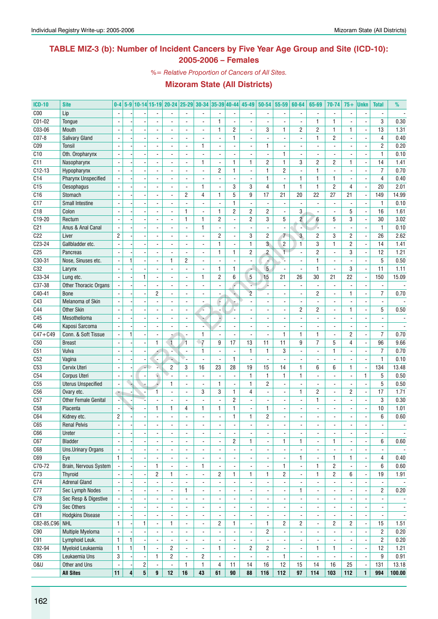### **TABLE MIZ-3 (b): Number of Incident Cancers by Five Year Age Group and Site (ICD-10): 2005-2006 – Females**

*%= Relative Proportion of Cancers of All Sites.*

| <b>ICD-10</b>   | <b>Site</b>                         | $0 - 4$                  |              |                          |                                       |                          |                                                      |                                            |                          |                          | 5-9 10-14 15-19 20-24 25-29 30-34 35-39 40-44 45-49 50-54 |                                | 55-59                                      | 60-64                          | 65-69                    | 70-74                    | $75+$                          | <b>Unkn</b>                   | <b>Total</b>             | %                        |
|-----------------|-------------------------------------|--------------------------|--------------|--------------------------|---------------------------------------|--------------------------|------------------------------------------------------|--------------------------------------------|--------------------------|--------------------------|-----------------------------------------------------------|--------------------------------|--------------------------------------------|--------------------------------|--------------------------|--------------------------|--------------------------------|-------------------------------|--------------------------|--------------------------|
| C <sub>00</sub> | Lip                                 |                          |              |                          |                                       |                          |                                                      | $\blacksquare$                             |                          |                          |                                                           |                                | $\blacksquare$                             |                                | ٠                        | $\overline{\phantom{a}}$ |                                | ÷,                            |                          |                          |
| C01-02          | Tongue                              |                          |              |                          |                                       |                          |                                                      | ÷,                                         | 1                        | ä,                       |                                                           |                                |                                            |                                | $\mathbf{1}$             | $\mathbf{1}$             |                                | $\overline{a}$                | 3                        | 0.30                     |
| C03-06          | Mouth                               |                          |              |                          |                                       |                          |                                                      | $\blacksquare$                             | 1                        | $\overline{c}$           |                                                           | 3                              | $\mathbf{1}$                               | $\overline{c}$                 | $\overline{c}$           | $\mathbf{1}$             | 1                              | $\overline{a}$                | 13                       | 1.31                     |
| $CO7-8$         | <b>Salivary Gland</b>               |                          |              |                          |                                       | $\overline{a}$           |                                                      | $\overline{\phantom{a}}$                   | $\overline{a}$           | $\mathbf{1}$             |                                                           |                                | $\blacksquare$                             |                                | $\mathbf{1}$             | $\overline{2}$           |                                | ÷,                            | 4                        | 0.40                     |
| C <sub>09</sub> | Tonsil                              | $\overline{\phantom{a}}$ |              |                          |                                       | $\blacksquare$           | $\blacksquare$                                       | $\mathbf{1}$                               | ÷,                       | $\overline{a}$           | $\blacksquare$                                            | 1                              | ÷,                                         | $\blacksquare$                 | $\overline{a}$           | $\overline{a}$           | $\blacksquare$                 | ÷,                            | $\overline{c}$           | 0.20                     |
| C10             | Oth. Oropharynx                     |                          |              |                          |                                       |                          |                                                      | $\blacksquare$                             | ٠                        | $\overline{\phantom{a}}$ |                                                           |                                | 1                                          | $\overline{\phantom{a}}$       |                          | $\overline{\phantom{a}}$ |                                | $\qquad \qquad \blacksquare$  | $\mathbf{1}$             | 0.10                     |
| C11             | Nasopharynx                         | ÷,                       |              |                          |                                       |                          |                                                      | 1                                          | ÷,                       | $\mathbf{1}$             | $\mathbf{1}$                                              | $\overline{c}$                 | $\mathbf{1}$                               | 3                              | $\overline{c}$           | $\overline{2}$           | 1                              | ä,                            | 14                       | 1.41                     |
| $C12-13$        | Hypopharynx                         |                          |              |                          |                                       | $\blacksquare$           | $\blacksquare$                                       | $\blacksquare$                             | $\overline{c}$           | $\mathbf{1}$             | $\overline{\phantom{a}}$                                  | 1                              | $\overline{2}$                             | $\blacksquare$                 | 1                        | $\overline{a}$           | $\overline{\phantom{a}}$       | ä,                            | $\overline{7}$           | 0.70                     |
| C14             | Pharynx Unspecified                 |                          |              |                          |                                       |                          |                                                      |                                            |                          | $\overline{\phantom{a}}$ |                                                           | 1                              | $\blacksquare$                             | $\mathbf{1}$                   | $\mathbf{1}$             | $\mathbf{1}$             |                                | $\overline{a}$                | $\overline{4}$           | 0.40                     |
| C15             | Oesophagus                          |                          |              |                          |                                       |                          |                                                      | 1                                          | $\overline{a}$           | 3                        | 3                                                         | $\overline{4}$                 | $\mathbf{1}$                               | $\mathbf{1}$                   | $\mathbf{1}$             | $\overline{2}$           | 4                              | L                             | 20                       | 2.01                     |
| C16             | Stomach                             |                          |              |                          | $\overline{\phantom{a}}$              | $\overline{\phantom{a}}$ | $\overline{c}$                                       | 4                                          | 1                        | 5                        | 9                                                         | 17                             | 21                                         | 20                             | 22                       | 27                       | 21                             | $\blacksquare$                | 149                      | 14.99                    |
| C17             | Small Intestine                     | ÷,                       |              |                          |                                       | ÷.                       |                                                      | ä,                                         | ÷,                       | $\mathbf{1}$             | $\overline{\phantom{a}}$                                  | $\blacksquare$                 | $\blacksquare$                             | $\blacksquare$                 | ÷,                       | ÷,                       |                                | ÷,                            | $\mathbf{1}$             | 0.10                     |
| C18             | Colon                               |                          |              |                          |                                       |                          | 1                                                    | $\overline{\phantom{a}}$                   | 1                        | $\overline{c}$           | 2                                                         | 2                              | $\overline{\phantom{a}}$                   | 3                              |                          | $\overline{\phantom{a}}$ | 5                              | $\overline{\phantom{a}}$      | 16                       | 1.61                     |
| C19-20          | Rectum                              |                          |              |                          |                                       | $\overline{a}$           | $\mathbf{1}$                                         | 1                                          | $\overline{c}$           | $\overline{\phantom{a}}$ | $\overline{2}$                                            | 3                              | 5                                          | $\overline{2}$                 | 6                        | 5                        | 3                              | $\overline{\phantom{a}}$      | 30                       | 3.02                     |
| C <sub>21</sub> | Anus & Anal Canal                   |                          |              |                          |                                       | ÷.                       | $\overline{\phantom{a}}$                             | $\mathbf{1}$                               | ä,                       | $\blacksquare$           | $\overline{a}$                                            | $\overline{a}$                 | $\overline{a}$                             | ÷,                             |                          | $\overline{a}$           |                                | ÷,                            | $\mathbf{1}$             | 0.10                     |
| C22             | Liver                               | $\overline{2}$           |              |                          |                                       |                          |                                                      | $\overline{a}$                             | $\overline{c}$           | $\overline{\phantom{a}}$ | 3                                                         | $\overline{c}$                 | $\overline{7}$                             | $\mathbf{3}$                   | $\overline{2}$           | 3                        | 2                              | L                             | 26                       | 2.62                     |
| C23-24          | Gallbladder etc.                    | $\overline{a}$           |              |                          |                                       | $\blacksquare$           |                                                      | $\blacksquare$                             | 1                        | $\overline{a}$           | $\mathbf{1}$                                              | $\overline{3}$                 | $\overline{c}$                             | 1                              | 3                        | $\mathbf{1}$             | 2                              | L                             | 14                       | 1.41                     |
| C <sub>25</sub> | Pancreas                            | $\overline{a}$           |              |                          | $\blacksquare$                        | $\blacksquare$           | $\overline{\phantom{a}}$                             | $\blacksquare$                             | 1                        | $\mathbf{1}$             | 2                                                         | $\overline{2}$                 | $\mathbf{1}$                               | ÷,                             | $\overline{c}$           | $\blacksquare$           | 3                              | ÷,                            | 12                       | 1.21                     |
| C30-31          | Nose, Sinuses etc.                  | ÷,                       | 1            |                          |                                       | 1                        | $\overline{2}$                                       | $\overline{\phantom{a}}$                   | ä,                       | $\overline{\phantom{a}}$ |                                                           | 4                              | Y.                                         | $\overline{\phantom{a}}$       | $\mathbf{1}$             | $\blacksquare$           |                                | $\overline{\phantom{a}}$      | 5                        | 0.50                     |
| C32             | Larynx                              |                          |              |                          |                                       |                          | $\blacksquare$                                       | $\blacksquare$                             | 1                        | $\mathbf{1}$             | $\overline{\phantom{a}}$                                  | 5                              | $\blacksquare$                             |                                | 1                        | $\overline{\phantom{a}}$ | 3                              | $\overline{\phantom{a}}$      | 11                       | 1.11                     |
| C33-34          | Lung etc.                           |                          |              | 1                        |                                       | ÷.                       | ÷.                                                   | 1                                          | $\overline{c}$           | 6                        | 5                                                         | 15                             | 21                                         | 26                             | 30                       | 21                       | 22                             | $\blacksquare$                | 150                      | 15.09                    |
| C37-38          | Other Thoracic Organs               |                          |              |                          |                                       | $\overline{a}$           | $\blacksquare$                                       | $\blacksquare$                             | $\overline{a}$           | é                        |                                                           | L.                             | $\blacksquare$                             |                                | L.                       | $\overline{a}$           |                                | ä,                            | $\overline{\phantom{a}}$ |                          |
| C40-41          | <b>Bone</b>                         |                          |              |                          | $\overline{c}$                        | $\overline{a}$           |                                                      | ä,                                         |                          | ٠                        | $\overline{2}$                                            |                                | $\overline{\phantom{a}}$                   |                                | $\overline{c}$           | ä,                       | 1                              | ä,                            | $\overline{7}$           | 0.70                     |
| C43             | Melanoma of Skin                    |                          |              |                          |                                       |                          |                                                      | ÷,                                         | F                        | $\overline{\phantom{a}}$ |                                                           |                                | $\blacksquare$                             |                                |                          | $\overline{\phantom{a}}$ |                                | $\overline{a}$                | $\blacksquare$           |                          |
| C44             | <b>Other Skin</b>                   |                          |              |                          |                                       | $\overline{a}$           |                                                      |                                            |                          | ÷.                       |                                                           |                                | $\blacksquare$                             | $\overline{c}$                 | $\overline{c}$           | $\frac{1}{2}$            | 1                              | ä,                            | 5                        | 0.50                     |
| C45             | Mesothelioma                        |                          |              |                          |                                       | $\overline{a}$           | $\overline{\phantom{a}}$                             | L.                                         | L.                       | $\blacksquare$           | $\overline{a}$                                            |                                | $\blacksquare$                             | ÷,                             |                          | $\frac{1}{2}$            | $\overline{a}$                 | ä,                            | $\blacksquare$           | $\overline{\phantom{a}}$ |
| C46             | Kaposi Sarcoma                      |                          |              |                          |                                       |                          |                                                      | $\overline{\phantom{a}}$                   |                          | $\overline{\phantom{a}}$ | $\overline{\phantom{a}}$                                  |                                | $\overline{\phantom{a}}$                   | $\overline{\phantom{a}}$       |                          | $\overline{\phantom{a}}$ |                                | $\qquad \qquad \blacksquare$  | $\overline{\phantom{a}}$ | $\overline{\phantom{a}}$ |
| $C47 + C49$     | Conn. & Soft Tissue                 |                          |              |                          |                                       |                          |                                                      | 1                                          | ä,                       | $\blacksquare$           | $\blacksquare$                                            |                                | $\mathbf{1}$                               | 1                              | $\mathbf{1}$             | $\frac{1}{2}$            | $\overline{2}$                 | ä,                            | $\overline{7}$           | 0.70                     |
| C50             | <b>Breast</b>                       |                          |              |                          | $\mathbf{1}$                          | $\overline{1}$           | $\overline{1}$                                       | $\bullet$ 7                                | 9                        | 17                       | 13                                                        | 11                             | 11                                         | 9                              | $\overline{7}$           | 5                        | $\overline{4}$                 | $\overline{\phantom{a}}$      | 96                       | 9.66                     |
| C51             | Vulva                               |                          |              |                          |                                       | ÷,                       | $\blacksquare$                                       | 1                                          | $\overline{a}$           | $\overline{\phantom{a}}$ | $\mathbf{1}$                                              | $\mathbf{1}$                   | 3                                          |                                |                          | $\mathbf{1}$             |                                | ä,                            | $\overline{7}$           | 0.70                     |
| C52             | Vagina                              |                          |              |                          |                                       | ٠                        | ♦.                                                   | ä,                                         | $\overline{\phantom{a}}$ | $\mathbf{1}$             |                                                           |                                |                                            |                                |                          | $\overline{a}$           |                                | Ĭ.                            | $\mathbf{1}$             | 0.10                     |
| C53             | Cervix Uteri                        | $\overline{a}$           |              |                          |                                       | $\overline{c}$           | 3                                                    | 16                                         | 23                       | 28                       | 19                                                        | 15                             | 14                                         | $\mathbf{1}$                   | 6                        | 6                        | 1                              | $\overline{\phantom{a}}$      | 134                      | 13.48                    |
| C54             | Corpus Uteri                        | $\sim$                   |              | $\overline{\phantom{a}}$ | é.                                    |                          |                                                      | $\blacksquare$                             | ÷,                       | $\blacksquare$           | $\mathbf{1}$                                              | $\mathbf{1}$                   | $\mathbf{1}$                               | $\mathbf{1}$                   |                          | $\frac{1}{2}$            | $\overline{a}$                 | $\mathbf{1}$                  | 5                        | 0.50                     |
| C55             | <b>Uterus Unspecified</b>           |                          |              |                          |                                       | 1                        | $\blacksquare$                                       | ä,                                         | 1                        | $\overline{\phantom{a}}$ | $\mathbf{1}$                                              | $\overline{c}$                 | $\overline{\phantom{a}}$                   | $\overline{\phantom{a}}$       |                          | $\overline{\phantom{a}}$ |                                | $\overline{\phantom{a}}$      | 5                        | 0.50                     |
| C <sub>56</sub> | Ovary etc.                          | ÷                        |              |                          | $\mathbf{1}$                          |                          |                                                      | 3                                          | 3                        | $\mathbf{1}$             | 4                                                         |                                | $\overline{\phantom{a}}$                   | 1                              | $\overline{c}$           | $\overline{\phantom{a}}$ | 2                              | $\qquad \qquad \blacksquare$  | 17                       | 1.71                     |
| C57             | <b>Other Female Genital</b>         | ÷                        |              |                          | $\overline{a}$                        | $\blacksquare$           | $\blacksquare$                                       | ä,                                         | $\overline{a}$           | $\overline{c}$           | $\overline{a}$                                            |                                | $\blacksquare$                             | $\overline{\phantom{a}}$       | $\mathbf{1}$             | $\overline{\phantom{a}}$ | $\overline{\phantom{a}}$       | ä,                            | 3                        | 0.30                     |
| C <sub>58</sub> | Placenta                            |                          |              |                          | 1                                     | 1                        | 4                                                    | $\mathbf{1}$                               | 1                        | $\mathbf{1}$             | $\overline{\phantom{a}}$                                  | 1                              | ÷,                                         | $\blacksquare$                 |                          | $\overline{a}$           | $\overline{\phantom{a}}$       | ÷,                            | 10                       | 1.01                     |
| C64             | Kidney etc.                         | $\overline{c}$           |              |                          |                                       |                          |                                                      | $\overline{\phantom{a}}$                   |                          | $\mathbf{1}$             | 1                                                         | $\overline{c}$                 | $\overline{\phantom{a}}$                   | $\overline{a}$                 |                          | $\overline{\phantom{a}}$ | $\overline{\phantom{a}}$       | $\overline{\phantom{a}}$      | $6\phantom{1}$           | 0.60                     |
| C65             | <b>Renal Pelvis</b>                 |                          |              |                          |                                       |                          |                                                      |                                            |                          |                          |                                                           |                                | ÷,                                         |                                |                          |                          |                                |                               |                          |                          |
| C66             | Ureter                              | $\blacksquare$           |              |                          |                                       | $\frac{1}{2}$            | $\overline{\phantom{a}}$                             | $\overline{\phantom{a}}$                   | $\frac{1}{2}$            | $\overline{\phantom{a}}$ | $\overline{\phantom{a}}$                                  | $\overline{\phantom{a}}$       | $\overline{\phantom{a}}$                   | $\overline{\phantom{a}}$       | $\frac{1}{2}$            | $\overline{\phantom{a}}$ | $\overline{\phantom{a}}$       | $\overline{\phantom{a}}$      | $\overline{\phantom{a}}$ | $\overline{\phantom{a}}$ |
| C67             | Bladder                             | $\blacksquare$           |              |                          | $\overline{\phantom{a}}$              | $\overline{\phantom{a}}$ | $\overline{\phantom{a}}$                             | $\overline{\phantom{a}}$                   | $\overline{a}$           | $\overline{c}$           | $\mathbf{1}$                                              | $\overline{\phantom{a}}$       | $\mathbf{1}$                               | 1                              | $\overline{\phantom{0}}$ | $\mathbf{1}$             |                                | $\overline{\phantom{a}}$      | 6                        | 0.60                     |
| C68             | Uns.Urinary Organs                  |                          |              |                          | $\blacksquare$                        | $\overline{\phantom{a}}$ | $\overline{\phantom{a}}$                             | $\overline{\phantom{a}}$                   | -                        | $\overline{\phantom{a}}$ | $\blacksquare$                                            | $\overline{\phantom{a}}$       | $\overline{\phantom{a}}$                   | $\overline{\phantom{a}}$       | ۰                        | $\overline{\phantom{a}}$ |                                | $\overline{\phantom{m}}$      | $\overline{\phantom{a}}$ | $\overline{\phantom{a}}$ |
| C69             | Eye                                 | $\mathbf{1}$             |              |                          |                                       | $\overline{\phantom{a}}$ | $\overline{\phantom{a}}$                             | $\overline{\phantom{a}}$                   |                          | $\overline{\phantom{a}}$ |                                                           | $\blacksquare$                 | $\blacksquare$                             | 1                              | ÷,                       | $\mathbf{1}$             | 1                              | $\overline{a}$                | 4                        | 0.40                     |
| C70-72          | Brain, Nervous System               |                          |              |                          | $\mathbf{1}$                          | $\blacksquare$           | $\blacksquare$                                       | $\mathbf{1}$                               | $\overline{\phantom{a}}$ | $\blacksquare$           |                                                           |                                | $\mathbf{1}$                               | $\overline{\phantom{a}}$       | $\mathbf{1}$             | $\overline{2}$           | $\blacksquare$                 | ä,                            | 6                        | 0.60                     |
| C73             | <b>Thyroid</b>                      |                          |              |                          | $\overline{c}$                        | 1                        | $\overline{\phantom{a}}$                             | $\blacksquare$                             | $\overline{c}$           | $\mathbf{1}$             | $\mathbf{1}$                                              | 1                              | $\overline{c}$                             |                                | 1                        | $\overline{2}$           | 6                              | $\overline{a}$                | 19                       | 1.91                     |
| C74             | <b>Adrenal Gland</b>                |                          |              |                          |                                       |                          |                                                      | $\blacksquare$                             |                          | $\blacksquare$           |                                                           |                                | $\overline{\phantom{a}}$                   |                                |                          |                          |                                | $\overline{a}$                | $\overline{\phantom{a}}$ |                          |
| C77             | Sec Lymph Nodes                     |                          |              |                          | $\blacksquare$                        | $\overline{\phantom{a}}$ | $\mathbf{1}$                                         | $\overline{\phantom{a}}$                   | $\overline{\phantom{a}}$ | $\Box$                   | $\overline{\phantom{a}}$                                  | $\overline{\phantom{a}}$       | $\overline{\phantom{a}}$                   | 1                              | ٠                        | $\blacksquare$           | $\blacksquare$                 | $\overline{a}$                | $\overline{2}$           | 0.20                     |
| C78             | Sec Resp & Digestive                | $\overline{\phantom{a}}$ |              | $\overline{\phantom{a}}$ | ÷,                                    | $\blacksquare$           | $\overline{\phantom{a}}$                             | $\overline{\phantom{a}}$                   | $\blacksquare$           | $\Box$                   | $\overline{\phantom{a}}$                                  | $\overline{\phantom{a}}$       | $\blacksquare$                             | $\overline{\phantom{a}}$       | ÷,                       | $\overline{\phantom{a}}$ | $\overline{\phantom{a}}$       | $\blacksquare$                | $\overline{\phantom{a}}$ | $\overline{\phantom{a}}$ |
| C79             | Sec Others                          |                          |              |                          | $\blacksquare$                        | $\overline{\phantom{a}}$ | $\overline{\phantom{a}}$                             | $\overline{\phantom{a}}$                   | ۰                        | $\overline{\phantom{a}}$ | $\overline{\phantom{a}}$                                  | $\overline{\phantom{a}}$       | $\overline{\phantom{a}}$                   | $\overline{\phantom{a}}$       | $\frac{1}{2}$            | $\overline{\phantom{a}}$ | $\overline{\phantom{a}}$       | $\qquad \qquad \blacksquare$  | $\overline{\phantom{a}}$ | $\overline{\phantom{a}}$ |
| C81             | <b>Hodgkins Disease</b>             | $\overline{\phantom{a}}$ |              |                          | $\overline{a}$                        | $\overline{a}$           | $\overline{\phantom{a}}$                             | $\blacksquare$                             | ä,                       | $\blacksquare$           | $\overline{a}$                                            | $\blacksquare$                 | $\blacksquare$                             |                                | ä,                       | $\overline{\phantom{a}}$ |                                | ÷,                            | $\blacksquare$           | $\blacksquare$           |
| C82-85, C96 NHL |                                     | $\mathbf{1}$             |              | $\mathbf{1}$             | $\blacksquare$                        | $\mathbf{1}$             | $\blacksquare$                                       | $\blacksquare$                             | $\overline{c}$           | $\mathbf{1}$             |                                                           | 1                              | $\overline{c}$                             | $\overline{2}$                 | $\overline{\phantom{0}}$ | $\overline{c}$           | $\overline{2}$                 | $\overline{\phantom{a}}$      | 15                       | 1.51                     |
| C90             | Multiple Myeloma                    | $\overline{\phantom{a}}$ |              |                          |                                       |                          | $\overline{\phantom{a}}$                             | $\overline{a}$                             |                          | $\blacksquare$           | $\overline{\phantom{a}}$                                  | $\overline{2}$                 | $\blacksquare$                             |                                | ä,                       | $\frac{1}{2}$            |                                | ÷,                            | $\overline{2}$           | 0.20                     |
|                 |                                     | $\mathbf{1}$             | $\mathbf{1}$ |                          |                                       |                          |                                                      |                                            |                          |                          |                                                           |                                |                                            |                                |                          |                          |                                | ÷,                            |                          |                          |
| C91<br>C92-94   | Lymphoid Leuk.<br>Myeloid Leukaemia | $\mathbf{1}$             | 1            | $\mathbf{1}$             | $\blacksquare$                        | $\overline{2}$           | $\overline{\phantom{a}}$<br>$\overline{\phantom{a}}$ | $\overline{\phantom{a}}$<br>$\blacksquare$ | $\mathbf{1}$             | $\blacksquare$<br>$\Box$ | $\overline{2}$                                            | $\overline{2}$                 | $\overline{\phantom{a}}$<br>$\blacksquare$ | $\overline{\phantom{a}}$       | 1                        | $\mathbf{1}$             | $\blacksquare$                 | $\blacksquare$                | $\overline{c}$<br>12     | 0.20<br>1.21             |
| C95             |                                     | 3                        |              |                          | $\mathbf{1}$                          |                          |                                                      |                                            |                          |                          |                                                           |                                | $\mathbf{1}$                               |                                |                          | $\blacksquare$           |                                |                               | 9                        |                          |
| 0&U             | Leukaemia Uns<br>Other and Uns      | $\overline{a}$           |              | $\overline{\phantom{a}}$ |                                       | $\overline{c}$           | $\overline{\phantom{a}}$<br>1                        | $\overline{c}$<br>1                        | $\overline{\phantom{a}}$ | $\blacksquare$<br>11     | $\overline{\phantom{a}}$<br>14                            | $\overline{\phantom{a}}$<br>16 | 12                                         | $\overline{\phantom{a}}$<br>15 | ÷,<br>14                 | 16                       | $\overline{\phantom{a}}$<br>25 | $\blacksquare$                | 131                      | 0.91<br>13.18            |
|                 | <b>All Sites</b>                    | 11                       | $\vert$      | 2<br>5                   | $\overline{\phantom{a}}$<br>$\pmb{9}$ | $12\,$                   | 16                                                   | 43                                         | 4<br>61                  | $\bf{90}$                | 88                                                        | 116                            | 112                                        | 97                             | 114                      | 103                      | 112                            | $\overline{\phantom{a}}$<br>1 | 994                      | 100.00                   |
|                 |                                     |                          |              |                          |                                       |                          |                                                      |                                            |                          |                          |                                                           |                                |                                            |                                |                          |                          |                                |                               |                          |                          |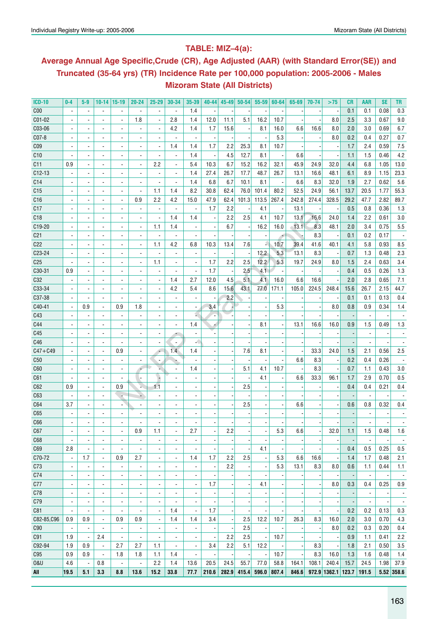### **Table: MIZ–4(a):**

## **Average Annual Age Specific,Crude (CR), Age Adjusted (AAR) (with Standard Error(SE)) and Truncated (35-64 yrs) (TR) Incidence Rate per 100,000 population: 2005-2006 - Males Mizoram State (All Districts)**

| <b>ICD-10</b>   | $0-4$                        | 5-9                      | $10 - 14$                    | $ 15-19$                 | $20 - 24$                | $25 - 29$                | 30-34                    | 35-39                    | $40 - 44$                | $45 - 49$ | $50 - 54$ | $55 - 59$                | 60-64                    | 65-69 | 70-74                    | >75                      | CR                       | AAR                      | <b>SE</b>                | TR                       |
|-----------------|------------------------------|--------------------------|------------------------------|--------------------------|--------------------------|--------------------------|--------------------------|--------------------------|--------------------------|-----------|-----------|--------------------------|--------------------------|-------|--------------------------|--------------------------|--------------------------|--------------------------|--------------------------|--------------------------|
| C <sub>00</sub> |                              |                          | $\overline{a}$               |                          | $\overline{a}$           | $\overline{\phantom{a}}$ |                          | 1.4                      |                          |           |           |                          |                          |       |                          |                          | 0.1                      | 0.1                      | 0.08                     | 0.3                      |
| C01-02          |                              |                          | $\overline{a}$               |                          | 1.8                      | $\overline{a}$           | 2.8                      | 1.4                      | 12.0                     | 11.1      | 5.1       | 16.2                     | 10.7                     |       |                          | 8.0                      | 2.5                      | 3.3                      | 0.67                     | 9.0                      |
| C03-06          |                              |                          | $\blacksquare$               | ÷,                       |                          |                          | 4.2                      | 1.4                      | 1.7                      | 15.6      |           | 8.1                      | 16.0                     | 6.6   | 16.6                     | 8.0                      | 2.0                      | 3.0                      | 0.69                     | 6.7                      |
| $CO7-8$         |                              |                          | $\blacksquare$               | $\overline{\phantom{a}}$ |                          | ٠                        |                          | ÷                        |                          |           |           |                          | 5.3                      |       |                          | 8.0                      | 0.2                      | 0.4                      | 0.27                     | 0.7                      |
| CO <sub>9</sub> |                              |                          | $\overline{\phantom{a}}$     | $\overline{\phantom{a}}$ | $\overline{a}$           | $\overline{a}$           | 1.4                      | 1.4                      | 1.7                      | 2.2       | 25.3      | 8.1                      | 10.7                     |       |                          |                          | 1.7                      | 2.4                      | 0.59                     | 7.5                      |
| C10             |                              |                          | $\overline{\phantom{a}}$     | $\overline{\phantom{a}}$ |                          | $\overline{a}$           | $\blacksquare$           | 1.4                      | $\overline{\phantom{a}}$ | 4.5       | 12.7      | 8.1                      |                          | 6.6   |                          |                          | 1.1                      | 1.5                      | 0.46                     | 4.2                      |
| C11             | 0.9                          |                          | $\overline{\phantom{a}}$     | $\overline{\phantom{a}}$ | $\overline{\phantom{a}}$ | 2.2                      | $\overline{\phantom{a}}$ | 5.4                      | 10.3                     | 6.7       | 15.2      | 16.2                     | 32.1                     | 45.9  | 24.9                     | 32.0                     | 4.4                      | 6.8                      | 1.05                     | 13.0                     |
| $C12-13$        |                              |                          | $\overline{\phantom{a}}$     | $\overline{\phantom{a}}$ | $\overline{\phantom{a}}$ | $\overline{\phantom{a}}$ | $\overline{\phantom{a}}$ | 1.4                      | 27.4                     | 26.7      | 17.7      | 48.7                     | 26.7                     | 13.1  | 16.6                     | 48.1                     | 6.1                      | 8.9                      | 1.15                     | 23.3                     |
| C <sub>14</sub> |                              |                          | $\blacksquare$               | $\overline{\phantom{a}}$ |                          |                          | $\blacksquare$           | 1.4                      | 6.8                      | 6.7       | 10.1      | 8.1                      |                          | 6.6   | 8.3                      | 32.0                     | 1.9                      | 2.7                      | 0.62                     | 5.6                      |
| C <sub>15</sub> |                              |                          | $\blacksquare$               | $\overline{\phantom{a}}$ | $\overline{a}$           | 1.1                      | 1.4                      | 8.2                      | 30.8                     | 62.4      | 76.0      | 101.4                    | 80.2                     | 52.5  | 24.9                     | 56.1                     | 13.7                     | 20.5                     | 1.77                     | 55.3                     |
| C16             |                              | $\overline{\phantom{a}}$ | $\overline{\phantom{a}}$     | $\overline{\phantom{a}}$ | 0.9                      | 2.2                      | 4.2                      | 15.0                     | 47.9                     | 62.4      | 101.3     | 113.5                    | 267.4                    | 242.8 | 274.4                    | 328.5                    | 29.2                     | 47.7                     | 2.82                     | 89.7                     |
| C17             |                              | $\blacksquare$           | $\overline{\phantom{a}}$     | $\overline{\phantom{a}}$ | $\overline{\phantom{a}}$ | $\overline{\phantom{a}}$ | $\overline{\phantom{a}}$ | $\overline{\phantom{a}}$ | 1.7                      | 2.2       |           | 4.1                      |                          | 13.1  |                          |                          | 0.5                      | 0.8                      | 0.36                     | 1.3                      |
| C18             |                              | $\blacksquare$           | $\overline{\phantom{a}}$     | $\overline{\phantom{a}}$ | $\overline{a}$           | $\overline{\phantom{a}}$ | 1.4                      | 1.4                      | $\overline{\phantom{a}}$ | 2.2       | 2.5       | 4.1                      | 10.7                     | 13.1  | 16.6                     | 24.0                     | 1.4                      | 2.2                      | 0.61                     | 3.0                      |
| C19-20          |                              | $\blacksquare$           | $\blacksquare$               | $\overline{\phantom{a}}$ | $\overline{\phantom{a}}$ | 1.1                      | 1.4                      | $\blacksquare$           | $\blacksquare$           | 6.7       |           | 16.2                     | 16.0                     | 13.1  | 8.3                      | 48.1                     | 2.0                      | 3.4                      | 0.75                     | 5.5                      |
| C <sub>21</sub> |                              | $\blacksquare$           | $\blacksquare$               | $\blacksquare$           | $\overline{a}$           | $\overline{\phantom{a}}$ | $\blacksquare$           |                          |                          |           |           | $\overline{\phantom{a}}$ |                          |       | 8.3                      |                          | 0.1                      | 0.2                      | 0.17                     |                          |
| C <sub>22</sub> |                              | $\blacksquare$           | $\overline{\phantom{a}}$     | $\overline{\phantom{a}}$ | $\overline{\phantom{a}}$ | 1.1                      | 4.2                      | 6.8                      | 10.3                     | 13.4      | 7.6       |                          | 10.7                     | 39.4  | 41.6                     | 40.1                     | 4.1                      | 5.8                      | 0.93                     | 8.5                      |
| C23-24          |                              | $\blacksquare$           | $\overline{\phantom{a}}$     | $\blacksquare$           | $\blacksquare$           |                          | $\blacksquare$           | $\blacksquare$           |                          |           |           | 12.2                     | 5.3                      | 13.1  | 8.3                      |                          | 0.7                      | 1.3                      | 0.48                     | 2.3                      |
| C <sub>25</sub> |                              |                          | $\blacksquare$               | $\blacksquare$           | $\overline{\phantom{a}}$ | 1.1                      | $\blacksquare$           | $\overline{a}$           | 1.7                      | 2.2       | 2.5       | 12.2                     | 5.3                      | 19.7  | 24.9                     | 8.0                      | 1.5                      | 2.4                      | 0.63                     | 3.4                      |
| C30-31          | 0.9                          |                          | $\blacksquare$               | $\blacksquare$           |                          | $\overline{a}$           |                          |                          | 1.7                      |           | 2.5       | 4.1                      |                          |       |                          |                          | 0.4                      | 0.5                      | 0.26                     | 1.3                      |
| C32             |                              |                          | $\blacksquare$               | $\blacksquare$           |                          | $\overline{\phantom{a}}$ | 1.4                      | 2.7                      | 12.0                     | 4.5       | 5.1       | 4.1                      | 16.0                     | 6.6   | 16.6                     |                          | 2.0                      | 2.8                      | 0.65                     | 7.1                      |
| C33-34          |                              | ÷,                       | ä,                           | $\overline{\phantom{a}}$ | $\blacksquare$           | $\overline{a}$           | 4.2                      | 5.4                      | 8.6                      | 15.6      | 43.1      | 77.0                     | 171.1                    | 105.0 | 224.5                    | 248.4                    | 15.6                     | 26.7                     | 2.15                     | 44.7                     |
| C37-38          |                              | $\overline{a}$           | $\overline{a}$               | $\blacksquare$           | $\blacksquare$           |                          | $\overline{a}$           | $\blacksquare$           |                          | 2.2       |           |                          |                          |       |                          |                          | 0.1                      | 0.1                      | 0.13                     | 0.4                      |
| C40-41          |                              | 0.9                      | $\blacksquare$               | 0.9                      | 1.8                      |                          | $\overline{a}$           | $\blacksquare$           | 3.4                      |           |           | $\overline{\phantom{a}}$ | 5.3                      |       |                          | 8.0                      | 0.8                      | 0.9                      | 0.34                     | 1.4                      |
| C43             |                              |                          | $\blacksquare$               | $\blacksquare$           |                          |                          |                          |                          | ٠.                       |           |           |                          |                          |       |                          |                          |                          | $\overline{a}$           |                          |                          |
|                 |                              |                          |                              |                          |                          |                          |                          |                          |                          |           |           | 8.1                      |                          | 13.1  |                          |                          |                          | 1.5                      | 0.49                     |                          |
| C44             |                              |                          |                              | $\blacksquare$           |                          |                          |                          | 1.4                      |                          |           |           |                          |                          |       | 16.6                     | 16.0                     | 0.9                      |                          |                          | 1.3                      |
| C45             |                              |                          |                              | ÷,                       |                          |                          |                          |                          |                          |           |           |                          |                          |       |                          |                          |                          |                          |                          |                          |
| C46             |                              |                          |                              | ÷,                       |                          |                          | $\overline{a}$           |                          |                          |           |           |                          |                          |       |                          |                          |                          |                          |                          |                          |
| $C47 + C49$     |                              |                          | ÷,                           | 0.9                      |                          | ٠                        | 1.4                      | 1.4                      |                          |           | 7.6       | 8.1                      |                          |       | 33.3                     | 24.0                     | 1.5                      | 2.1                      | 0.56                     | 2.5                      |
| C50             |                              |                          | ä,                           | $\overline{a}$           |                          |                          |                          |                          |                          |           |           |                          |                          | 6.6   | 8.3                      |                          | 0.2                      | 0.4                      | 0.26                     |                          |
| C60             |                              |                          |                              |                          |                          |                          |                          | 1.4                      |                          |           | 5.1       | 4.1                      | 10.7                     |       | 8.3                      |                          | 0.7                      | 1.1                      | 0.43                     | 3.0                      |
| C61             |                              |                          |                              | ÷,                       |                          |                          |                          |                          |                          |           |           | 4.1                      |                          | 6.6   | 33.3                     | 96.1                     | 1.7                      | 2.9                      | 0.70                     | 0.5                      |
| C62             | 0.9                          |                          | $\blacksquare$               | 0.9                      |                          | 1.1                      |                          |                          |                          |           | 2.5       |                          |                          |       |                          |                          | 0.4                      | 0.4                      | 0.21                     | 0.4                      |
| C63             |                              |                          | $\overline{\phantom{a}}$     |                          |                          |                          |                          |                          |                          |           |           |                          |                          |       |                          |                          |                          |                          |                          |                          |
| C64             | 3.7                          |                          | $\overline{\phantom{a}}$     | ۰                        |                          |                          |                          |                          |                          |           | 2.5       |                          |                          | 6.6   |                          |                          | 0.6                      | 0.8                      | 0.32                     | 0.4                      |
| C65             |                              |                          | $\qquad \qquad \blacksquare$ | $\overline{\phantom{m}}$ |                          |                          |                          |                          |                          |           |           |                          |                          |       |                          |                          |                          |                          |                          |                          |
| C66             |                              |                          |                              |                          |                          |                          |                          |                          |                          |           |           |                          |                          |       |                          |                          |                          |                          |                          |                          |
| C67             | ۰                            | ٠                        | ٠                            | ٠                        | 0.9                      | 1.1                      | $\overline{\phantom{a}}$ | 2.7                      | $\overline{\phantom{a}}$ | 2.2       |           | $\overline{\phantom{a}}$ | 5.3                      | 6.6   |                          | 32.0                     | 1.1                      | 1.5                      | 0.48                     | 1.6                      |
| C68             | $\blacksquare$               | $\overline{\phantom{a}}$ | $\blacksquare$               | $\blacksquare$           | $\overline{\phantom{a}}$ | $\overline{\phantom{a}}$ | $\blacksquare$           | $\overline{\phantom{a}}$ | $\overline{\phantom{a}}$ |           |           |                          |                          |       |                          |                          | $\overline{\phantom{a}}$ | $\overline{\phantom{a}}$ |                          | $\overline{\phantom{a}}$ |
| C69             | 2.8                          | $\overline{\phantom{a}}$ | $\overline{\phantom{a}}$     | $\overline{\phantom{a}}$ | $\overline{\phantom{a}}$ | $\overline{\phantom{a}}$ | $\overline{\phantom{a}}$ | $\overline{\phantom{a}}$ | $\overline{\phantom{a}}$ |           |           | 4.1                      | $\overline{\phantom{a}}$ |       |                          | $\overline{\phantom{a}}$ | 0.4                      | 0.5                      | 0.25                     | 0.5                      |
| C70-72          | $\overline{\phantom{a}}$     | 1.7                      | $\blacksquare$               | 0.9                      | 2.7                      | $\overline{\phantom{a}}$ | $\overline{\phantom{a}}$ | 1.4                      | 1.7                      | 2.2       | 2.5       | $\overline{\phantom{a}}$ | 5.3                      | 6.6   | 16.6                     | $\overline{\phantom{a}}$ | 1.4                      | 1.7                      | 0.48                     | 2.1                      |
| C73             | $\blacksquare$               | $\overline{\phantom{a}}$ | $\blacksquare$               | $\overline{\phantom{a}}$ | $\overline{\phantom{a}}$ | $\frac{1}{2}$            | $\overline{\phantom{a}}$ | $\overline{\phantom{a}}$ | $\overline{\phantom{a}}$ | 2.2       |           | $\overline{\phantom{a}}$ | 5.3                      | 13.1  | 8.3                      | 8.0                      | 0.6                      | 1.1                      | 0.44                     | 1.1                      |
| C74             | $\blacksquare$               | $\overline{\phantom{a}}$ | $\blacksquare$               | ٠                        | $\frac{1}{2}$            | $\frac{1}{2}$            | $\overline{\phantom{a}}$ | $\overline{\phantom{a}}$ | $\overline{\phantom{a}}$ |           |           | $\overline{a}$           |                          |       |                          | $\overline{\phantom{a}}$ | $\overline{\phantom{a}}$ | $\blacksquare$           | $\overline{\phantom{a}}$ | $\overline{\phantom{a}}$ |
| C77             | $\blacksquare$               | $\overline{\phantom{a}}$ | $\overline{\phantom{a}}$     | ٠                        | -                        | $\frac{1}{2}$            | $\blacksquare$           | $\overline{\phantom{a}}$ | 1.7                      |           |           | 4.1                      | $\overline{\phantom{a}}$ |       |                          | 8.0                      | 0.3                      | 0.4                      | 0.25                     | 0.9                      |
| C78             | $\blacksquare$               | $\overline{\phantom{a}}$ | $\overline{\phantom{a}}$     | ٠                        | -                        | $\overline{\phantom{a}}$ | $\blacksquare$           | $\overline{\phantom{a}}$ | $\overline{\phantom{a}}$ |           |           | $\overline{a}$           |                          |       |                          |                          | $\overline{\phantom{m}}$ | $\overline{\phantom{a}}$ |                          | $\overline{\phantom{a}}$ |
| C79             | $\qquad \qquad \blacksquare$ | ٠                        | $\overline{\phantom{a}}$     | ٠                        | ۰                        | $\overline{\phantom{a}}$ | $\blacksquare$           | $\overline{\phantom{a}}$ | $\overline{\phantom{a}}$ |           |           |                          |                          |       |                          |                          | $\overline{\phantom{m}}$ | $\overline{\phantom{a}}$ | $\overline{\phantom{a}}$ | $\overline{\phantom{a}}$ |
| C81             | $\overline{\phantom{a}}$     | $\overline{\phantom{a}}$ | $\overline{\phantom{a}}$     | $\overline{\phantom{a}}$ | $\overline{\phantom{a}}$ | $\overline{\phantom{a}}$ | 1.4                      | $\overline{\phantom{a}}$ | 1.7                      |           |           | $\overline{a}$           |                          |       | $\overline{\phantom{a}}$ |                          | 0.2                      | 0.2                      | 0.13                     | 0.3                      |
| C82-85,C96      | 0.9                          | 0.9                      | $\overline{\phantom{a}}$     | 0.9                      | 0.9                      | $\overline{\phantom{a}}$ | 1.4                      | 1.4                      | 3.4                      |           | 2.5       | 12.2                     | 10.7                     | 26.3  | 8.3                      | 16.0                     | 2.0                      | 3.0                      | 0.70                     | 4.3                      |
| C90             | $\overline{\phantom{a}}$     | $\overline{\phantom{a}}$ | $\overline{\phantom{a}}$     | $\overline{\phantom{a}}$ | $\overline{\phantom{a}}$ | $\overline{\phantom{a}}$ | $\overline{\phantom{a}}$ | $\overline{\phantom{a}}$ | $\overline{\phantom{a}}$ |           | 2.5       | $\overline{\phantom{a}}$ |                          |       |                          | 8.0                      | 0.2                      | 0.3                      | 0.20                     | 0.4                      |
| C91             | 1.9                          | $\overline{\phantom{a}}$ | 2.4                          | $\overline{\phantom{a}}$ | $\overline{\phantom{a}}$ | $\overline{\phantom{a}}$ | $\overline{\phantom{a}}$ | $\overline{\phantom{a}}$ | $\overline{\phantom{a}}$ | 2.2       | 2.5       | $\overline{\phantom{a}}$ | 10.7                     |       |                          |                          | 0.9                      | 1.1                      | 0.41                     | 2.2                      |
| C92-94          | 1.9                          | 0.9                      | $\blacksquare$               | 2.7                      | 2.7                      | 1.1                      | $\overline{\phantom{a}}$ | $\overline{\phantom{a}}$ | 3.4                      | 2.2       | 5.1       | 12.2                     |                          |       | 8.3                      | $\overline{\phantom{a}}$ | 1.8                      | 2.1                      | 0.50                     | 3.5                      |
| C95             | 0.9                          | 0.9                      | $\overline{\phantom{a}}$     | 1.8                      | 1.8                      | 1.1                      | 1.4                      | $\overline{\phantom{a}}$ | $\overline{\phantom{a}}$ |           |           | $\overline{\phantom{a}}$ | 10.7                     |       | 8.3                      | 16.0                     | 1.3                      | 1.6                      | 0.48                     | 1.4                      |
| 0&U             | 4.6                          | $\overline{\phantom{a}}$ | 0.8                          | $\overline{\phantom{a}}$ | $\overline{\phantom{a}}$ | 2.2                      | 1.4                      | 13.6                     | 20.5                     | 24.5      | 55.7      | 77.0                     | 58.8                     | 164.1 | 108.1                    | 240.4                    | 15.7                     | 24.5                     | 1.98                     | 37.9                     |
| All             | 19.5                         | 5.1                      | 3.3                          | 8.8                      | 13.6                     | 15.2                     | 33.8                     | 77.7                     | 210.6                    | 282.9     | 415.4     | 596.0                    | 807.4                    | 846.6 |                          | 972.9 1362.1 123.7       |                          | 191.5                    |                          | $5.52$ 358.6             |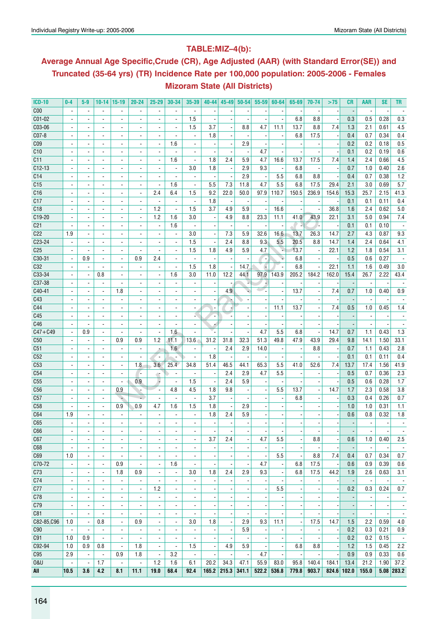## **Table:MIZ–4(b):**

## **Average Annual Age Specific,Crude (CR), Age Adjusted (AAR) (with Standard Error(SE)) and Truncated (35-64 yrs) (TR) Incidence Rate per 100,000 population: 2005-2006 - Females Mizoram State (All Districts)**

| <b>ICD-10</b>   | $0-4$                    | $5-9$                    | $10 - 14$                | $15-19$                  | $20 - 24$                | $25 - 29$                | 30-34                                      | 35-39                    | 40-44                    | $45 - 49$                | $50 - 54$                | $55 - 59$                | 60-64                    | 65-69                    | 70-74                    | >75                      | CR                       | AAR                      | <b>SE</b>                | TR                       |
|-----------------|--------------------------|--------------------------|--------------------------|--------------------------|--------------------------|--------------------------|--------------------------------------------|--------------------------|--------------------------|--------------------------|--------------------------|--------------------------|--------------------------|--------------------------|--------------------------|--------------------------|--------------------------|--------------------------|--------------------------|--------------------------|
| C <sub>00</sub> |                          |                          |                          |                          |                          |                          |                                            |                          |                          |                          |                          |                          |                          |                          |                          |                          |                          |                          |                          |                          |
| C01-02          |                          |                          | $\blacksquare$           | ÷,                       |                          | ÷,                       | $\overline{\phantom{a}}$                   | 1.5                      |                          |                          |                          |                          |                          | 6.8                      | 8.8                      |                          | 0.3                      | 0.5                      | 0.28                     | 0.3                      |
| C03-06          | $\overline{\phantom{a}}$ |                          | $\overline{\phantom{a}}$ | $\overline{\phantom{a}}$ | $\overline{\phantom{a}}$ | $\blacksquare$           | $\overline{\phantom{a}}$                   | 1.5                      | 3.7                      |                          | 8.8                      | 4.7                      | 11.1                     | 13.7                     | 8.8                      | 7.4                      | 1.3                      | 2.1                      | 0.61                     | 4.5                      |
| $CO7-8$         | $\overline{\phantom{a}}$ | $\blacksquare$           | $\overline{\phantom{a}}$ | $\overline{a}$           | ÷,                       | $\blacksquare$           | $\overline{a}$                             | $\overline{\phantom{a}}$ | 1.8                      | $\overline{\phantom{a}}$ |                          | $\overline{\phantom{a}}$ |                          | 6.8                      | 17.5                     |                          | 0.4                      | 0.7                      | 0.34                     | 0.4                      |
| C <sub>09</sub> |                          |                          | $\overline{\phantom{a}}$ | $\overline{\phantom{a}}$ | $\overline{a}$           | $\overline{\phantom{a}}$ | 1.6                                        | $\overline{\phantom{a}}$ |                          |                          | 2.9                      |                          |                          |                          |                          |                          | 0.2                      | 0.2                      | 0.18                     | 0.5                      |
| C10             |                          |                          | $\blacksquare$           |                          |                          |                          |                                            | $\blacksquare$           |                          |                          |                          | 4.7                      |                          |                          |                          |                          | 0.1                      | 0.2                      | 0.19                     | 0.6                      |
| C11             |                          |                          | $\blacksquare$           | $\blacksquare$           | $\overline{\phantom{a}}$ | $\blacksquare$           | 1.6                                        | $\overline{\phantom{a}}$ | 1.8                      | 2.4                      | 5.9                      | 4.7                      | 16.6                     | 13.7                     | 17.5                     | 7.4                      | 1.4                      | 2.4                      | 0.66                     | 4.5                      |
| $C12-13$        |                          |                          | $\blacksquare$           | $\blacksquare$           |                          |                          | $\blacksquare$                             | 3.0                      | 1.8                      |                          | 2.9                      | 9.3                      |                          | 6.8                      |                          |                          | 0.7                      | 1.0                      | 0.40                     | 2.6                      |
| C14             |                          |                          | $\blacksquare$           | $\blacksquare$           |                          | $\overline{a}$           |                                            |                          |                          |                          | 2.9                      | $\overline{\phantom{a}}$ | 5.5                      | 6.8                      | 8.8                      |                          | 0.4                      | 0.7                      | 0.38                     | 1.2                      |
| C15             | $\blacksquare$           |                          | $\overline{\phantom{a}}$ | $\overline{\phantom{a}}$ | $\overline{\phantom{a}}$ | $\blacksquare$           | 1.6                                        | $\blacksquare$           | 5.5                      | 7.3                      | 11.8                     | 4.7                      | 5.5                      | 6.8                      | 17.5                     | 29.4                     | 2.1                      | 3.0                      | 0.69                     | 5.7                      |
| C16             | $\overline{\phantom{a}}$ | $\blacksquare$           | $\blacksquare$           | ä,                       | $\overline{a}$           | 2.4                      | 6.4                                        | 1.5                      | 9.2                      | 22.0                     | 50.0                     | 97.9                     | 110.7                    | 150.5                    | 236.9                    | 154.6                    | 15.3                     | 25.7                     | 2.15                     | 41.3                     |
| C17             |                          |                          | $\overline{\phantom{a}}$ | $\overline{\phantom{a}}$ | $\overline{\phantom{a}}$ | $\overline{\phantom{a}}$ | $\overline{\phantom{a}}$                   | $\blacksquare$           | 1.8                      |                          |                          |                          |                          |                          |                          |                          | 0.1                      | 0.1                      | 0.11                     | 0.4                      |
| C <sub>18</sub> |                          |                          |                          |                          |                          | 1.2                      | $\overline{\phantom{a}}$                   | 1.5                      | 3.7                      | 4.9                      | 5.9                      |                          | 16.6                     |                          |                          | 36.8                     | 1.6                      | 2.4                      | 0.62                     | 5.0                      |
| C19-20          |                          |                          | $\blacksquare$           | $\blacksquare$           | $\overline{\phantom{a}}$ | 1.2                      | 1.6                                        | 3.0                      | $\blacksquare$           | 4.9                      | 8.8                      | 23.3                     | 11.1                     | 41.0                     | 43.9                     | 22.1                     | 3.1                      | 5.0                      | 0.94                     | 7.4                      |
| C <sub>21</sub> |                          |                          | $\blacksquare$           | $\blacksquare$           |                          | $\overline{\phantom{a}}$ | 1.6                                        |                          |                          |                          |                          |                          |                          |                          |                          |                          | 0.1                      | 0.1                      | 0.10                     |                          |
| C22             | 1.9                      |                          | $\blacksquare$           | $\overline{\phantom{a}}$ |                          |                          | $\overline{\phantom{a}}$                   | 3.0                      | $\overline{a}$           | 7.3                      | 5.9                      | 32.6                     | 16.6                     | 13.7                     | 26.3                     | 14.7                     | 2.7                      | 4.3                      | 0.87                     | 9.3                      |
| C23-24          |                          |                          |                          |                          |                          | $\blacksquare$           |                                            | 1.5                      |                          | 2.4                      | 8.8                      | 9.3                      | 5.5                      | 20.5                     | 8.8                      |                          |                          |                          |                          |                          |
| C <sub>25</sub> |                          |                          | $\overline{\phantom{a}}$ | $\blacksquare$           | $\overline{a}$           | $\blacksquare$           | $\overline{\phantom{a}}$<br>$\blacksquare$ | 1.5                      | 1.8                      | 4.9                      |                          |                          | v.                       | 13.7                     |                          | 14.7<br>22.1             | 1.4<br>1.2               | 2.4<br>1.8               | 0.64<br>0.54             | 4.1<br>3.1               |
|                 | $\overline{\phantom{a}}$ | $\overline{\phantom{a}}$ | $\blacksquare$           | $\overline{\phantom{a}}$ |                          |                          |                                            |                          |                          |                          | 5.9                      | 4.7                      |                          |                          | $\blacksquare$           |                          |                          |                          |                          |                          |
| C30-31          |                          | 0.9                      | $\overline{\phantom{a}}$ | $\overline{\phantom{a}}$ | 0.9                      | 2.4                      | $\overline{\phantom{a}}$                   |                          |                          |                          |                          | ٠.                       |                          | 6.8                      |                          |                          | 0.5                      | 0.6                      | 0.27                     |                          |
| C32<br>C33-34   |                          |                          |                          |                          |                          | $\overline{a}$           | $\overline{a}$<br>1.6                      | 1.5<br>3.0               | 1.8<br>11.0              | 12.2                     | 14.7<br>44.1             | 97.9                     |                          | 6.8<br>205.2             | 184.2                    | 22.1                     | 1.1                      | 1.6                      | 0.49                     | 3.0                      |
| C37-38          |                          | $\blacksquare$           | 0.8                      | $\blacksquare$           |                          | $\blacksquare$           |                                            |                          |                          |                          |                          |                          | 143.9                    |                          |                          | 162.0                    | 15.4                     | 26.7                     | 2.22                     | 43.4                     |
|                 |                          |                          | $\blacksquare$           |                          |                          |                          | $\blacksquare$                             |                          |                          |                          |                          | w.                       |                          |                          |                          |                          |                          |                          |                          |                          |
| C40-41          |                          |                          | $\blacksquare$           | 1.8                      |                          |                          |                                            |                          |                          | 4.9                      |                          |                          |                          | 13.7                     |                          | 7.4                      | 0.7                      | 1.0                      | 0.40                     | 0.9                      |
| C43             |                          |                          | $\blacksquare$           |                          |                          |                          |                                            | $\blacksquare$           |                          |                          |                          |                          |                          |                          |                          |                          |                          |                          |                          |                          |
| C44<br>C45      |                          | $\blacksquare$           | $\blacksquare$           | $\blacksquare$           | $\overline{\phantom{a}}$ | $\blacksquare$           | $\blacksquare$                             | $\overline{\phantom{a}}$ | $\overline{a}$           |                          |                          | $\blacksquare$           | 11.1                     | 13.7                     |                          | 7.4                      | 0.5                      | 1.0                      | 0.45                     | 1.4                      |
| C46             |                          |                          | $\overline{\phantom{a}}$ | $\overline{\phantom{a}}$ |                          |                          |                                            | $\overline{a}$           | $\overline{\phantom{a}}$ |                          |                          |                          |                          |                          |                          |                          |                          |                          |                          |                          |
|                 |                          |                          |                          |                          |                          |                          | 1.6                                        |                          |                          |                          |                          | 4.7                      |                          | 6.8                      |                          |                          |                          |                          |                          |                          |
| $C47 + C49$     |                          | 0.9                      | $\blacksquare$           | $\blacksquare$           | $\overline{\phantom{a}}$ | $\blacksquare$           |                                            | $\blacksquare$           |                          |                          |                          |                          | 5.5                      |                          |                          | 14.7                     | 0.7                      | 1.1                      | 0.43                     | 1.3                      |
| C50             |                          |                          | $\blacksquare$           | 0.9                      | 0.9                      | 1.2                      | 11.1                                       | 13.6                     | 31.2                     | 31.8                     | 32.3                     | 51.3                     | 49.8                     | 47.9                     | 43.9                     | 29.4                     | 9.8                      | 14.1                     | 1.50                     | 33.1                     |
| C <sub>51</sub> |                          |                          | $\blacksquare$           |                          |                          | ×                        | 1.6                                        |                          |                          | 2.4                      | 2.9                      | 14.0                     |                          |                          | 8.8                      |                          | 0.7                      | 1.1                      | 0.43                     | 2.8                      |
| C52             |                          |                          | $\blacksquare$           |                          |                          | ٠.                       |                                            | $\overline{\phantom{a}}$ | 1.8                      |                          |                          |                          |                          |                          |                          |                          | 0.1                      | 0.1                      | 0.11                     | 0.4                      |
| C53             | $\overline{\phantom{a}}$ | $\blacksquare$           | $\blacksquare$           | $\blacksquare$           | 1.8                      | 3.6                      | 25.4                                       | 34.8                     | 51.4                     | 46.5                     | 44.1                     | 65.3                     | 5.5                      | 41.0                     | 52.6                     | 7.4                      | 13.7                     | 17.4                     | 1.56                     | 41.9                     |
| C54             |                          |                          | $\blacksquare$           |                          |                          | đ,                       | $\overline{\phantom{a}}$                   | ÷,                       |                          | 2.4                      | 2.9                      | 4.7                      | 5.5                      |                          |                          |                          | 0.5                      | 0.7                      | 0.36                     | 2.3                      |
| C <sub>55</sub> |                          |                          |                          |                          | 0.9                      | ۰,                       | $\overline{\phantom{a}}$                   | 1.5                      | $\overline{a}$           | 2.4                      | 5.9                      |                          |                          |                          |                          |                          | 0.5                      | 0.6                      | 0.28                     | 1.7                      |
| C56             |                          |                          | $\blacksquare$           | 0.9                      |                          | $\blacksquare$           | 4.8                                        | 4.5                      | 1.8                      | 9.8                      |                          |                          | 5.5                      | 13.7                     |                          | 14.7                     | 1.7                      | 2.3                      | 0.58                     | 3.8                      |
| C57             |                          |                          | $\sim$                   | ÷                        | ÷                        | $\sim$                   | $\blacksquare$                             | $\blacksquare$           | 3.7                      |                          |                          |                          |                          | 6.8                      |                          |                          | 0.3                      | 0.4                      | 0.26                     | 0.7                      |
| C58             |                          |                          | $\blacksquare$           | 0.9                      | 0.9                      | 4.7                      | 1.6                                        | 1.5                      | 1.8                      |                          | 2.9                      |                          |                          |                          |                          |                          | 1.0                      | 1.0                      | 0.31                     | 1.1                      |
| C64             | 1.9                      |                          |                          |                          |                          |                          |                                            | $\overline{a}$           | 1.8                      | 2.4                      | 5.9                      |                          |                          |                          |                          |                          | 0.6                      | 0.8                      | 0.32                     | 1.8                      |
| C65             |                          |                          | ä,                       |                          |                          | $\blacksquare$           |                                            | $\blacksquare$           |                          |                          |                          |                          |                          |                          |                          |                          |                          |                          |                          |                          |
| C66             | $\overline{\phantom{a}}$ | $\overline{\phantom{a}}$ | $\overline{\phantom{a}}$ | $\overline{\phantom{a}}$ | $\overline{\phantom{a}}$ | $\overline{\phantom{a}}$ | $\overline{\phantom{a}}$                   | ٠                        | $\overline{\phantom{a}}$ | $\overline{\phantom{a}}$ | $\overline{\phantom{a}}$ | $\overline{\phantom{a}}$ | $\overline{\phantom{a}}$ | $\overline{\phantom{a}}$ | $\overline{\phantom{a}}$ | $\overline{\phantom{a}}$ | $\overline{\phantom{a}}$ | $\overline{\phantom{a}}$ | $\overline{\phantom{a}}$ | $\overline{\phantom{a}}$ |
| C67             | $\overline{\phantom{a}}$ | $\overline{\phantom{a}}$ | $\overline{\phantom{a}}$ | $\overline{\phantom{a}}$ | $\blacksquare$           | $\overline{\phantom{a}}$ | $\overline{\phantom{a}}$                   | $\overline{\phantom{a}}$ | 3.7                      | 2.4                      | -                        | 4.7                      | 5.5                      |                          | 8.8                      |                          | 0.6                      | 1.0                      | 0.40                     | 2.5                      |
| C68             | $\overline{\phantom{a}}$ | $\overline{\phantom{a}}$ | $\overline{a}$           |                          |                          | $\blacksquare$           | $\overline{\phantom{a}}$                   | $\overline{\phantom{a}}$ |                          |                          |                          |                          |                          | ÷,                       |                          |                          | $\overline{\phantom{a}}$ | $\overline{\phantom{a}}$ |                          | $\sim$                   |
| C69             | 1.0                      | $\blacksquare$           | $\blacksquare$           | $\blacksquare$           | $\overline{\phantom{a}}$ | $\blacksquare$           | $\overline{\phantom{a}}$                   | $\overline{\phantom{a}}$ | $\overline{\phantom{a}}$ |                          |                          | $\overline{\phantom{a}}$ | 5.5                      |                          | 8.8                      | 7.4                      | 0.4                      | 0.7                      | 0.34                     | 0.7                      |
| C70-72          | $\overline{\phantom{a}}$ | $\overline{\phantom{a}}$ | $\blacksquare$           | 0.9                      | $\blacksquare$           | $\blacksquare$           | 1.6                                        |                          | $\overline{\phantom{a}}$ |                          |                          | 4.7                      |                          | 6.8                      | 17.5                     |                          | 0.6                      | 0.9                      | 0.39                     | 0.6                      |
| C73             | $\overline{\phantom{a}}$ | $\overline{\phantom{a}}$ | $\overline{\phantom{a}}$ | 1.8                      | 0.9                      | $\overline{\phantom{a}}$ | $\overline{\phantom{a}}$                   | 3.0                      | 1.8                      | 2.4                      | 2.9                      | 9.3                      |                          | 6.8                      | 17.5                     | 44.2                     | 1.9                      | 2.6                      | 0.63                     | 3.1                      |
| C74             | $\blacksquare$           | $\overline{\phantom{a}}$ | $\overline{\phantom{a}}$ | $\blacksquare$           | $\blacksquare$           | $\blacksquare$           | $\blacksquare$                             |                          |                          |                          |                          |                          |                          |                          |                          |                          |                          | $\overline{\phantom{a}}$ |                          | $\sim$                   |
| C77             | $\overline{\phantom{a}}$ | $\blacksquare$           | $\overline{\phantom{a}}$ | $\overline{\phantom{a}}$ | $\blacksquare$           | 1.2                      | $\overline{\phantom{a}}$                   | $\overline{\phantom{a}}$ | $\overline{\phantom{a}}$ | $\overline{\phantom{a}}$ |                          | $\blacksquare$           | 5.5                      | $\overline{\phantom{a}}$ | $\blacksquare$           |                          | 0.2                      | 0.3                      | 0.24                     | 0.7                      |
| C78             | $\overline{\phantom{a}}$ | $\overline{\phantom{a}}$ | $\overline{\phantom{a}}$ | $\overline{\phantom{a}}$ | $\overline{a}$           | $\overline{\phantom{a}}$ | $\overline{\phantom{a}}$                   | $\overline{\phantom{a}}$ | $\overline{\phantom{a}}$ |                          |                          | $\overline{\phantom{a}}$ |                          |                          |                          |                          |                          | $\overline{\phantom{a}}$ |                          | $\overline{\phantom{a}}$ |
| C79             | $\overline{\phantom{a}}$ | $\overline{\phantom{a}}$ | $\blacksquare$           | $\overline{\phantom{a}}$ | $\overline{\phantom{a}}$ | $\overline{\phantom{a}}$ | $\overline{\phantom{a}}$                   | $\overline{\phantom{a}}$ | $\overline{\phantom{a}}$ | ÷,                       | -                        | $\overline{a}$           |                          |                          |                          |                          | $\overline{a}$           | $\overline{\phantom{a}}$ | $\overline{\phantom{a}}$ | $\overline{\phantom{a}}$ |
| C81             | $\overline{\phantom{a}}$ |                          | $\blacksquare$           | $\blacksquare$           | $\overline{\phantom{a}}$ | $\blacksquare$           | $\overline{\phantom{a}}$                   |                          |                          |                          |                          |                          |                          |                          |                          |                          |                          | $\overline{a}$           |                          | $\overline{\phantom{a}}$ |
| C82-85,C96      | 1.0                      | $\overline{\phantom{a}}$ | 0.8                      | $\blacksquare$           | 0.9                      | $\overline{\phantom{a}}$ | $\overline{\phantom{a}}$                   | 3.0                      | 1.8                      | $\overline{\phantom{a}}$ | 2.9                      | 9.3                      | 11.1                     | $\overline{\phantom{a}}$ | 17.5                     | 14.7                     | 1.5                      | 2.2                      | 0.59                     | 4.0                      |
| C90             | $\overline{\phantom{a}}$ |                          | $\blacksquare$           | $\blacksquare$           |                          |                          | $\overline{\phantom{a}}$                   |                          |                          | $\overline{\phantom{a}}$ | 5.9                      | $\overline{\phantom{a}}$ |                          |                          |                          |                          | 0.2                      | 0.3                      | 0.21                     | 0.9                      |
| C91             | 1.0                      | 0.9                      | $\blacksquare$           | $\overline{\phantom{a}}$ |                          | $\overline{\phantom{a}}$ | $\overline{\phantom{a}}$                   |                          |                          | ÷,                       |                          | $\overline{\phantom{a}}$ |                          | ł,                       |                          |                          | 0.2                      | 0.2                      | 0.15                     | $\overline{\phantom{a}}$ |
| C92-94          | 1.0                      | 0.9                      | 0.8                      | $\overline{\phantom{a}}$ | 1.8                      | $\overline{\phantom{a}}$ | $\overline{\phantom{a}}$                   | 1.5                      | $\overline{\phantom{a}}$ | 4.9                      | 5.9                      | $\overline{\phantom{a}}$ |                          | 6.8                      | 8.8                      |                          | 1.2                      | 1.5                      | 0.45                     | 2.2                      |
| C95             | 2.9                      | $\blacksquare$           | $\overline{\phantom{a}}$ | 0.9                      | 1.8                      | $\blacksquare$           | 3.2                                        | $\blacksquare$           | $\overline{\phantom{a}}$ | $\overline{\phantom{a}}$ | $\blacksquare$           | 4.7                      | $\overline{\phantom{a}}$ | $\overline{\phantom{a}}$ | $\overline{\phantom{a}}$ |                          | 0.9                      | 0.9                      | 0.33                     | 0.6                      |
| 0&U             | $\overline{\phantom{a}}$ | $\overline{\phantom{a}}$ | 1.7                      | $\overline{\phantom{a}}$ | $\overline{\phantom{a}}$ | 1.2                      | 1.6                                        | 6.1                      | 20.2                     | 34.3                     | 47.1                     | 55.9                     | 83.0                     | 95.8                     | 140.4                    | 184.1                    | 13.4                     | 21.2                     | 1.90                     | 37.2                     |
| All             | 10.5                     | 3.6                      | 4.2                      | 8.1                      | 11.1                     | 19.0                     | 68.4                                       | 92.4                     | 165.2                    | 215.3                    | 341.1                    | 522.2                    | 536.8                    | 779.8                    | 903.7                    | 824.6 102.0              |                          | 155.0                    |                          | $5.08$ 283.2             |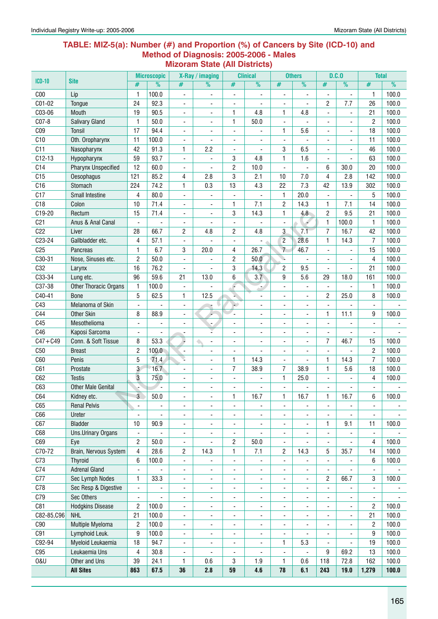#### **Table: MIZ-5(a): Number (#) and Proportion (%) of Cancers by Site (ICD-10) and Method of Diagnosis: 2005-2006 - Males Mizoram State (All Districts)**

|                 |                                       |                                  | <b>Microscopic</b>       |                          | X-Ray / imaging          |                          | <b>Clinical</b>          |                          | <b>Others</b>            |                          | D.C.0                    | <b>Total</b>             |                          |
|-----------------|---------------------------------------|----------------------------------|--------------------------|--------------------------|--------------------------|--------------------------|--------------------------|--------------------------|--------------------------|--------------------------|--------------------------|--------------------------|--------------------------|
| <b>ICD-10</b>   | <b>Site</b>                           | #                                | $\overline{\frac{9}{0}}$ | #                        | %                        | #                        | $\overline{\frac{9}{0}}$ | $\#$                     | $\overline{\frac{9}{0}}$ | $\#$                     | $\overline{\frac{9}{0}}$ | #                        | $\frac{9}{6}$            |
| C <sub>00</sub> | Lip                                   | $\mathbf{1}$                     | 100.0                    | $\overline{\phantom{a}}$ | $\overline{\phantom{a}}$ | $\overline{\phantom{a}}$ | $\blacksquare$           | $\blacksquare$           | ÷,                       | ÷,                       | $\blacksquare$           | 1                        | 100.0                    |
| C01-02          | Tongue                                | 24                               | 92.3                     | ÷,                       | ٠                        | $\blacksquare$           | ä,                       | $\overline{\phantom{a}}$ | $\overline{a}$           | $\overline{2}$           | 7.7                      | 26                       | 100.0                    |
| C03-06          | Mouth                                 | 19                               | 90.5                     | ÷,                       | ٠                        | 1                        | 4.8                      | $\mathbf{1}$             | 4.8                      | $\overline{a}$           |                          | 21                       | 100.0                    |
| C07-8           | Salivary Gland                        | $\mathbf{1}$                     | 50.0                     | $\overline{\phantom{a}}$ | ٠                        | 1                        | 50.0                     |                          |                          |                          |                          | 2                        | 100.0                    |
| C <sub>09</sub> | <b>Tonsil</b>                         | 17                               | 94.4                     | $\overline{\phantom{0}}$ | ٠                        | $\overline{\phantom{a}}$ |                          | $\mathbf{1}$             | 5.6                      |                          |                          | 18                       | 100.0                    |
| C10             | Oth. Oropharynx                       | 11                               | 100.0                    | $\blacksquare$           |                          | $\overline{\phantom{a}}$ |                          | $\overline{\phantom{a}}$ |                          |                          |                          | 11                       | 100.0                    |
| C11             | Nasopharynx                           | 42                               | 91.3                     | 1                        | 2.2                      | $\blacksquare$           |                          | 3                        | 6.5                      | $\overline{\phantom{a}}$ | ä,                       | 46                       | 100.0                    |
| $C12-13$        | Hypopharynx                           | 59                               | 93.7                     | $\blacksquare$           |                          | 3                        | 4.8                      | $\mathbf{1}$             | 1.6                      | $\overline{a}$           |                          | 63                       | 100.0                    |
| C14             | <b>Pharynx Unspecified</b>            | 12                               | 60.0                     | $\blacksquare$           |                          | $\overline{c}$           | 10.0                     | ÷,                       |                          | 6                        | 30.0                     | 20                       | 100.0                    |
| C15             | Oesophagus                            | 121                              | 85.2                     | 4                        | 2.8                      | 3                        | 2.1                      | 10                       | 7.0                      | 4                        | 2.8                      | 142                      | 100.0                    |
| C16             | Stomach                               | 224                              | 74.2                     | 1                        | 0.3                      | 13                       | 4.3                      | 22                       | 7.3                      | 42                       | 13.9                     | 302                      | 100.0                    |
| C17             | <b>Small Intestine</b>                | 4                                | 80.0                     | $\blacksquare$           |                          | $\overline{\phantom{a}}$ |                          | $\mathbf{1}$             | 20.0                     |                          |                          | 5                        | 100.0                    |
| C18             | Colon                                 | 10                               | 71.4                     | ٠                        | $\overline{\phantom{a}}$ | 1                        | 7.1                      | $\overline{c}$           | 14.3                     | 1                        | 7.1                      | 14                       | 100.0                    |
| C19-20          | Rectum                                | 15                               | 71.4                     | $\overline{\phantom{a}}$ | $\blacksquare$           | 3                        | 14.3                     | 1                        | 4.8                      | $\overline{c}$           | 9.5                      | 21                       | 100.0                    |
| C <sub>21</sub> | Anus & Anal Canal                     | $\blacksquare$                   | $\overline{\phantom{a}}$ | $\overline{\phantom{a}}$ | $\blacksquare$           | $\overline{\phantom{a}}$ |                          | $\overline{\phantom{a}}$ |                          | $\mathbf{1}$             | 100.0                    | 1                        | 100.0                    |
| C22             | Liver                                 | 28                               | 66.7                     | 2                        | 4.8                      | 2                        | 4.8                      | 3                        | 7.1                      | $\overline{7}$           | 16.7                     | 42                       | 100.0                    |
| C23-24          | Gallbladder etc.                      | 4                                | 57.1                     | $\blacksquare$           |                          | $\overline{\phantom{a}}$ |                          | $\overline{c}$           | 28.6                     | $\mathbf{1}$             | 14.3                     | $\overline{7}$           | 100.0                    |
| C <sub>25</sub> | Pancreas                              | 1                                | 6.7                      | 3                        | 20.0                     | 4                        | 26.7                     | $\overline{7}$           | 46.7                     |                          |                          | 15                       | 100.0                    |
| C30-31          | Nose, Sinuses etc.                    | $\overline{c}$                   | 50.0                     | $\blacksquare$           |                          | $\overline{c}$           | 50.0                     | ù.                       |                          |                          |                          | 4                        | 100.0                    |
| C32             | Larynx                                | 16                               | 76.2                     | $\overline{\phantom{a}}$ |                          | $\sqrt{3}$               | 14.3                     | $\overline{c}$           | 9.5                      | $\frac{1}{2}$            |                          | 21                       | 100.0                    |
| C33-34          | Lung etc.                             | 96                               | 59.6                     | 21                       | 13.0                     | 6                        | 3.7                      | 9                        | 5.6                      | 29                       | 18.0                     | 161                      | 100.0                    |
| C37-38          | Other Thoracic Organs                 | $\mathbf{1}$                     | 100.0                    | $\overline{\phantom{a}}$ |                          | F                        |                          | $\blacksquare$           | $\blacksquare$           | ä,                       |                          | 1                        | 100.0                    |
| C40-41          | <b>Bone</b>                           | 5                                | 62.5                     | 1                        | 12.5                     | ¥,                       |                          | ä,                       | $\blacksquare$           | $\overline{c}$           | 25.0                     | 8                        | 100.0                    |
| C43             | Melanoma of Skin                      |                                  |                          | $\overline{\phantom{a}}$ |                          | ÷.                       |                          |                          |                          |                          |                          | $\blacksquare$           |                          |
| C44             | <b>Other Skin</b>                     | 8                                | 88.9                     | $\frac{1}{2}$            |                          | ä,                       |                          | ÷,                       |                          | 1                        | 11.1                     | 9                        | 100.0                    |
| C45             | Mesothelioma                          |                                  |                          | ٠                        | $\blacksquare$           | ÷,                       | ٠                        | $\blacksquare$           | $\overline{\phantom{a}}$ | ä,                       |                          | $\overline{\phantom{a}}$ |                          |
| C46             | Kaposi Sarcoma                        | $\overline{\phantom{a}}$         |                          | ۰                        |                          | ä,                       | ٠                        | $\overline{\phantom{a}}$ | $\blacksquare$           | $\frac{1}{2}$            |                          | $\overline{\phantom{a}}$ |                          |
| $C47 + C49$     | Conn. & Soft Tissue                   | 8                                | 53.3                     | Ļ                        | $\blacksquare$           | $\frac{1}{2}$            | ٠                        | $\overline{\phantom{a}}$ | $\blacksquare$           | $\overline{7}$           | 46.7                     | 15                       | 100.0                    |
| C50             | <b>Breast</b>                         | $\overline{c}$                   | 100.0                    | $\Box$                   | ä,                       | $\frac{1}{2}$            |                          | $\blacksquare$           | $\overline{\phantom{0}}$ | ä,                       |                          | 2                        | 100.0                    |
| C60             | Penis                                 | 5                                | 71.4                     | ₹                        |                          | 1                        | 14.3                     |                          |                          | 1                        | 14.3                     | $\overline{7}$           | 100.0                    |
| C61             | Prostate                              | 3                                | 16.7                     | ٠                        | -                        | 7                        | 38.9                     | $\overline{7}$           | 38.9                     | $\mathbf{1}$             | 5.6                      | 18                       | 100.0                    |
| C62             | <b>Testis</b>                         | $\overline{3}$                   | 75.0                     | $\blacksquare$           | $\overline{\phantom{a}}$ | $\overline{\phantom{a}}$ |                          | $\mathbf{1}$             | 25.0                     |                          |                          | 4                        | 100.0                    |
| C63             | <b>Other Male Genital</b>             |                                  |                          | ÷,                       | $\overline{\phantom{a}}$ | $\blacksquare$           |                          | $\blacksquare$           |                          | $\frac{1}{2}$            |                          | $\overline{\phantom{a}}$ |                          |
| C64             | Kidney etc.                           | 3                                | 50.0                     |                          |                          | 1                        | 16.7                     | $\mathbf{1}$             | 16.7                     | 1                        | 16.7                     | 6                        | 100.0                    |
| C65             | <b>Renal Pelvis</b>                   | $\overline{\phantom{a}}$         | $\overline{\phantom{a}}$ | $\overline{\phantom{0}}$ | ٠                        | $\overline{\phantom{a}}$ | ٠                        | $\overline{\phantom{a}}$ | $\overline{\phantom{a}}$ | $\overline{\phantom{a}}$ | $\blacksquare$           | $\overline{\phantom{a}}$ | $\overline{\phantom{a}}$ |
| C66             | Ureter                                |                                  |                          | ٠                        |                          | $\overline{\phantom{a}}$ |                          | $\overline{\phantom{a}}$ |                          |                          |                          | $\overline{\phantom{a}}$ |                          |
| C67             | <b>Bladder</b>                        | 10                               | 90.9                     | $\overline{\phantom{a}}$ | $\overline{a}$           | $\overline{\phantom{a}}$ | ۰                        | $\overline{\phantom{a}}$ | $\overline{\phantom{a}}$ | 1                        | 9.1                      | 11                       | 100.0                    |
| C68             | <b>Uns.Urinary Organs</b>             | $\blacksquare$                   | $\overline{\phantom{a}}$ | -                        | $\overline{\phantom{a}}$ | $\overline{\phantom{a}}$ | ÷,                       | $\overline{\phantom{a}}$ | $\overline{\phantom{a}}$ | $\frac{1}{2}$            | $\overline{\phantom{a}}$ | $\overline{\phantom{a}}$ |                          |
| C69             | Eye                                   | $\overline{c}$                   | 50.0                     | $\overline{\phantom{a}}$ | ٠                        | 2                        | 50.0                     | $\overline{\phantom{a}}$ | $\overline{\phantom{a}}$ | $\overline{\phantom{a}}$ | $\blacksquare$           | 4                        | 100.0                    |
| C70-72          | Brain, Nervous System                 | $\overline{4}$                   | 28.6                     | 2                        | 14.3                     | 1                        | 7.1                      | $\overline{c}$           | 14.3                     | 5                        | 35.7                     | 14                       | 100.0                    |
| C73             | Thyroid                               | 6                                | 100.0                    | -                        | ٠                        | $\overline{\phantom{a}}$ | ÷,                       | $\overline{\phantom{a}}$ | $\overline{\phantom{a}}$ | ٠                        |                          | 6                        | 100.0                    |
| C74             | <b>Adrenal Gland</b>                  | $\overline{\phantom{a}}$         |                          | $\overline{\phantom{0}}$ | ٠                        | $\overline{\phantom{a}}$ | $\overline{\phantom{0}}$ | $\overline{\phantom{a}}$ | $\overline{\phantom{a}}$ | $\overline{\phantom{a}}$ |                          | $\blacksquare$           |                          |
| C77             | Sec Lymph Nodes                       | 1                                | 33.3                     | $\overline{\phantom{0}}$ | $\overline{\phantom{a}}$ | $\frac{1}{2}$            | $\overline{\phantom{0}}$ | $\overline{\phantom{a}}$ | $\overline{\phantom{a}}$ | $\overline{c}$           | 66.7                     | 3                        | 100.0                    |
| C78             | Sec Resp & Digestive                  |                                  |                          |                          |                          |                          |                          |                          |                          |                          |                          |                          |                          |
| C79             |                                       | $\overline{\phantom{a}}$         |                          | $\overline{\phantom{a}}$ | $\overline{\phantom{a}}$ | ۰                        | ۰                        | ٠                        | ۰                        | $\overline{\phantom{a}}$ |                          | $\blacksquare$           |                          |
| C81             | Sec Others                            | $\blacksquare$<br>$\overline{c}$ | 100.0                    | $\overline{\phantom{a}}$ | $\overline{\phantom{a}}$ | $\blacksquare$           | $\overline{\phantom{a}}$ | $\overline{\phantom{a}}$ | $\overline{\phantom{a}}$ | $\blacksquare$           |                          | $\blacksquare$           | 100.0                    |
| C82-85,C96      | <b>Hodgkins Disease</b><br><b>NHL</b> | 21                               |                          | $\overline{\phantom{0}}$ | $\overline{\phantom{a}}$ | $\overline{\phantom{a}}$ | $\overline{\phantom{0}}$ | $\overline{\phantom{a}}$ | $\overline{\phantom{a}}$ | $\overline{\phantom{a}}$ | $\overline{\phantom{a}}$ | 2<br>21                  |                          |
|                 |                                       |                                  | 100.0                    | $\overline{\phantom{a}}$ | $\overline{\phantom{a}}$ | $\overline{\phantom{a}}$ | ۰                        | $\overline{\phantom{a}}$ | $\overline{\phantom{a}}$ | $\overline{\phantom{a}}$ | $\overline{\phantom{a}}$ |                          | 100.0                    |
| C90             | Multiple Myeloma                      | $\overline{c}$                   | 100.0                    | $\frac{1}{2}$            | $\overline{\phantom{a}}$ | $\overline{\phantom{a}}$ | $\overline{\phantom{0}}$ | $\overline{\phantom{a}}$ | $\overline{\phantom{a}}$ | $\frac{1}{2}$            | $\blacksquare$           | 2                        | 100.0                    |
| C91             | Lymphoid Leuk.                        | 9                                | 100.0                    | $\overline{\phantom{a}}$ | ٠                        | $\frac{1}{2}$            | ۰                        | ÷,                       | $\overline{a}$           |                          |                          | 9                        | 100.0                    |
| C92-94          | Myeloid Leukaemia                     | 18                               | 94.7                     | $\overline{\phantom{a}}$ | $\overline{a}$           | $\overline{\phantom{a}}$ | ۰                        | 1                        | 5.3                      | $\overline{\phantom{a}}$ | ÷,                       | 19                       | 100.0                    |
| C95             | Leukaemia Uns                         | 4                                | 30.8                     | -                        | ٠                        | $\overline{\phantom{a}}$ | ۰                        | $\overline{\phantom{a}}$ |                          | 9                        | 69.2                     | 13                       | 100.0                    |
| 0&U             | Other and Uns                         | 39                               | 24.1                     | 1                        | 0.6                      | 3                        | 1.9                      | $\mathbf{1}$             | 0.6                      | 118                      | 72.8                     | 162                      | 100.0                    |
|                 | <b>All Sites</b>                      | 863                              | 67.5                     | 36                       | 2.8                      | 59                       | 4.6                      | 78                       | 6.1                      | 243                      | 19.0                     | 1,279                    | 100.0                    |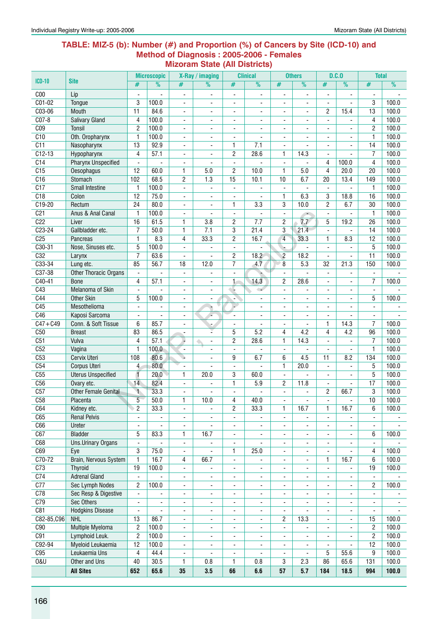#### **Table: MIZ-5 (b): Number (#) and Proportion (%) of Cancers by Site (ICD-10) and Method of Diagnosis : 2005-2006 - Females Mizoram State (All Districts)**

|                        |                                    |                               | <b>Microscopic</b>       |                               | X-Ray / imaging          |                              | <b>Clinical</b>                  |                               | <b>Others</b>            |                               | D.C.0                    | <b>Total</b>             |                |
|------------------------|------------------------------------|-------------------------------|--------------------------|-------------------------------|--------------------------|------------------------------|----------------------------------|-------------------------------|--------------------------|-------------------------------|--------------------------|--------------------------|----------------|
| $ICD-10$               | <b>Site</b>                        | #                             | $\overline{\frac{9}{0}}$ | #                             | $\frac{9}{6}$            | #                            | %                                | #                             | %                        | #                             | %                        | #                        | %              |
| C <sub>00</sub>        | Lip                                |                               |                          | ۰                             | $\blacksquare$           | ÷,                           |                                  | Ĭ.                            |                          |                               |                          | ۰                        |                |
| $C01-02$               | Tonque                             | 3                             | 100.0                    | ÷,                            | $\overline{\phantom{a}}$ | $\overline{\phantom{0}}$     | ٠                                | $\overline{\phantom{a}}$      | $\overline{\phantom{a}}$ | $\blacksquare$                |                          | 3                        | 100.0          |
| C03-06                 | Mouth                              | 11                            | 84.6                     | ä,                            | $\overline{\phantom{0}}$ | ä,                           | $\blacksquare$                   | $\blacksquare$                | $\overline{a}$           | $\overline{c}$                | 15.4                     | 13                       | 100.0          |
| $CO7-8$                | <b>Salivary Gland</b>              | 4                             | 100.0                    | ۰                             | $\blacksquare$           | $\overline{\phantom{a}}$     |                                  | $\blacksquare$                |                          | $\overline{\phantom{a}}$      |                          | 4                        | 100.0          |
| C <sub>09</sub>        | <b>Tonsil</b>                      | $\overline{2}$                | 100.0                    | ٠                             |                          | $\overline{a}$               |                                  |                               |                          |                               |                          | 2                        | 100.0          |
| C10                    | Oth. Oropharynx                    | $\mathbf{1}$                  | 100.0                    | ۰                             |                          | $\overline{a}$               |                                  |                               |                          |                               |                          | $\mathbf{1}$             | 100.0          |
| C11                    | Nasopharynx                        | 13                            | 92.9                     | ٠                             |                          | 1                            | 7.1                              | $\blacksquare$                | $\overline{a}$           |                               |                          | 14                       | 100.0          |
| $C12-13$               | Hypopharynx                        | 4                             | 57.1                     | $\overline{\phantom{a}}$      | $\overline{a}$           | 2                            | 28.6                             | 1                             | 14.3                     | $\overline{a}$                |                          | 7                        | 100.0          |
| C14                    | <b>Pharynx Unspecified</b>         | $\overline{a}$                |                          | ÷,                            |                          | $\overline{a}$               |                                  | $\overline{\phantom{a}}$      |                          | 4                             | 100.0                    | 4                        | 100.0          |
| C15                    | Oesophagus                         | 12                            | 60.0                     | 1                             | 5.0                      | $\overline{2}$               | 10.0                             | 1                             | 5.0                      | 4                             | 20.0                     | 20                       | 100.0          |
| C16                    | Stomach                            | 102                           | 68.5                     | $\overline{c}$                | 1.3                      | 15                           | 10.1                             | 10                            | 6.7                      | 20                            | 13.4                     | 149                      | 100.0          |
| C17                    | <b>Small Intestine</b>             | $\mathbf{1}$                  | 100.0                    | L,                            |                          | $\blacksquare$               |                                  |                               |                          |                               |                          | 1                        | 100.0          |
| C18                    | Colon                              | $\overline{12}$               | 75.0                     | L.                            | $\overline{\phantom{a}}$ | ä,                           |                                  | 1                             | 6.3                      | 3                             | 18.8                     | 16                       | 100.0          |
| C19-20                 | Rectum                             | 24                            | 80.0                     | ÷,                            | ٠                        | 1                            | 3.3                              | 3                             | 10.0                     | 2                             | 6.7                      | 30                       | 100.0          |
| C <sub>21</sub>        | Anus & Anal Canal                  | $\mathbf{1}$                  | 100.0                    | $\blacksquare$                | $\blacksquare$           | $\blacksquare$               |                                  | $\overline{\phantom{a}}$      | $\overline{\phantom{a}}$ | $\overline{\phantom{a}}$      |                          | $\mathbf{1}$             | 100.0          |
| C <sub>22</sub>        | Liver                              | 16                            | 61.5                     | 1                             | 3.8                      | 2                            | 7.7                              | 2                             | 7.7                      | 5                             | 19.2                     | 26                       | 100.0          |
| $C23 - 24$             | Gallbladder etc.                   | 7                             | 50.0                     | 1                             | $\overline{7.1}$         | 3                            | 21.4                             | 3                             | 21.4                     | $\blacksquare$                | $\blacksquare$           | 14                       | 100.0          |
| C <sub>25</sub>        | Pancreas                           | $\mathbf{1}$                  | 8.3                      | 4                             | 33.3                     | $\overline{c}$               | 16.7                             | 4                             | 33.3                     | 1                             | 8.3                      | 12                       | 100.0          |
| C30-31                 | Nose, Sinuses etc.                 | 5                             | 100.0                    | ٠                             |                          |                              |                                  |                               |                          |                               |                          | 5                        | 100.0          |
| C32<br>C33-34          | Larynx                             | $\overline{7}$<br>85          | 63.6<br>56.7             | ä,<br>18                      | 12.0                     | 2<br>$\overline{7}$          | 18.2<br>4.7                      | $\overline{c}$<br>8           | 18.2<br>5.3              | ä,<br>32                      | $\mathbf{r}$<br>21.3     | 11<br>150                | 100.0<br>100.0 |
| C37-38                 | Lung etc.<br>Other Thoracic Organs | $\blacksquare$                |                          | $\overline{\phantom{a}}$      | $\overline{a}$           | $\overline{a}$               |                                  | $\mathbf{r}$                  |                          | $\blacksquare$                |                          | $\overline{a}$           |                |
| $C40-41$               | <b>Bone</b>                        | 4                             | 57.1                     | ä,                            | ä,                       | 1                            | 14.3                             | $\overline{c}$                | 28.6                     | $\overline{a}$                |                          | 7                        | 100.0          |
| C43                    | Melanoma of Skin                   |                               |                          | ۰                             | ä,                       |                              | الت                              | $\blacksquare$                |                          |                               |                          |                          |                |
| C44                    | <b>Other Skin</b>                  | 5                             | 100.0                    | ۰                             |                          | ٠                            |                                  |                               |                          |                               |                          | 5                        | 100.0          |
| C45                    | Mesothelioma                       |                               |                          | ÷,                            | v<br>۰                   |                              | $\blacksquare$                   | $\blacksquare$                | $\overline{\phantom{0}}$ | $\overline{a}$                |                          | ÷.                       |                |
| C46                    | Kaposi Sarcoma                     |                               | $\overline{a}$           | ä,                            |                          | ÷,                           |                                  |                               | L.                       | $\overline{a}$                |                          | $\blacksquare$           |                |
| $\overline{C47 + C49}$ | Conn. & Soft Tissue                | 6                             | 85.7                     | ۰                             |                          | $\overline{\phantom{a}}$     | $\blacksquare$                   | $\overline{\phantom{a}}$      | $\blacksquare$           | $\mathbf{1}$                  | 14.3                     | 7                        | 100.0          |
| C50                    | <b>Breast</b>                      | 83                            | 86.5                     | ٠                             |                          | 5                            | 5.2                              | 4                             | 4.2                      | 4                             | 4.2                      | 96                       | 100.0          |
| C51                    | Vulva                              | 4                             | 57.1                     | ۰,                            | ä,                       | 2                            | 28.6                             | 1                             | 14.3                     | $\overline{a}$                | $\blacksquare$           | 7                        | 100.0          |
| C52                    | Vagina                             | $\mathbf{1}$                  | 100.0                    | $\blacksquare$                |                          | $\overline{\phantom{a}}$     |                                  | $\overline{\phantom{a}}$      |                          |                               |                          | 1                        | 100.0          |
| C53                    | Cervix Uteri                       | 108                           | 80.6                     | ٠                             |                          | 9                            | 6.7                              | 6                             | 4.5                      | 11                            | 8.2                      | 134                      | 100.0          |
| C54                    | Corpus Uteri                       | 4                             | 80.0                     |                               |                          | $\blacksquare$               |                                  | 1                             | 20.0                     |                               |                          | 5                        | 100.0          |
| C55                    | <b>Uterus Unspecified</b>          | $\overline{1}$                | 20.0                     | $\mathbf{1}$                  | 20.0                     | 3                            | 60.0                             | $\blacksquare$                | L.                       | $\blacksquare$                | ٠                        | $\overline{5}$           | 100.0          |
| C56                    | Ovary etc.                         | 14                            | 82.4                     | $\blacksquare$                | $\overline{a}$           | 1                            | 5.9                              | 2                             | 11.8                     | $\blacksquare$                | $\blacksquare$           | 17                       | 100.0          |
| C57                    | Other Female Genital               | $\ddot{\phantom{1}}$          | 33.3                     | Ĭ.                            |                          | $\frac{1}{2}$                |                                  | $\overline{\phantom{a}}$      | ÷,                       | $\overline{c}$                | 66.7                     | 3                        | 100.0          |
| C58                    | Placenta                           | $\overline{5}$                | 50.0                     | 1                             | 10.0                     | 4                            | 40.0                             |                               |                          |                               |                          | $\overline{10}$          | 100.0          |
| C64                    | Kidney etc.                        | $\overline{2}$                | 33.3                     |                               |                          | $\overline{c}$               | 33.3                             | 1                             | 16.7                     | $\mathbf{1}$                  | 16.7                     | 6                        | 100.0          |
| C65                    | <b>Renal Pelvis</b>                |                               |                          | ÷,                            |                          | $\frac{1}{2}$                |                                  | $\overline{\phantom{a}}$      |                          |                               |                          | $\overline{\phantom{a}}$ |                |
| C66                    | Ureter                             | $\blacksquare$                | $\overline{\phantom{0}}$ | ÷,                            | $\overline{a}$           | $\frac{1}{2}$                | $\overline{\phantom{0}}$         | $\blacksquare$                | $\overline{\phantom{0}}$ | $\overline{\phantom{a}}$      |                          | $\blacksquare$           |                |
| C67                    | <b>Bladder</b>                     | 5                             | 83.3                     | 1                             | 16.7                     | $\overline{\phantom{a}}$     | $\overline{\phantom{a}}$         | $\overline{\phantom{a}}$      | $\blacksquare$           | $\overline{\phantom{a}}$      | $\overline{\phantom{a}}$ | 6                        | 100.0          |
| C68<br>C69             | Uns.Urinary Organs                 | $\overline{\phantom{a}}$<br>3 | $\blacksquare$<br>75.0   | $\overline{\phantom{a}}$      | $\overline{\phantom{0}}$ | $\blacksquare$               | $\overline{\phantom{a}}$<br>25.0 | $\overline{\phantom{a}}$      | $\overline{\phantom{a}}$ | $\overline{\phantom{a}}$      | ٠                        | $\overline{\phantom{a}}$ | 100.0          |
| C70-72                 | Eye<br>Brain, Nervous System       | $\mathbf{1}$                  | 16.7                     | $\overline{\phantom{a}}$<br>4 | ÷,<br>66.7               | 1<br>$\frac{1}{2}$           |                                  | $\overline{\phantom{a}}$      | $\blacksquare$<br>L.     | $\overline{\phantom{a}}$<br>1 | 16.7                     | 4<br>6                   | 100.0          |
| C <sub>73</sub>        | <b>Thyroid</b>                     | 19                            | 100.0                    | ۰                             |                          | $\overline{\phantom{a}}$     | ٠                                | $\overline{\phantom{a}}$<br>٠ | ۰                        | $\overline{\phantom{a}}$      |                          | 19                       | 100.0          |
| C <sub>74</sub>        | <b>Adrenal Gland</b>               | $\blacksquare$                |                          | -                             |                          | ۰                            | ۰                                | ۰                             | -                        |                               |                          | $\blacksquare$           |                |
| C <sub>77</sub>        | Sec Lymph Nodes                    | 2                             | 100.0                    | ٠                             | ٠                        | $\overline{\phantom{0}}$     | $\blacksquare$                   | $\blacksquare$                | L.                       | $\overline{\phantom{a}}$      | $\blacksquare$           | 2                        | 100.0          |
| C78                    | Sec Resp & Digestive               | $\overline{\phantom{a}}$      |                          | ٠                             | $\overline{\phantom{a}}$ | $\overline{\phantom{a}}$     | $\overline{\phantom{a}}$         | $\overline{\phantom{a}}$      | $\overline{\phantom{a}}$ | $\blacksquare$                | $\overline{\phantom{a}}$ | $\overline{\phantom{a}}$ |                |
| C79                    | Sec Others                         | $\overline{\phantom{a}}$      |                          | ۰                             | $\overline{\phantom{a}}$ | $\overline{\phantom{a}}$     | $\overline{\phantom{a}}$         | $\overline{\phantom{a}}$      |                          | $\overline{\phantom{a}}$      |                          | $\overline{\phantom{a}}$ |                |
| C81                    | <b>Hodgkins Disease</b>            | $\blacksquare$                |                          | ۰                             | $\overline{\phantom{a}}$ | $\overline{\phantom{a}}$     | $\overline{\phantom{a}}$         | $\blacksquare$                |                          |                               |                          | $\overline{\phantom{a}}$ |                |
| C82-85, C96            | <b>NHL</b>                         | 13                            | 86.7                     | ۰                             | $\overline{\phantom{a}}$ | $\overline{\phantom{a}}$     | $\overline{\phantom{a}}$         | 2                             | 13.3                     |                               |                          | 15                       | 100.0          |
| C90                    | <b>Multiple Myeloma</b>            | $\overline{2}$                | 100.0                    | ÷,                            | ٠                        |                              | $\overline{\phantom{a}}$         |                               |                          |                               |                          | $\overline{c}$           | 100.0          |
| C91                    | Lymphoid Leuk.                     | $\overline{2}$                | 100.0                    | $\blacksquare$                | $\overline{\phantom{0}}$ | $\blacksquare$               | $\overline{\phantom{a}}$         | $\overline{\phantom{a}}$      | ÷,                       | ä,                            |                          | $\overline{c}$           | 100.0          |
| C92-94                 | Myeloid Leukaemia                  | 12                            | 100.0                    | ÷,                            | $\overline{\phantom{a}}$ | $\overline{\phantom{a}}$     | $\overline{\phantom{0}}$         | $\blacksquare$                | $\blacksquare$           | $\overline{\phantom{a}}$      |                          | 12                       | 100.0          |
| C95                    | Leukaemia Uns                      | 4                             | 44.4                     | $\overline{\phantom{a}}$      | ٠                        | $\qquad \qquad \blacksquare$ | $\overline{\phantom{a}}$         | $\overline{\phantom{a}}$      | $\overline{\phantom{a}}$ | 5                             | 55.6                     | 9                        | 100.0          |
| <b>0&amp;U</b>         | Other and Uns                      | 40                            | 30.5                     | 1                             | 0.8                      | 1                            | 0.8                              | 3                             | 2.3                      | 86                            | 65.6                     | 131                      | 100.0          |
|                        | <b>All Sites</b>                   | 652                           | 65.6                     | 35                            | 3.5                      | 66                           | 6.6                              | 57                            | 5.7                      | 184                           | 18.5                     | 994                      | 100.0          |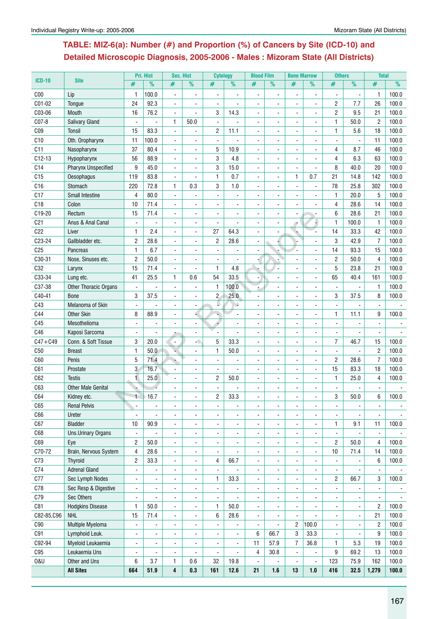## **Table: MIZ-6(a): Number (#) and Proportion (%) of Cancers by Site (ICD-10) and Detailed Microscopic Diagnosis, 2005-2006 - Males : Mizoram State (All Districts)**

|                 |                              |                          | Pri. Hist                    | Sec. Hist                |                          | <b>Cytology</b>     |                | <b>Blood Film</b>        |                | <b>Bone Marrow</b>       |                          | <b>Others</b>            |                          | <b>Total</b>   |       |
|-----------------|------------------------------|--------------------------|------------------------------|--------------------------|--------------------------|---------------------|----------------|--------------------------|----------------|--------------------------|--------------------------|--------------------------|--------------------------|----------------|-------|
| <b>ICD-10</b>   | <b>Site</b>                  | #                        | $\frac{9}{6}$                | #                        | %                        | #                   | $\frac{9}{6}$  | #                        | $\frac{9}{6}$  | #                        | %                        | #                        | $\overline{\%}$          | #              | %     |
| C <sub>00</sub> | Lip                          | 1                        | 100.0                        |                          |                          |                     |                |                          |                |                          |                          |                          |                          | 1              | 100.0 |
| C01-02          | Tongue                       | 24                       | 92.3                         | $\blacksquare$           | $\blacksquare$           |                     |                |                          |                |                          |                          | 2                        | 7.7                      | 26             | 100.0 |
| C03-06          | Mouth                        | 16                       | 76.2                         | $\blacksquare$           | $\overline{a}$           | 3                   | 14.3           |                          |                |                          |                          | $\overline{c}$           | 9.5                      | 21             | 100.0 |
| C07-8           | <b>Salivary Gland</b>        | $\blacksquare$           | ÷,                           | 1                        | 50.0                     | $\blacksquare$      |                |                          |                |                          |                          | 1                        | 50.0                     | $\overline{2}$ | 100.0 |
| C <sub>09</sub> | <b>Tonsil</b>                | 15                       | 83.3                         | $\blacksquare$           | ÷                        | 2                   | 11.1           | ÷.                       |                | $\blacksquare$           | $\overline{a}$           | 1                        | 5.6                      | 18             | 100.0 |
| C10             | Oth. Oropharynx              | 11                       | 100.0                        | $\blacksquare$           |                          | $\bar{\phantom{a}}$ |                |                          |                |                          |                          |                          | $\frac{1}{2}$            | 11             | 100.0 |
| C11             | Nasopharynx                  | 37                       | 80.4                         | $\overline{\phantom{a}}$ |                          | 5                   | 10.9           |                          |                |                          |                          | 4                        | 8.7                      | 46             | 100.0 |
| $C12-13$        | Hypopharynx                  | 56                       | 88.9                         |                          |                          | 3                   | 4.8            |                          |                |                          |                          | 4                        | 6.3                      | 63             | 100.0 |
| C14             | <b>Pharynx Unspecified</b>   | 9                        | 45.0                         | $\overline{\phantom{a}}$ | ä,                       | 3                   | 15.0           |                          |                |                          |                          | 8                        | 40.0                     | 20             | 100.0 |
| C15             | <b>Oesophagus</b>            | 119                      | 83.8                         | $\blacksquare$           | $\blacksquare$           | 1                   | 0.7            | $\blacksquare$           |                | $\mathbf{1}$             | 0.7                      | 21                       | 14.8                     | 142            | 100.0 |
| C16             | Stomach                      | 220                      | 72.8                         | $\mathbf{1}$             | 0.3                      | 3                   | 1.0            | $\blacksquare$           | $\blacksquare$ | $\blacksquare$           | $\blacksquare$           | 78                       | 25.8                     | 302            | 100.0 |
| C17             | <b>Small Intestine</b>       | 4                        | 80.0                         | $\sim$                   |                          |                     |                |                          |                |                          |                          | 1                        | 20.0                     | 5              | 100.0 |
| C18             | Colon                        | 10                       | 71.4                         |                          |                          |                     |                |                          |                |                          |                          | 4                        | 28.6                     | 14             | 100.0 |
| C19-20          | Rectum                       | 15                       | 71.4                         |                          |                          |                     |                |                          |                |                          |                          | 6                        | 28.6                     | 21             | 100.0 |
| C <sub>21</sub> | Anus & Anal Canal            |                          |                              | ÷,                       |                          |                     |                |                          |                | ۰                        |                          | 1                        | 100.0                    | 1              | 100.0 |
| C22             | Liver                        | $\mathbf{1}$             | 2.4                          |                          | $\blacksquare$           | 27                  | 64.3           |                          |                |                          |                          | 14                       | 33.3                     | 42             | 100.0 |
| C23-24          | Gallbladder etc.             | $\overline{c}$           | 28.6                         | L,                       | ä,                       | $\mathbf{2}$        | 28.6           | $\blacksquare$           |                |                          |                          | 3                        | 42.9                     | $\overline{7}$ | 100.0 |
| C <sub>25</sub> | Pancreas                     | 1                        | 6.7                          | $\sim$                   | $\blacksquare$           | $\blacksquare$      |                | $\blacksquare$           |                |                          | $\sim$                   | 14                       | 93.3                     | 15             | 100.0 |
| C30-31          | Nose, Sinuses etc.           | $\overline{c}$           | 50.0                         | $\blacksquare$           |                          | $\blacksquare$      | ÷,             |                          |                |                          | $\blacksquare$           | $\overline{c}$           | 50.0                     | 4              | 100.0 |
| C32             | Larynx                       | 15                       | 71.4                         | $\blacksquare$           |                          | $\mathbf{1}$        | 4.8            |                          |                |                          |                          | 5                        | 23.8                     | 21             | 100.0 |
| C33-34          | Lung etc.                    | 41                       | 25.5                         | $\mathbf{1}$             | 0.6                      | 54                  | 33.5           |                          |                |                          |                          | 65                       | 40.4                     | 161            | 100.0 |
| C37-38          | <b>Other Thoracic Organs</b> | $\blacksquare$           |                              | $\blacksquare$           | $\overline{\phantom{a}}$ | $\mathbf{1}$        | 100.0          |                          |                |                          |                          |                          |                          | $\mathbf{1}$   | 100.0 |
| C40-41          | <b>Bone</b>                  | 3                        | 37.5                         | $\blacksquare$           | ÷,                       | $\overline{2}$      | 25.0           |                          |                |                          |                          | 3                        | 37.5                     | 8              | 100.0 |
| C43             | Melanoma of Skin             | $\blacksquare$           |                              | $\blacksquare$           | $\blacksquare$           | ۷                   | ₽              | $\blacksquare$           |                | $\blacksquare$           | $\blacksquare$           |                          |                          |                |       |
| C44             | <b>Other Skin</b>            | 8                        | 88.9                         |                          |                          |                     |                |                          |                |                          |                          | 1                        | 11.1                     | 9              | 100.0 |
| C45             | Mesothelioma                 |                          |                              |                          |                          |                     |                |                          |                |                          |                          |                          |                          |                |       |
| C46             | Kaposi Sarcoma               |                          |                              |                          |                          |                     |                |                          |                |                          |                          |                          |                          |                |       |
| $C47 + C49$     | Conn. & Soft Tissue          | 3                        | 20.0                         | $\blacksquare$           | -0                       | 5                   | 33.3           |                          |                |                          |                          | 7                        | 46.7                     | 15             | 100.0 |
| C50             | <b>Breast</b>                | 1                        | 50.0                         |                          |                          | 1                   | 50.0           |                          |                |                          |                          | $\blacksquare$           |                          | $\overline{c}$ | 100.0 |
| C60             | Penis                        | 5                        | 71.4                         | ÷                        | ä,                       | $\blacksquare$      |                |                          |                |                          | $\overline{\phantom{a}}$ | $\overline{c}$           | 28.6                     | 7              | 100.0 |
| C61             | Prostate                     | 3                        | 16.7                         | $\blacksquare$           | $\blacksquare$           | $\mathbf{r}$        |                | $\blacksquare$           | $\blacksquare$ | $\blacksquare$           | $\sim$                   | 15                       | 83.3                     | 18             | 100.0 |
| C62             | <b>Testis</b>                | 1                        | 25.0                         | $\sim$                   | ÷                        | $\overline{c}$      | 50.0           | ÷.                       | $\blacksquare$ | $\blacksquare$           | $\sim$                   | $\mathbf{1}$             | 25.0                     | 4              | 100.0 |
| C63             | <b>Other Male Genital</b>    |                          |                              |                          |                          |                     |                |                          |                |                          |                          |                          |                          |                |       |
| C64             | Kidney etc.                  |                          | 16.7                         |                          |                          | 2                   | 33.3           |                          |                |                          |                          | 3                        | 50.0                     | 6              | 100.0 |
| C65             | <b>Renal Pelvis</b>          | $\blacksquare$           | $\blacksquare$               | $\blacksquare$           | $\overline{\phantom{a}}$ | $\blacksquare$      |                | $\blacksquare$           | $\blacksquare$ | $\blacksquare$           | $\blacksquare$           | $\overline{\phantom{a}}$ |                          | $\blacksquare$ |       |
| C66             | Ureter                       |                          |                              |                          |                          |                     |                |                          |                |                          |                          |                          |                          |                |       |
| C67             | <b>Bladder</b>               | 10                       | 90.9                         | $\blacksquare$           | ä,                       | $\blacksquare$      |                | $\blacksquare$           |                | $\blacksquare$           |                          | $\mathbf{1}$             | 9.1                      | 11             | 100.0 |
| C68             | Uns.Urinary Organs           | $\blacksquare$           |                              | $\blacksquare$           | $\blacksquare$           | $\blacksquare$      |                | $\blacksquare$           | $\blacksquare$ | $\blacksquare$           | $\blacksquare$           |                          |                          | $\blacksquare$ |       |
| C69             | Eye                          | $\overline{c}$           | 50.0                         |                          |                          |                     |                |                          |                |                          |                          | $\overline{c}$           | 50.0                     | 4              | 100.0 |
| C70-72          | Brain, Nervous System        | 4                        | 28.6                         |                          |                          |                     |                |                          |                |                          |                          | 10                       | 71.4                     | 14             | 100.0 |
| C73             | <b>Thyroid</b>               | 2                        | 33.3                         | $\blacksquare$           | $\overline{\phantom{0}}$ | 4                   | 66.7           |                          |                |                          |                          |                          |                          | 6              | 100.0 |
| C74             | <b>Adrenal Gland</b>         | $\blacksquare$           | $\qquad \qquad \blacksquare$ | $\blacksquare$           | ٠                        | $\blacksquare$      |                |                          |                | $\blacksquare$           |                          | $\blacksquare$           |                          | $\blacksquare$ |       |
| C77             | Sec Lymph Nodes              | $\blacksquare$           | ÷,                           | $\blacksquare$           | $\overline{\phantom{a}}$ | 1                   | 33.3           | $\overline{\phantom{0}}$ |                | $\overline{a}$           | $\blacksquare$           | $\overline{c}$           | 66.7                     | 3              | 100.0 |
| C78             | Sec Resp & Digestive         | $\overline{\phantom{a}}$ | $\blacksquare$               | $\blacksquare$           | $\frac{1}{2}$            | $\blacksquare$      |                | $\blacksquare$           | $\blacksquare$ | $\overline{a}$           | $\blacksquare$           | $\blacksquare$           | $\overline{\phantom{a}}$ | $\blacksquare$ |       |
| C79             | Sec Others                   | $\blacksquare$           |                              | $\blacksquare$           | $\blacksquare$           | $\blacksquare$      |                | $\blacksquare$           | $\blacksquare$ | ä,                       | $\blacksquare$           | $\blacksquare$           | $\blacksquare$           | $\blacksquare$ |       |
| C81             | <b>Hodgkins Disease</b>      | 1                        | 50.0                         | $\blacksquare$           | ä,                       | 1                   | 50.0           | L.                       |                | $\overline{\phantom{a}}$ |                          |                          | $\blacksquare$           | $\overline{c}$ | 100.0 |
| C82-85, C96     | <b>NHL</b>                   | 15                       | 71.4                         | $\blacksquare$           |                          | 6                   | 28.6           |                          |                |                          |                          |                          |                          | 21             | 100.0 |
| C90             | Multiple Myeloma             | $\blacksquare$           |                              | $\blacksquare$           | $\overline{\phantom{a}}$ | $\blacksquare$      |                | $\blacksquare$           |                | 2                        | 100.0                    | $\blacksquare$           |                          | 2              | 100.0 |
| C91             | Lymphoid Leuk.               | $\blacksquare$           |                              | $\overline{\phantom{a}}$ | $\overline{\phantom{a}}$ | $\blacksquare$      |                | 6                        | 66.7           | 3                        | 33.3                     |                          |                          | 9              | 100.0 |
| C92-94          | Myeloid Leukaemia            | $\blacksquare$           | $\ddot{\phantom{a}}$         | $\blacksquare$           | ä,                       | $\blacksquare$      | $\blacksquare$ | 11                       | 57.9           | $\overline{7}$           | 36.8                     | $\mathbf{1}$             | 5.3                      | 19             | 100.0 |
| C95             | Leukaemia Uns                | $\blacksquare$           |                              | $\sim$                   |                          | $\blacksquare$      |                | 4                        | 30.8           | $\blacksquare$           |                          | 9                        | 69.2                     | 13             | 100.0 |
| <b>0&amp;U</b>  | Other and Uns                | 6                        | 3.7                          | 1                        | 0.6                      | 32                  | 19.8           |                          |                | $\overline{a}$           | $\overline{\phantom{a}}$ | 123                      | 75.9                     | 162            | 100.0 |
|                 | <b>All Sites</b>             | 664                      | 51.9                         | 4                        | 0.3                      | 161                 | 12.6           | 21                       | 1.6            | 13                       | 1.0                      | 416                      | 32.5                     | 1,279          | 100.0 |
|                 |                              |                          |                              |                          |                          |                     |                |                          |                |                          |                          |                          |                          |                |       |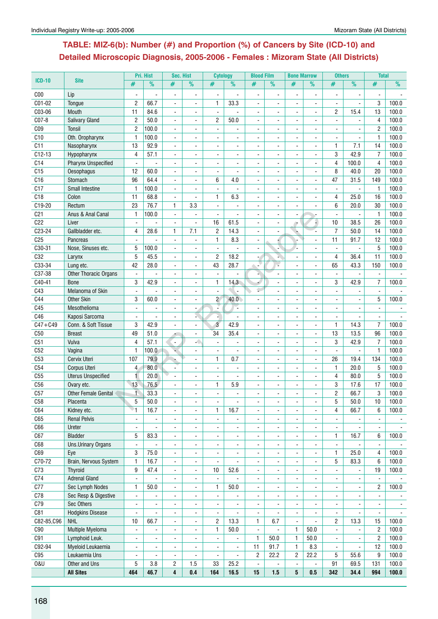## **Table: MIZ-6(b): Number (#) and Proportion (%) of Cancers by Site (ICD-10) and Detailed Microscopic Diagnosis, 2005-2006 - Females : Mizoram State (All Districts)**

|                 |                             |                | Pri. Hist      | Sec. Hist             |                          | <b>Cytology</b>          |                          | <b>Blood Film</b> |                          | <b>Bone Marrow</b>       |                          | <b>Others</b>            |                     | <b>Total</b>        |                |
|-----------------|-----------------------------|----------------|----------------|-----------------------|--------------------------|--------------------------|--------------------------|-------------------|--------------------------|--------------------------|--------------------------|--------------------------|---------------------|---------------------|----------------|
| $ICD-10$        | <b>Site</b>                 | #              | %              | #                     | %                        | #                        | $\frac{9}{6}$            | #                 | $\frac{9}{6}$            | #                        | $\frac{9}{6}$            | #                        | $\frac{9}{6}$       | #                   | %              |
| C <sub>00</sub> | Lip                         |                |                |                       |                          |                          |                          |                   |                          |                          |                          |                          |                     |                     |                |
| C01-02          | Tongue                      | $\overline{2}$ | 66.7           | ÷,                    |                          | 1                        | 33.3                     |                   |                          |                          |                          |                          |                     | 3                   | 100.0          |
| C03-06          | Mouth                       | 11             | 84.6           | $\sim$                |                          | $\blacksquare$           |                          |                   |                          |                          | $\blacksquare$           | $\overline{2}$           | 15.4                | 13                  | 100.0          |
| C07-8           | <b>Salivary Gland</b>       | $\overline{2}$ | 50.0           | $\overline{a}$        | $\overline{a}$           | $\overline{2}$           | 50.0                     | ÷                 |                          | ÷                        | $\overline{a}$           | $\blacksquare$           |                     | $\overline{4}$      | 100.0          |
| CO <sub>9</sub> | Tonsil                      | $\overline{c}$ | 100.0          |                       |                          | ä,                       |                          |                   |                          |                          |                          |                          |                     | $\overline{2}$      | 100.0          |
| C10             |                             |                |                |                       |                          |                          |                          |                   |                          |                          |                          |                          |                     |                     | 100.0          |
|                 | Oth. Oropharynx             | $\mathbf{1}$   | 100.0          |                       |                          |                          |                          |                   |                          |                          |                          |                          |                     | $\mathbf{1}$        |                |
| C11             | Nasopharynx                 | 13             | 92.9           |                       |                          |                          |                          |                   |                          |                          |                          | $\mathbf{1}$             | 7.1                 | 14                  | 100.0          |
| $C12-13$        | Hypopharynx                 | 4              | 57.1           | $\blacksquare$        | $\overline{a}$           |                          |                          | $\blacksquare$    |                          | ä,                       | $\sim$                   | 3                        | 42.9                | $\overline{7}$      | 100.0          |
| C14             | <b>Pharynx Unspecified</b>  | $\blacksquare$ |                |                       |                          |                          |                          |                   |                          |                          |                          | 4                        | 100.0               | $\overline{4}$      | 100.0          |
| C <sub>15</sub> | Oesophagus                  | 12             | 60.0           |                       |                          |                          |                          |                   |                          |                          |                          | 8                        | 40.0                | 20                  | 100.0          |
| C16             | Stomach                     | 96             | 64.4           | $\blacksquare$        |                          | 6                        | 4.0                      | ÷.                |                          |                          | $\blacksquare$           | 47                       | 31.5                | 149                 | 100.0          |
| C17             | <b>Small Intestine</b>      | $\mathbf{1}$   | 100.0          | $\blacksquare$        | ÷                        | $\overline{a}$           |                          | ÷.                | ÷                        | ÷                        | $\blacksquare$           | $\overline{a}$           | $\overline{a}$      | $\mathbf{1}$        | 100.0          |
| C18             | Colon                       | 11             | 68.8           | $\blacksquare$        | $\blacksquare$           | 1                        | 6.3                      | $\blacksquare$    | L.                       | ä,                       | $\blacksquare$           | 4                        | 25.0                | 16                  | 100.0          |
| C19-20          | Rectum                      | 23             | 76.7           | 1                     | 3.3                      |                          |                          | $\blacksquare$    |                          |                          |                          | 6                        | 20.0                | 30                  | 100.0          |
| C <sub>21</sub> | Anus & Anal Canal           | $\mathbf{1}$   | 100.0          | $\blacksquare$        |                          |                          |                          |                   |                          |                          | ÷                        |                          |                     | $\mathbf{1}$        | 100.0          |
| C22             | Liver                       | $\overline{a}$ |                | $\blacksquare$        | ä,                       | 16                       | 61.5                     | $\blacksquare$    |                          | ۰                        | Ð                        | 10                       | 38.5                | 26                  | 100.0          |
| C23-24          | Gallbladder etc.            | 4              | 28.6           | $\mathbf{1}$          | 7.1                      | $\sqrt{2}$               | 14.3                     |                   |                          |                          |                          | $\overline{7}$           | 50.0                | 14                  | 100.0          |
| C <sub>25</sub> | Pancreas                    |                |                |                       |                          | $\mathbf{1}$             | 8.3                      |                   |                          |                          |                          | 11                       | 91.7                | 12                  | 100.0          |
| C30-31          | Nose, Sinuses etc.          | 5              | 100.0          | $\overline{a}$        | $\overline{a}$           | $\sim$                   |                          | ÷.                |                          |                          | $\overline{a}$           | $\blacksquare$           | $\overline{a}$      | 5                   | 100.0          |
| C32             | Larynx                      | 5              | 45.5           | $\blacksquare$        |                          | $\overline{c}$           | 18.2                     |                   |                          |                          |                          | 4                        | 36.4                | 11                  | 100.0          |
| C33-34          | Lung etc.                   | 42             | 28.0           |                       |                          | 43                       | 28.7                     | ÷                 | ä,                       |                          |                          | 65                       | 43.3                | 150                 | 100.0          |
| C37-38          | Other Thoracic Organs       | $\blacksquare$ |                |                       |                          |                          |                          | ÷.                |                          |                          |                          |                          |                     |                     |                |
| C40-41          | <b>Bone</b>                 | 3              | 42.9           | ÷,                    | ÷                        | 1                        | 14.3                     |                   |                          |                          | ÷                        | 3                        | 42.9                | $\overline{7}$      | 100.0          |
| C43             | Melanoma of Skin            | ä,             |                |                       |                          |                          |                          | ۰                 |                          |                          |                          |                          |                     |                     |                |
| C44             | <b>Other Skin</b>           | 3              | 60.0           |                       |                          | $\overline{2}$           | 40.0                     |                   |                          |                          |                          |                          |                     | 5                   | 100.0          |
| C45             | Mesothelioma                | $\mathbf{r}$   |                | $\blacksquare$        |                          |                          | Ľ,                       | ٠                 |                          |                          |                          |                          |                     |                     |                |
| C46             | Kaposi Sarcoma              | $\mathbf{r}$   |                | $\overline{a}$        |                          |                          |                          | ÷.                | ÷                        | ÷                        | $\blacksquare$           | $\mathbf{r}$             | $\bar{\phantom{a}}$ | $\bar{\phantom{a}}$ |                |
| $C47 + C49$     | Conn. & Soft Tissue         | 3              | 42.9           | $\blacksquare$        | $\blacksquare$           | $\overline{3}$           | 42.9                     | ÷.                | L.                       | ä,                       | $\blacksquare$           | $\mathbf{1}$             | 14.3                | $\overline{7}$      | 100.0          |
| C50             | <b>Breast</b>               | 49             | 51.0           |                       | $\blacksquare$           | 34                       | 35.4                     | $\blacksquare$    |                          |                          | L.                       | 13                       | 13.5                | 96                  | 100.0          |
| C51             | Vulva                       | 4              | 57.1           | $\blacksquare$        | -0                       |                          |                          | $\frac{1}{2}$     |                          | $\blacksquare$           | $\blacksquare$           | 3                        | 42.9                | 7                   | 100.0          |
| C52             | Vagina                      | 1              | 100.0          |                       |                          |                          | ÷,                       | $\blacksquare$    |                          |                          | $\blacksquare$           |                          |                     | $\mathbf{1}$        | 100.0          |
| C53             | Cervix Uteri                | 107            | 79.9           |                       |                          | 1                        | 0.7                      |                   |                          |                          |                          | 26                       | 19.4                | 134                 | 100.0          |
| C54             | Corpus Uteri                | $\overline{4}$ | 80.0           |                       |                          |                          |                          |                   |                          |                          |                          | $\mathbf{1}$             | 20.0                | 5                   | 100.0          |
|                 |                             |                |                |                       |                          |                          |                          |                   |                          |                          |                          | 4                        |                     | 5                   |                |
| C55             | <b>Uterus Unspecified</b>   | 1<br>13        | 20.0           | $\blacksquare$<br>÷.  | $\overline{a}$           | $\mathbf{1}$             | $\overline{\phantom{a}}$ | ä,                |                          | ÷.                       |                          | 3                        | 80.0                | 17                  | 100.0          |
| C <sub>56</sub> | Ovary etc.                  | $\mathbf{1}$   | 76.5           |                       |                          |                          | 5.9                      |                   |                          |                          |                          |                          | 17.6                |                     | 100.0          |
| C57             | <b>Other Female Genital</b> |                | 33.3           |                       |                          |                          |                          |                   |                          | ä,                       |                          | $\overline{c}$           | 66.7                | 3                   | 100.0          |
| C58             | Placenta                    | 5 <sup>5</sup> | 50.0           |                       |                          |                          |                          |                   |                          |                          |                          | 5                        | 50.0                | $10$                | 100.0          |
| C64             | Kidney etc.                 | ੇ1             | 16.7           |                       |                          | 1                        | 16.7                     |                   |                          |                          |                          | 4                        | 66.7                | 6                   | 100.0          |
| C65             | <b>Renal Pelvis</b>         | $\blacksquare$ |                | $\blacksquare$        | $\overline{\phantom{a}}$ | $\overline{\phantom{a}}$ |                          | L,                | ä,                       | $\blacksquare$           | $\blacksquare$           |                          |                     |                     |                |
| C66             | Ureter                      | $\blacksquare$ |                | ÷,                    |                          | ÷                        | ä,                       | L.                |                          |                          |                          | $\blacksquare$           |                     |                     |                |
| C67             | Bladder                     | 5              | 83.3           | $\blacksquare$        |                          |                          |                          | ä,                | $\overline{\phantom{0}}$ | ٠                        | $\overline{\phantom{a}}$ | $\mathbf{1}$             | 16.7                | 6                   | 100.0          |
| C68             | <b>Uns.Urinary Organs</b>   | $\blacksquare$ |                | $\sim$                | $\blacksquare$           | $\blacksquare$           | $\blacksquare$           | ä,                | $\blacksquare$           | $\blacksquare$           | $\blacksquare$           | $\blacksquare$           | ä,                  | $\blacksquare$      |                |
| C69             | Eye                         | 3              | 75.0           | $\blacksquare$        | $\blacksquare$           | $\blacksquare$           | $\blacksquare$           | $\blacksquare$    | $\blacksquare$           | ä,                       | $\overline{\phantom{a}}$ | $\mathbf{1}$             | 25.0                | $\overline{4}$      | 100.0          |
| $C70-72$        | Brain, Nervous System       | $\mathbf{1}$   | 16.7           | $\blacksquare$        | $\blacksquare$           | $\blacksquare$           | ä,                       | ٠                 | $\overline{a}$           | $\overline{\phantom{a}}$ | $\overline{a}$           | 5                        | 83.3                | 6                   | 100.0          |
| C73             | Thyroid                     | 9              | 47.4           | $\blacksquare$        | $\blacksquare$           | 10                       | 52.6                     | ۰                 | $\overline{\phantom{0}}$ | ٠                        | $\blacksquare$           | $\blacksquare$           |                     | 19                  | 100.0          |
| C74             | <b>Adrenal Gland</b>        | $\blacksquare$ |                | $\blacksquare$        | $\blacksquare$           | $\blacksquare$           |                          | $\blacksquare$    | ä,                       | $\overline{\phantom{a}}$ | $\overline{a}$           |                          | $\blacksquare$      | $\blacksquare$      |                |
| C77             | Sec Lymph Nodes             | $\mathbf{1}$   | 50.0           | $\blacksquare$        | $\blacksquare$           | $\mathbf{1}$             | 50.0                     | $\blacksquare$    |                          | $\overline{\phantom{a}}$ |                          |                          |                     | $\overline{c}$      | 100.0          |
| C78             | Sec Resp & Digestive        | $\blacksquare$ |                |                       |                          |                          |                          |                   |                          |                          |                          |                          |                     |                     |                |
| C79             | Sec Others                  | $\blacksquare$ |                | $\blacksquare$        |                          | ÷,                       |                          | $\frac{1}{2}$     |                          | $\overline{\phantom{a}}$ |                          | $\overline{\phantom{a}}$ |                     |                     | $\blacksquare$ |
| C81             | <b>Hodgkins Disease</b>     | $\blacksquare$ |                | $\sim$                | $\blacksquare$           | $\blacksquare$           |                          | $\blacksquare$    |                          | $\blacksquare$           | $\blacksquare$           | $\blacksquare$           |                     |                     |                |
| C82-85,C96      | <b>NHL</b>                  | 10             | 66.7           | $\blacksquare$        | $\blacksquare$           | $\overline{c}$           | 13.3                     | $\mathbf{1}$      | 6.7                      | $\blacksquare$           |                          | $\overline{c}$           | 13.3                | 15                  | 100.0          |
| C90             | Multiple Myeloma            | $\blacksquare$ |                |                       |                          | $\mathbf{1}$             | 50.0                     |                   |                          | $\mathbf{1}$             | 50.0                     |                          |                     | $\overline{2}$      | 100.0          |
| C91             | Lymphoid Leuk.              | $\blacksquare$ |                |                       |                          |                          |                          | 1                 | 50.0                     | 1                        | 50.0                     | $\blacksquare$           |                     | $\overline{c}$      | 100.0          |
| C92-94          | Myeloid Leukaemia           | $\blacksquare$ | $\blacksquare$ | $\tilde{\phantom{a}}$ | $\blacksquare$           | $\overline{\phantom{a}}$ | $\overline{\phantom{a}}$ | 11                | 91.7                     | 1                        | 8.3                      | ä,                       |                     | 12                  | 100.0          |
| C95             | Leukaemia Uns               | $\blacksquare$ |                | $\blacksquare$        |                          | ä,                       | $\overline{a}$           | $\overline{c}$    | 22.2                     | 2                        | 22.2                     | 5                        | 55.6                | 9                   | 100.0          |
| <b>0&amp;U</b>  | Other and Uns               | 5              | 3.8            | $\overline{c}$        | 1.5                      | 33                       | 25.2                     | $\blacksquare$    |                          | $\blacksquare$           |                          | 91                       | 69.5                | 131                 | 100.0          |
|                 | <b>All Sites</b>            | 464            | 46.7           | 4                     | 0.4                      | 164                      | 16.5                     | 15                | 1.5                      | $5\phantom{.0}$          | 0.5                      | 342                      | 34.4                | 994                 | 100.0          |
|                 |                             |                |                |                       |                          |                          |                          |                   |                          |                          |                          |                          |                     |                     |                |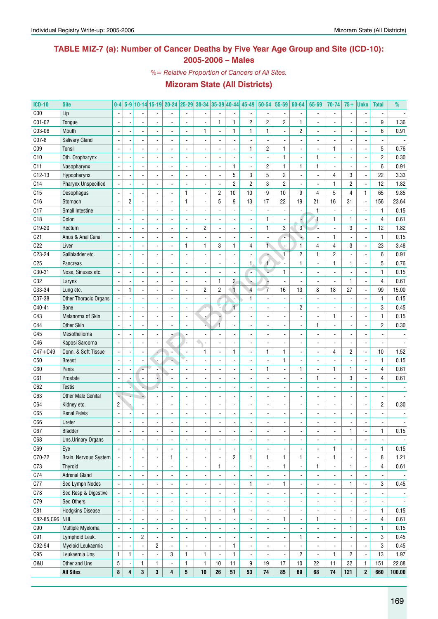### **TABLE MIZ-7 (a): Number of Cancer Deaths by Five Year Age Group and Site (ICD-10): 2005-2006 – Males**

*%= Relative Proportion of Cancers of All Sites.*

| <b>ICD-10</b>   | <b>Site</b>                | $0-4$                    |                          |                          |                | 5-9 10-14 15-19 20-24 25-29 30-34 35-39 40-44 |                              |                          |                          |                          | 45-49          | 50-54          | 55-59          | 60-64                    | 65-69                    | 70-74                    | $75+$          | <b>Unkn</b>              | <b>Total</b>             | %              |
|-----------------|----------------------------|--------------------------|--------------------------|--------------------------|----------------|-----------------------------------------------|------------------------------|--------------------------|--------------------------|--------------------------|----------------|----------------|----------------|--------------------------|--------------------------|--------------------------|----------------|--------------------------|--------------------------|----------------|
| C <sub>00</sub> | Lip                        | $\overline{\phantom{a}}$ |                          |                          |                |                                               | $\overline{a}$               |                          |                          |                          |                |                | $\blacksquare$ |                          | $\blacksquare$           | $\overline{\phantom{a}}$ |                | $\overline{\phantom{a}}$ |                          |                |
| C01-02          | Tongue                     |                          |                          |                          |                |                                               | ÷,                           |                          | 1                        | $\mathbf{1}$             | $\overline{2}$ | $\overline{c}$ | $\overline{c}$ | $\mathbf{1}$             |                          | ÷.                       |                |                          | 9                        | 1.36           |
| C03-06          | Mouth                      | $\overline{\phantom{a}}$ |                          |                          |                |                                               | ÷.                           | $\mathbf{1}$             | $\overline{\phantom{a}}$ | $\mathbf{1}$             | 1              | $\mathbf{1}$   | ä,             | $\overline{c}$           |                          | $\overline{\phantom{a}}$ |                | $\overline{\phantom{a}}$ | 6                        | 0.91           |
| C07-8           | <b>Salivary Gland</b>      | $\overline{\phantom{a}}$ |                          |                          |                |                                               |                              |                          |                          | ÷,                       |                |                |                | $\overline{a}$           |                          | ÷.                       |                | $\overline{\phantom{a}}$ |                          |                |
| CO <sub>9</sub> | Tonsil                     | $\overline{\phantom{a}}$ |                          |                          |                |                                               |                              |                          |                          | ÷,                       | 1              | $\overline{c}$ | $\mathbf{1}$   | $\blacksquare$           |                          | $\mathbf{1}$             |                | $\overline{a}$           | 5                        | 0.76           |
| C10             | Oth. Oropharynx            | $\overline{\phantom{a}}$ |                          |                          |                |                                               |                              |                          |                          | $\overline{a}$           |                |                | $\mathbf{1}$   | $\blacksquare$           | 1                        | $\blacksquare$           |                | $\overline{a}$           | $\overline{c}$           | 0.30           |
| C11             | Nasopharynx                | $\blacksquare$           |                          |                          |                |                                               |                              |                          |                          | $\mathbf{1}$             |                | $\overline{c}$ | $\mathbf{1}$   | 1                        | 1                        | $\overline{\phantom{a}}$ |                | $\overline{a}$           | 6                        | 0.91           |
| $C12-13$        | Hypopharynx                | $\overline{\phantom{a}}$ |                          |                          |                |                                               |                              |                          |                          | 5                        | 3              | 5              | $\overline{c}$ | $\blacksquare$           |                          | $\overline{4}$           | 3              | ÷,                       | 22                       | 3.33           |
| C14             | <b>Pharynx Unspecified</b> | $\overline{\phantom{a}}$ |                          |                          |                |                                               |                              |                          |                          | $\overline{c}$           | $\overline{2}$ | 3              | $\sqrt{2}$     |                          |                          | $\mathbf{1}$             | 2              | ÷,                       | 12                       | 1.82           |
| C15             | Oesophagus                 | $\blacksquare$           |                          |                          |                |                                               | 1                            | $\overline{\phantom{a}}$ | $\overline{c}$           | 10                       | 10             | 9              | 10             | 9                        | 4                        | 5                        | 4              | $\mathbf{1}$             | 65                       | 9.85           |
| C16             | Stomach                    | $\blacksquare$           | $\overline{2}$           |                          |                |                                               | 1                            | $\overline{a}$           | 5                        | 9                        | 13             | 17             | 22             | 19                       | 21                       | 16                       | 31             | $\overline{a}$           | 156                      | 23.64          |
| C17             | Small Intestine            | $\overline{\phantom{a}}$ |                          |                          |                |                                               |                              |                          |                          | ÷,                       |                |                | ä,             | $\blacksquare$           | $\mathbf{1}$             | $\blacksquare$           |                | $\overline{a}$           | 1                        | 0.15           |
| C18             | Colon                      | $\overline{\phantom{a}}$ |                          |                          |                |                                               |                              |                          |                          | $\blacksquare$           |                | 1              | ä,             |                          | 4                        | $\mathbf{1}$             | 1              | ÷,                       | 4                        | 0.61           |
| C19-20          | Rectum                     | $\overline{\phantom{a}}$ |                          |                          |                |                                               |                              | 2                        |                          | $\blacksquare$           |                | $\mathbf{1}$   | 3              | 3                        |                          | $\blacksquare$           | 3              | ÷,                       | 12                       | 1.82           |
| C <sub>21</sub> | Anus & Anal Canal          | $\overline{\phantom{a}}$ |                          |                          |                |                                               |                              | $\overline{\phantom{a}}$ |                          | $\overline{a}$           |                |                |                |                          |                          | $\mathbf{1}$             |                | $\overline{a}$           | $\mathbf{1}$             | 0.15           |
| C22             | Liver                      | $\overline{\phantom{a}}$ |                          |                          |                |                                               | 1                            | $\mathbf{1}$             | 3                        | $\mathbf{1}$             | $\overline{4}$ | $\mathbf{1}$   | ÷,             | $\mathbf{1}$             | 4                        | $\overline{4}$           | 3              | ÷,                       | 23                       | 3.48           |
| C23-24          | Gallbladder etc.           | $\overline{\phantom{a}}$ |                          |                          |                |                                               |                              |                          |                          | $\blacksquare$           |                |                | $\overline{1}$ | $\overline{c}$           | $\mathbf{1}$             | $\overline{2}$           |                | $\overline{a}$           | 6                        | 0.91           |
| C <sub>25</sub> |                            | $\overline{\phantom{a}}$ |                          |                          |                |                                               |                              |                          |                          |                          | $\mathbf{1}$   | 1              |                |                          |                          | $\mathbf{1}$             | 1              | $\overline{a}$           | 5                        | 0.76           |
|                 | Pancreas                   |                          |                          |                          |                |                                               |                              |                          |                          | $\frac{1}{2}$            |                |                |                | 1                        |                          |                          |                |                          |                          |                |
| C30-31          | Nose, Sinuses etc.         | $\overline{\phantom{a}}$ |                          |                          |                |                                               |                              |                          |                          | ÷,                       | ٠              |                | 1              | $\overline{\phantom{a}}$ |                          | $\overline{\phantom{a}}$ |                | $\overline{a}$           | $\mathbf{1}$             | 0.15           |
| C32             | Larynx                     | $\overline{\phantom{a}}$ |                          |                          |                |                                               |                              | $\overline{\phantom{a}}$ | 1                        | $\mathbf{2}$             |                |                | $\overline{a}$ |                          |                          | $\overline{\phantom{a}}$ | $\mathbf{1}$   | ÷,                       | 4                        | 0.61           |
| C33-34          | Lung etc.                  | $\overline{\phantom{a}}$ | $\mathbf{1}$             | ÷.                       |                |                                               |                              | 2                        | $\overline{c}$           | $\mathbf{1}$             | $\overline{4}$ | $\overline{7}$ | 16             | 13                       | 8                        | 18                       | 27             | ÷,                       | 99                       | 15.00          |
| C37-38          | Other Thoracic Organs      | $\overline{\phantom{a}}$ |                          |                          |                |                                               |                              | $\overline{\phantom{a}}$ |                          | ÷,                       | 1              |                | $\blacksquare$ |                          |                          | $\overline{\phantom{a}}$ |                | $\overline{a}$           | $\mathbf{1}$             | 0.15           |
| C40-41          | <b>Bone</b>                |                          |                          |                          |                |                                               |                              |                          |                          | $\overline{1}$           |                |                | $\blacksquare$ | $\overline{c}$           |                          | ÷.                       |                | $\overline{a}$           | 3                        | 0.45           |
| C43             | Melanoma of Skin           | $\overline{\phantom{a}}$ |                          |                          |                |                                               |                              |                          |                          | $\blacksquare$           |                |                | $\blacksquare$ | $\blacksquare$           |                          | $\mathbf{1}$             | $\overline{a}$ | $\overline{a}$           | 1                        | 0.15           |
| C44             | <b>Other Skin</b>          | $\overline{\phantom{a}}$ |                          |                          |                |                                               |                              |                          |                          | ÷,                       |                |                | ÷,             | $\blacksquare$           | 1                        | $\blacksquare$           |                | $\overline{a}$           | $\overline{\mathbf{c}}$  | 0.30           |
| C45             | Mesothelioma               | $\overline{\phantom{a}}$ |                          |                          |                |                                               |                              |                          |                          | $\overline{a}$           |                |                | ÷,             | ٠                        |                          | $\overline{\phantom{a}}$ |                |                          |                          |                |
| C46             | Kaposi Sarcoma             | $\overline{\phantom{a}}$ |                          |                          |                |                                               |                              |                          |                          | $\overline{a}$           |                |                | ÷,             | ٠                        |                          | $\overline{\phantom{a}}$ |                | $\overline{\phantom{a}}$ |                          |                |
| $C47 + C49$     | Conn. & Soft Tissue        | $\overline{\phantom{a}}$ |                          |                          |                |                                               |                              | $\mathbf{1}$             |                          | $\mathbf{1}$             |                | 1              | 1              | $\overline{a}$           |                          | 4                        | $\overline{2}$ | $\overline{a}$           | 10                       | 1.52           |
| C50             | <b>Breast</b>              |                          |                          |                          |                |                                               |                              |                          |                          | ÷,                       |                |                | 1              | ٠                        |                          | ÷,                       |                | $\overline{\phantom{a}}$ | $\mathbf{1}$             | 0.15           |
| C60             | Penis                      | $\overline{\phantom{a}}$ |                          |                          |                |                                               |                              |                          |                          | L,                       |                | 1              | ÷,             | 1                        |                          | $\mathbf{1}$             | $\mathbf{1}$   |                          | 4                        | 0.61           |
| C61             | Prostate                   | $\overline{\phantom{a}}$ |                          | $\blacksquare$           |                |                                               |                              |                          |                          | $\overline{a}$           |                |                | ÷,             | $\blacksquare$           | 1                        | $\blacksquare$           | 3              |                          | 4                        | 0.61           |
| C62             | <b>Testis</b>              | ÷,                       |                          |                          |                |                                               |                              |                          |                          | $\overline{a}$           |                |                | ÷,             |                          |                          | $\overline{a}$           |                |                          | $\blacksquare$           |                |
| C63             | <b>Other Male Genital</b>  | ų                        |                          |                          |                |                                               |                              |                          |                          | $\overline{a}$           |                |                | ÷,             | $\overline{a}$           |                          | $\overline{a}$           |                |                          | $\blacksquare$           |                |
| C64             | Kidney etc.                | $\overline{c}$           |                          |                          |                |                                               |                              |                          |                          | ÷,                       |                |                | ÷,             | $\blacksquare$           |                          | $\overline{a}$           | ٠              |                          | 2                        | 0.30           |
| C65             | <b>Renal Pelvis</b>        | $\overline{\phantom{a}}$ |                          |                          |                |                                               |                              |                          |                          | $\overline{a}$           |                |                | ÷,             | ÷                        |                          | $\overline{a}$           | ä,             |                          |                          |                |
| <b>C66</b>      | Ureter                     | $\overline{\phantom{a}}$ |                          |                          |                |                                               |                              |                          |                          | $\overline{a}$           |                |                |                |                          |                          |                          | ä,             |                          |                          |                |
| C67             | <b>Bladder</b>             | $\overline{\phantom{a}}$ | $\overline{\phantom{a}}$ | $\overline{\phantom{a}}$ |                |                                               | $\qquad \qquad \blacksquare$ | $\overline{\phantom{a}}$ | $\overline{\phantom{a}}$ | $\overline{\phantom{a}}$ |                |                | ٠              |                          |                          | $\overline{\phantom{m}}$ | 1              | $\overline{\phantom{a}}$ | 1                        | 0.15           |
| C68             | Uns.Urinary Organs         | $\overline{\phantom{a}}$ |                          | $\blacksquare$           |                | $\overline{a}$                                | $\blacksquare$               |                          | $\overline{a}$           | $\blacksquare$           |                |                | $\blacksquare$ | $\overline{\phantom{a}}$ | $\overline{\phantom{a}}$ | ÷,                       | $\blacksquare$ | $\overline{a}$           |                          |                |
| C69             | Eye                        | $\blacksquare$           |                          | $\blacksquare$           |                |                                               | $\blacksquare$               | $\overline{\phantom{a}}$ |                          | $\blacksquare$           |                |                |                |                          | $\blacksquare$           | $\mathbf{1}$             |                | $\overline{a}$           | 1                        | 0.15           |
| C70-72          | Brain, Nervous System      | $\overline{\phantom{a}}$ |                          | $\blacksquare$           |                | $\mathbf{1}$                                  | $\overline{\phantom{a}}$     | $\overline{\phantom{a}}$ |                          | $\overline{c}$           | 1              | $\mathbf{1}$   | $\mathbf{1}$   | 1                        | $\blacksquare$           | $\mathbf{1}$             |                | $\overline{a}$           | 8                        | 1.21           |
| C73             | <b>Thyroid</b>             | $\blacksquare$           |                          | $\blacksquare$           |                |                                               | $\blacksquare$               | $\overline{\phantom{a}}$ | 1                        | $\overline{\phantom{a}}$ |                | $\blacksquare$ | $\mathbf{1}$   | $\overline{\phantom{a}}$ | $\mathbf{1}$             | $\overline{\phantom{a}}$ | 1              | $\overline{a}$           | 4                        | 0.61           |
| C74             | <b>Adrenal Gland</b>       | $\blacksquare$           |                          | $\blacksquare$           |                |                                               | $\blacksquare$               | $\overline{\phantom{a}}$ |                          | $\blacksquare$           |                | $\blacksquare$ |                | $\overline{\phantom{a}}$ | $\blacksquare$           | $\overline{\phantom{a}}$ |                | $\overline{a}$           | $\overline{\phantom{a}}$ | $\blacksquare$ |
| C77             | Sec Lymph Nodes            | $\blacksquare$           |                          | $\blacksquare$           |                | $\overline{a}$                                | $\blacksquare$               | $\overline{\phantom{a}}$ |                          | $\overline{\phantom{a}}$ | 1              | $\blacksquare$ | 1              | $\overline{\phantom{a}}$ | $\overline{\phantom{a}}$ | $\overline{\phantom{a}}$ | 1              | $\overline{a}$           | 3                        | 0.45           |
| C78             | Sec Resp & Digestive       | $\blacksquare$           |                          | $\blacksquare$           |                |                                               | $\blacksquare$               | $\overline{\phantom{a}}$ |                          | $\blacksquare$           |                |                | $\blacksquare$ | $\overline{\phantom{a}}$ | $\overline{\phantom{a}}$ | $\blacksquare$           |                | $\overline{a}$           | $\overline{\phantom{a}}$ |                |
| C79             | Sec Others                 | $\blacksquare$           |                          | $\blacksquare$           |                |                                               | $\blacksquare$               | $\overline{\phantom{a}}$ |                          | $\blacksquare$           |                | ÷.             | $\blacksquare$ | $\overline{\phantom{a}}$ |                          | $\overline{\phantom{a}}$ |                | $\overline{a}$           | $\overline{\phantom{a}}$ | $\blacksquare$ |
| C81             | <b>Hodgkins Disease</b>    | $\blacksquare$           |                          | $\blacksquare$           |                |                                               | $\blacksquare$               |                          |                          | $\mathbf{1}$             | $\blacksquare$ |                | ä,             | ٠                        |                          | $\overline{\phantom{a}}$ |                | $\overline{a}$           | 1                        | 0.15           |
| C82-85, C96 NHL |                            | $\blacksquare$           |                          | $\blacksquare$           |                |                                               | $\blacksquare$               | $\mathbf{1}$             |                          | $\blacksquare$           |                |                | $\mathbf{1}$   | ٠                        | $\mathbf{1}$             | $\overline{\phantom{a}}$ | 1              | ÷,                       | 4                        | 0.61           |
| C90             | Multiple Myeloma           | $\blacksquare$           |                          | $\overline{\phantom{a}}$ |                |                                               | $\overline{a}$               | $\overline{a}$           |                          | $\overline{\phantom{a}}$ |                |                | $\blacksquare$ |                          | $\overline{\phantom{a}}$ | $\overline{\phantom{a}}$ | 1              | ÷,                       | 1                        | 0.15           |
| C91             | Lymphoid Leuk.             | $\blacksquare$           |                          | 2                        |                |                                               | $\blacksquare$               | $\blacksquare$           |                          | $\blacksquare$           |                |                | $\blacksquare$ | 1                        | $\overline{\phantom{a}}$ | ÷,                       |                | ÷,                       | 3                        | 0.45           |
| C92-94          | Myeloid Leukaemia          | $\blacksquare$           |                          | $\blacksquare$           | $\overline{2}$ |                                               | $\overline{a}$               |                          |                          | $\mathbf{1}$             | $\blacksquare$ |                | $\blacksquare$ |                          | ä,                       | ä,                       |                | $\overline{a}$           | 3                        | 0.45           |
| C95             | Leukaemia Uns              | $\mathbf{1}$             | 1                        | $\blacksquare$           | ÷.             | 3                                             | $\mathbf{1}$                 | $\mathbf{1}$             | $\overline{a}$           | $\mathbf{1}$             |                |                | ÷,             | $\overline{c}$           | $\blacksquare$           | $\mathbf{1}$             | $\overline{c}$ | ÷,                       | 13                       | 1.97           |
| <b>0&amp;U</b>  | Other and Uns              | 5                        |                          | 1                        | $\mathbf{1}$   | $\overline{a}$                                | 1                            | $\mathbf{1}$             | 10                       | 11                       | 9              | 19             | 17             | $10$                     | 22                       | 11                       | 32             | $\mathbf{1}$             | 151                      | 22.88          |
|                 | <b>All Sites</b>           | 8                        | 4                        | 3                        | $\mathbf{3}$   | 4                                             | ${\bf 5}$                    | 10                       | 26                       | 51                       | 53             | 74             | 85             | 69                       | 68                       | 74                       | 121            | $\boldsymbol{2}$         | 660                      | 100.00         |
|                 |                            |                          |                          |                          |                |                                               |                              |                          |                          |                          |                |                |                |                          |                          |                          |                |                          |                          |                |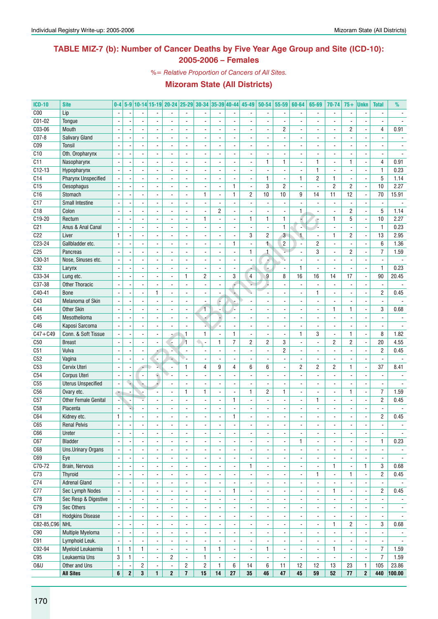### **TABLE MIZ-7 (b): Number of Cancer Deaths by Five Year Age Group and Site (ICD-10): 2005-2006 – Females**

*%= Relative Proportion of Cancers of All Sites.*

| <b>ICD-10</b>   | <b>Site</b>                 |                          |                |                          |                          |                          |                          |                          |                          |                          | 0-4 5-9 10-14 15-19 20-24 25-29 30-34 35-39 40-44 45-49 50-54 |                          | 55-59                    | 60-64                    | 65-69                    | 70-74                    | $75+$                    | <b>Unkn</b>                  | <b>Total</b>             | %                        |
|-----------------|-----------------------------|--------------------------|----------------|--------------------------|--------------------------|--------------------------|--------------------------|--------------------------|--------------------------|--------------------------|---------------------------------------------------------------|--------------------------|--------------------------|--------------------------|--------------------------|--------------------------|--------------------------|------------------------------|--------------------------|--------------------------|
| C <sub>00</sub> | Lip                         |                          |                |                          |                          |                          |                          |                          |                          |                          |                                                               |                          | $\overline{\phantom{a}}$ |                          | ٠                        | $\overline{\phantom{a}}$ |                          | $\overline{a}$               |                          |                          |
| C01-02          | Tongue                      |                          |                |                          |                          |                          |                          |                          |                          | $\overline{\phantom{a}}$ |                                                               |                          |                          |                          |                          |                          |                          |                              |                          |                          |
| C03-06          | Mouth                       |                          |                |                          |                          |                          |                          | ä,                       |                          | $\blacksquare$           |                                                               |                          | $\mathbf{2}$             |                          |                          | ä,                       | 2                        | ÷,                           | 4                        | 0.91                     |
| C07-8           | Salivary Gland              | $\sim$                   |                | $\sim$                   |                          | ÷.                       | $\blacksquare$           | $\overline{\phantom{a}}$ | ÷,                       | $\blacksquare$           | $\overline{\phantom{a}}$                                      |                          | ä,                       | $\blacksquare$           |                          | $\overline{\phantom{a}}$ |                          | ä,                           | $\overline{a}$           |                          |
| C <sub>09</sub> | Tonsil                      |                          |                |                          |                          |                          |                          | $\overline{\phantom{a}}$ | ٠                        | $\overline{\phantom{a}}$ | $\blacksquare$                                                |                          | $\blacksquare$           | $\overline{\phantom{a}}$ |                          | $\overline{\phantom{a}}$ |                          | ÷,                           |                          |                          |
| C10             | Oth. Oropharynx             |                          |                |                          |                          |                          |                          | $\overline{\phantom{a}}$ |                          | $\overline{\phantom{a}}$ |                                                               |                          |                          |                          |                          | $\blacksquare$           |                          | ٠                            |                          |                          |
| C11             | Nasopharynx                 |                          |                |                          |                          | $\overline{\phantom{a}}$ |                          | $\overline{\phantom{a}}$ | $\blacksquare$           | $\overline{\phantom{a}}$ | $\blacksquare$                                                | $\mathbf{1}$             | $\mathbf{1}$             | $\blacksquare$           | 1                        | $\blacksquare$           | $\mathbf{1}$             | ä,                           | $\overline{4}$           | 0.91                     |
| $C12-13$        | Hypopharynx                 |                          |                |                          |                          |                          |                          | ä,                       |                          | $\overline{\phantom{a}}$ |                                                               |                          | ä,                       |                          | $\mathbf{1}$             | ä,                       |                          | ä,                           | $\mathbf{1}$             | 0.23                     |
| C14             | Pharynx Unspecified         |                          |                |                          |                          |                          |                          | $\overline{\phantom{a}}$ | ٠                        | $\blacksquare$           |                                                               | $\mathbf{1}$             | $\overline{\phantom{a}}$ | $\mathbf{1}$             | $\overline{2}$           | 1                        |                          | $\overline{a}$               | 5                        | 1.14                     |
| C15             | <b>Oesophagus</b>           |                          |                |                          |                          | $\overline{\phantom{a}}$ |                          | $\frac{1}{2}$            | $\overline{a}$           | $\mathbf{1}$             | $\blacksquare$                                                | 3                        | $\overline{2}$           | $\blacksquare$           | ÷,                       | $\overline{2}$           | $\overline{c}$           | $\overline{\phantom{a}}$     | 10                       | 2.27                     |
| C16             | Stomach                     |                          |                | $\overline{a}$           |                          | $\overline{\phantom{a}}$ | $\blacksquare$           | $\mathbf{1}$             | ä,                       | $\mathbf{1}$             | $\overline{c}$                                                | 10                       | 10                       | 9                        | 14                       | 11                       | 12                       | $\overline{\phantom{a}}$     | 70                       | 15.91                    |
| C17             | <b>Small Intestine</b>      |                          |                |                          |                          | $\overline{a}$           |                          | $\blacksquare$           | $\overline{a}$           | $\overline{\phantom{a}}$ | $\overline{\phantom{a}}$                                      | $\blacksquare$           | $\blacksquare$           | $\overline{\phantom{a}}$ | ä,                       | ä,                       |                          | $\qquad \qquad \blacksquare$ | ä,                       |                          |
| C18             | Colon                       |                          |                |                          |                          |                          |                          | ä,                       | 2                        | $\blacksquare$           |                                                               |                          | ä,                       | 1                        |                          | $\overline{a}$           | 2                        | ä,                           | 5                        | 1.14                     |
| C19-20          | Rectum                      |                          |                |                          |                          | $\overline{\phantom{a}}$ | $\overline{\phantom{a}}$ | $\mathbf{1}$             | $\overline{a}$           | $\blacksquare$           | $\mathbf{1}$                                                  | $\mathbf{1}$             | $\mathbf{1}$             | Ц                        | ÷                        | $\mathbf{1}$             | 5                        | $\blacksquare$               | 10                       | 2.27                     |
| C <sub>21</sub> | Anus & Anal Canal           |                          |                |                          |                          |                          |                          |                          |                          | $\overline{\phantom{a}}$ |                                                               |                          | $\mathbf{1}$             |                          |                          | ä,                       |                          | $\overline{a}$               | $\mathbf{1}$             | 0.23                     |
| C22             | Liver                       | $\mathbf{1}$             |                |                          |                          |                          |                          |                          |                          | $\overline{\phantom{a}}$ | 3                                                             | $\overline{c}$           | $\mathbf{3}$             | 1.                       |                          | $\mathbf{1}$             | 2                        | Ĭ,                           | 13                       | 2.95                     |
| C23-24          | Gallbladder etc.            |                          |                | $\sim$                   | $\overline{a}$           | $\blacksquare$           | $\overline{a}$           | $\frac{1}{2}$            | ÷,                       | $\mathbf{1}$             | $\overline{\phantom{a}}$                                      | 1                        | $\overline{2}$           | $\Box$                   | $\overline{2}$           | $\overline{a}$           | L.                       | l,                           | $6\phantom{1}$           | 1.36                     |
| C <sub>25</sub> | Pancreas                    | $\overline{\phantom{a}}$ |                | $\blacksquare$           |                          | $\overline{a}$           |                          | $\blacksquare$           | ä,                       | $\blacksquare$           | $\mathbf{1}$                                                  | $\mathbf{1}$             | V.                       | $\blacksquare$           | 3                        | $\frac{1}{2}$            | $\overline{c}$           | ÷,                           | $\overline{7}$           | 1.59                     |
| $C30-31$        | Nose, Sinuses etc.          |                          |                |                          |                          |                          |                          | $\overline{\phantom{a}}$ | ٠                        | $\overline{\phantom{a}}$ | $\blacksquare$                                                | H,                       | Q,                       |                          |                          | $\overline{\phantom{a}}$ |                          | $\qquad \qquad \blacksquare$ |                          |                          |
| C32             | Larynx                      | $\sim$                   |                |                          |                          | ÷.                       |                          | ä,                       | $\overline{a}$           | $\blacksquare$           |                                                               |                          | $\blacksquare$           | $\mathbf{1}$             | $\overline{a}$           | $\overline{\phantom{a}}$ |                          | ä,                           | $\mathbf{1}$             | 0.23                     |
| C33-34          | Lung etc.                   |                          |                | $\overline{a}$           |                          | $\overline{\phantom{a}}$ | $\mathbf{1}$             | $\overline{2}$           | ä,                       | 3                        | $\overline{4}$                                                | 9                        | 8                        | 16                       | 16                       | 14                       | 17                       | ÷,                           | 90                       | 20.45                    |
| C37-38          | <b>Other Thoracic</b>       |                          |                | $\overline{a}$           |                          | $\blacksquare$           |                          | ÷,                       |                          | b,                       |                                                               |                          | ÷,                       |                          |                          | ÷,                       |                          | $\overline{\phantom{a}}$     |                          |                          |
| C40-41          | <b>Bone</b>                 | $\overline{a}$           |                |                          | $\mathbf{1}$             | $\blacksquare$           |                          |                          |                          | $\ell$                   | Q.                                                            |                          | ÷,                       |                          | $\mathbf{1}$             | ÷,                       |                          | l,                           | $\overline{2}$           | 0.45                     |
| C43             | Melanoma of Skin            |                          |                | $\overline{\phantom{a}}$ |                          | $\blacksquare$           |                          | $\overline{\phantom{a}}$ | c,                       | $\overline{\phantom{a}}$ |                                                               |                          | $\blacksquare$           | $\blacksquare$           |                          | $\overline{\phantom{a}}$ |                          | $\blacksquare$               | $\overline{\phantom{a}}$ |                          |
| C44             | <b>Other Skin</b>           | ÷,                       |                | $\overline{\phantom{a}}$ |                          | ÷.                       |                          | $\overline{1}$           | $\overline{a}$           | L.                       | $\overline{a}$                                                |                          | $\blacksquare$           | $\overline{a}$           |                          | $\mathbf{1}$             | 1                        | ä,                           | 3                        | 0.68                     |
| C45             | Mesothelioma                |                          |                |                          |                          |                          |                          | н,                       | ÷                        | $\overline{\phantom{a}}$ | $\overline{\phantom{a}}$                                      |                          | $\overline{\phantom{a}}$ | $\overline{\phantom{a}}$ |                          | $\overline{\phantom{a}}$ |                          | $\overline{\phantom{a}}$     | $\overline{\phantom{a}}$ |                          |
| C46             | Kaposi Sarcoma              |                          |                |                          |                          |                          |                          |                          |                          | $\blacksquare$           |                                                               |                          | ÷,                       |                          |                          | $\overline{a}$           |                          | $\overline{a}$               |                          |                          |
| $C47 + C49$     | Conn. & Soft Tissue         |                          |                | $\overline{a}$           |                          |                          | $\overline{1}$           | $\mathbf{1}$             | ä,                       | $\mathbf{1}$             | $\blacksquare$                                                |                          | ÷,                       | $\mathbf{1}$             | 3                        | $\frac{1}{2}$            | $\mathbf{1}$             | ä,                           | 8                        | 1.82                     |
| C50             | <b>Breast</b>               |                          |                |                          |                          | ÷.                       | $\overline{1}$           | $\overline{a}$<br>۰.     | $\mathbf{1}$             | $\overline{7}$           | $\overline{2}$                                                | $\overline{c}$           | 3                        | ä,                       |                          | $\overline{2}$           | $\overline{2}$           | ÷,                           | 20                       | 4.55                     |
| C51             | Vulva                       |                          |                |                          |                          |                          |                          |                          |                          | $\overline{\phantom{a}}$ |                                                               |                          | $\overline{c}$           |                          |                          | $\overline{\phantom{a}}$ |                          | $\blacksquare$               | $\overline{c}$           | 0.45                     |
| C52             | Vagina                      | $\overline{a}$           |                | ÷,                       |                          | ÷.                       | い.                       | ÷,                       | $\overline{a}$           | $\overline{\phantom{a}}$ |                                                               |                          | ÷,                       | ÷,                       |                          | ÷,                       |                          | ÷,                           | $\overline{a}$           |                          |
| C <sub>53</sub> | Cervix Uteri                | ÷,                       |                | $\overline{\phantom{a}}$ |                          | $\blacksquare$           | $\mathbf{1}$             | $\overline{4}$           | 9                        | 4                        | 6                                                             | 6                        | $\blacksquare$           | $\overline{c}$           | $\overline{2}$           | $\overline{c}$           | 1                        | ä,                           | 37                       | 8.41                     |
| C54             | Corpus Uteri                | $\overline{a}$           |                | $\blacksquare$           | ۵                        | $\blacksquare$           | $\blacksquare$           | $\frac{1}{2}$            | ÷,                       | $\blacksquare$           | $\overline{a}$                                                |                          | $\blacksquare$           | $\overline{a}$           |                          | ÷,                       | $\overline{a}$           | ä,                           | ÷,                       |                          |
| C55             | <b>Uterus Unspecified</b>   |                          |                |                          |                          | $\overline{\phantom{a}}$ |                          | $\overline{\phantom{a}}$ | ۰                        | $\overline{\phantom{a}}$ | $\overline{\phantom{a}}$                                      |                          | $\overline{\phantom{a}}$ | $\overline{\phantom{a}}$ |                          | $\overline{\phantom{a}}$ |                          | $\overline{\phantom{a}}$     |                          |                          |
| C <sub>56</sub> | Ovary etc.                  |                          |                |                          |                          |                          | $\mathbf{1}$             | $\mathbf{1}$             |                          | ÷,                       | $\mathbf{1}$                                                  | $\overline{c}$           | $\mathbf{1}$             |                          |                          | ä,                       | 1                        | $\overline{a}$               | $\overline{7}$           | 1.59                     |
| C57             | <b>Other Female Genital</b> |                          |                |                          |                          | $\blacksquare$           |                          | $\overline{\phantom{a}}$ | $\overline{\phantom{a}}$ | $\mathbf{1}$             | $\blacksquare$                                                |                          | ÷,                       | $\overline{\phantom{a}}$ | 1                        | $\overline{\phantom{a}}$ | $\overline{\phantom{a}}$ | ä,                           | $\overline{c}$           | 0.45                     |
| C58             | Placenta                    |                          |                |                          |                          | ÷,                       |                          | ä,                       |                          | $\overline{\phantom{a}}$ |                                                               |                          | ä,                       |                          |                          | $\overline{a}$           |                          | $\overline{a}$               |                          |                          |
| C64             | Kidney etc.                 | $\mathbf{1}$             |                |                          |                          |                          |                          |                          |                          | 1                        |                                                               |                          | $\overline{\phantom{a}}$ |                          |                          | $\overline{\phantom{a}}$ |                          | $\overline{a}$               | $\overline{2}$           | 0.45                     |
| C65             | <b>Renal Pelvis</b>         |                          |                |                          |                          |                          |                          |                          |                          | $\overline{a}$           |                                                               |                          | ÷,                       |                          |                          |                          |                          |                              |                          |                          |
| C66             | Ureter                      | $\blacksquare$           |                | $\overline{\phantom{a}}$ |                          | $\frac{1}{2}$            | $\frac{1}{2}$            | $\overline{\phantom{a}}$ | $\frac{1}{2}$            | $\overline{\phantom{a}}$ | $\overline{\phantom{a}}$                                      |                          | $\overline{\phantom{a}}$ | $\overline{\phantom{a}}$ | $\frac{1}{2}$            | $\blacksquare$           | $\overline{\phantom{a}}$ | $\overline{\phantom{a}}$     | $\overline{\phantom{a}}$ | $\overline{\phantom{a}}$ |
| C67             | Bladder                     | $\overline{\phantom{a}}$ | $\overline{a}$ | $\blacksquare$           | $\blacksquare$           | $\overline{\phantom{a}}$ | $\blacksquare$           | $\overline{\phantom{a}}$ | $\overline{\phantom{a}}$ | $\blacksquare$           | $\overline{\phantom{a}}$                                      | $\overline{\phantom{a}}$ | $\overline{\phantom{a}}$ | 1                        | $\overline{\phantom{0}}$ | $\overline{\phantom{a}}$ | $\blacksquare$           | $\blacksquare$               | $\mathbf{1}$             | 0.23                     |
| C68             | <b>Uns.Urinary Organs</b>   |                          |                | $\overline{\phantom{a}}$ | $\blacksquare$           | $\overline{\phantom{a}}$ | $\overline{\phantom{a}}$ | $\overline{\phantom{a}}$ | $\overline{\phantom{a}}$ | $\overline{\phantom{a}}$ | $\overline{\phantom{a}}$                                      | $\overline{\phantom{a}}$ | $\overline{\phantom{a}}$ | $\overline{\phantom{a}}$ | $\frac{1}{2}$            | $\overline{\phantom{a}}$ | $\overline{\phantom{a}}$ | $\qquad \qquad \blacksquare$ | $\overline{\phantom{a}}$ |                          |
| C69             | Eye                         | ÷,                       |                |                          |                          | $\overline{a}$           |                          | $\blacksquare$           | $\overline{a}$           | $\blacksquare$           |                                                               | $\blacksquare$           | $\blacksquare$           | ä,                       | ä,                       | $\overline{\phantom{a}}$ |                          | $\overline{\phantom{a}}$     | $\blacksquare$           |                          |
| C70-72          | Brain, Nervous              | $\overline{\phantom{a}}$ |                | $\overline{\phantom{a}}$ | $\blacksquare$           | $\overline{\phantom{a}}$ | $\blacksquare$           | $\overline{\phantom{a}}$ | $\overline{\phantom{a}}$ | $\blacksquare$           | $\mathbf{1}$                                                  | $\overline{\phantom{a}}$ | $\blacksquare$           | $\overline{\phantom{a}}$ | ä,                       | $\mathbf{1}$             | $\blacksquare$           | $\mathbf{1}$                 | 3                        | 0.68                     |
| C73             | <b>Thyroid</b>              | ÷,                       |                | ÷,                       |                          | $\blacksquare$           | $\blacksquare$           | $\overline{\phantom{a}}$ | ä,                       | $\blacksquare$           |                                                               | $\blacksquare$           | $\blacksquare$           | $\blacksquare$           | $\mathbf{1}$             | $\blacksquare$           | 1                        | ÷,                           | $\overline{2}$           | 0.45                     |
| C74             | <b>Adrenal Gland</b>        |                          |                |                          |                          | $\overline{\phantom{a}}$ | $\overline{\phantom{a}}$ |                          |                          | $\overline{\phantom{a}}$ |                                                               |                          | $\overline{\phantom{a}}$ |                          |                          |                          |                          | $\qquad \qquad \blacksquare$ |                          |                          |
| C77             | Sec Lymph Nodes             | $\overline{a}$           |                | $\blacksquare$           | $\blacksquare$           | $\blacksquare$           | $\blacksquare$           | $\blacksquare$           | $\blacksquare$           | $\mathbf{1}$             | $\blacksquare$                                                | $\blacksquare$           | $\blacksquare$           | $\blacksquare$           | ä,                       | $\mathbf{1}$             | $\blacksquare$           | $\overline{a}$               | $\mathbf{2}$             | 0.45                     |
| C78             | Sec Resp & Digestive        | $\overline{\phantom{a}}$ |                | $\overline{\phantom{a}}$ | $\overline{\phantom{a}}$ | $\overline{\phantom{a}}$ | $\blacksquare$           | $\overline{\phantom{a}}$ | $\overline{\phantom{a}}$ | $\Box$                   | $\blacksquare$                                                | $\blacksquare$           | $\overline{\phantom{a}}$ | $\overline{\phantom{a}}$ | $\overline{\phantom{0}}$ | $\blacksquare$           | $\blacksquare$           | ä,                           | $\blacksquare$           | $\overline{\phantom{a}}$ |
| C79             | Sec Others                  | $\blacksquare$           |                | $\overline{\phantom{a}}$ | $\overline{\phantom{a}}$ | $\blacksquare$           | $\overline{\phantom{a}}$ | $\overline{\phantom{a}}$ | $\overline{\phantom{a}}$ | $\overline{\phantom{a}}$ | $\overline{\phantom{a}}$                                      | $\overline{\phantom{a}}$ | $\blacksquare$           | $\overline{\phantom{a}}$ | ٠                        | $\overline{\phantom{a}}$ | $\blacksquare$           | $\overline{\phantom{a}}$     | $\overline{\phantom{a}}$ | $\overline{\phantom{a}}$ |
| C81             | <b>Hodgkins Disease</b>     |                          |                | $\blacksquare$           | $\blacksquare$           | $\overline{\phantom{a}}$ | $\overline{\phantom{a}}$ | $\overline{\phantom{a}}$ | $\frac{1}{2}$            | $\overline{\phantom{a}}$ | $\overline{\phantom{a}}$                                      | $\overline{\phantom{a}}$ | $\overline{\phantom{a}}$ | $\overline{\phantom{a}}$ | $\frac{1}{2}$            | $\overline{\phantom{a}}$ |                          | $\qquad \qquad \blacksquare$ | $\overline{\phantom{a}}$ | $\overline{\phantom{a}}$ |
| C82-85, C96 NHL |                             | $\blacksquare$           |                | $\overline{a}$           |                          | $\overline{\phantom{a}}$ | $\overline{\phantom{a}}$ | $\overline{\phantom{a}}$ | ä,                       | $\blacksquare$           | $\overline{a}$                                                | $\blacksquare$           | $\blacksquare$           | ä,                       | ä,                       | $\mathbf{1}$             | $\overline{c}$           | $\overline{a}$               | 3                        | 0.68                     |
| C90             | Multiple Myeloma            | $\blacksquare$           |                | $\overline{\phantom{a}}$ | $\blacksquare$           | $\overline{\phantom{a}}$ | $\blacksquare$           | $\overline{\phantom{a}}$ | $\overline{\phantom{a}}$ | $\overline{\phantom{a}}$ | $\overline{\phantom{a}}$                                      | $\overline{\phantom{a}}$ | $\overline{\phantom{a}}$ | $\overline{\phantom{a}}$ | $\frac{1}{2}$            | $\blacksquare$           | $\blacksquare$           | $\blacksquare$               | $\overline{\phantom{a}}$ | $\sim$                   |
| C91             | Lymphoid Leuk.              | $\overline{a}$           |                | $\blacksquare$           |                          | $\blacksquare$           | $\blacksquare$           | $\overline{\phantom{a}}$ |                          | $\blacksquare$           |                                                               | $\blacksquare$           | $\blacksquare$           |                          | ÷.                       | $\blacksquare$           |                          | ä,                           | $\blacksquare$           |                          |
| C92-94          | Myeloid Leukaemia           | $\mathbf{1}$             | 1              | 1                        | $\blacksquare$           |                          | $\overline{\phantom{a}}$ | $\mathbf{1}$             | 1                        | $\blacksquare$           |                                                               | $\mathbf{1}$             | $\blacksquare$           |                          | $\frac{1}{2}$            | $\mathbf{1}$             |                          | $\overline{\phantom{a}}$     | $\overline{7}$           | 1.59                     |
| C95             | Leukaemia Uns               | 3                        | $\mathbf{1}$   | $\blacksquare$           | $\blacksquare$           | $\overline{2}$           | $\overline{\phantom{a}}$ | $\mathbf{1}$             | $\overline{\phantom{a}}$ | $\blacksquare$           | $\blacksquare$                                                | $\blacksquare$           | $\blacksquare$           | $\blacksquare$           | $\blacksquare$           | $\blacksquare$           |                          | L,                           | $\overline{7}$           | 1.59                     |
| 0&U             | Other and Uns               | $\overline{\phantom{a}}$ |                | $\overline{\mathbf{c}}$  | ÷.                       | $\overline{\phantom{a}}$ | $\overline{c}$           | $\overline{2}$           | $\mathbf{1}$             | 6                        | 14                                                            | 6                        | 11                       | 12                       | 12                       | 13                       | 23                       | $\mathbf{1}$                 | 105                      | 23.86                    |
|                 | <b>All Sites</b>            | 6                        | $\mathbf 2$    | $\mathbf{3}$             | $\mathbf{1}$             | $\overline{2}$           | $\overline{7}$           | 15                       | 14                       | 27                       | 35                                                            | 46                       | 47                       | 45                       | 59                       | 52                       | 77                       | $\mathbf{2}$                 | 440                      | 100.00                   |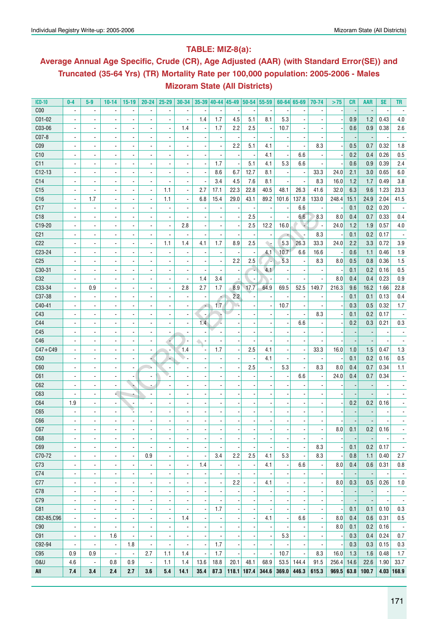### **Table: MIZ-8(a):**

## **Average Annual Age Specific, Crude (CR), Age Adjusted (AAR) (with Standard Error(SE)) and Truncated (35-64 Yrs) (TR) Mortality Rate per 100,000 population: 2005-2006 - Males Mizoram State (All Districts)**

| <b>ICD-10</b>   | $0-4$                        | $5-9$                    | $10 - 14$                | $15-19$                  | $20 - 24$                | $25 - 29$                | 30-34                    |                          |                          | 35-39 40-44 45-49 50-54 55-59 |                          |                          |       | $60 - 64$ 65-69          | 70-74                    | >75   | CR                       | <b>AAR</b> | <b>SE</b> | TR                       |
|-----------------|------------------------------|--------------------------|--------------------------|--------------------------|--------------------------|--------------------------|--------------------------|--------------------------|--------------------------|-------------------------------|--------------------------|--------------------------|-------|--------------------------|--------------------------|-------|--------------------------|------------|-----------|--------------------------|
| C <sub>00</sub> | $\overline{\phantom{a}}$     | $\blacksquare$           | $\overline{\phantom{a}}$ | $\blacksquare$           | $\blacksquare$           | $\overline{\phantom{a}}$ | $\blacksquare$           | ٠                        |                          |                               |                          |                          |       |                          |                          |       |                          |            |           |                          |
| C01-02          | $\blacksquare$               | $\blacksquare$           | $\blacksquare$           | $\overline{\phantom{a}}$ | ä,                       | $\blacksquare$           | $\overline{\phantom{a}}$ | 1.4                      | 1.7                      | 4.5                           | 5.1                      | 8.1                      | 5.3   | $\overline{a}$           |                          |       | 0.9                      | 1.2        | 0.43      | 4.0                      |
| C03-06          | $\blacksquare$               | $\blacksquare$           | $\overline{\phantom{a}}$ | $\overline{\phantom{a}}$ | ä,                       |                          | 1.4                      | $\overline{a}$           | 1.7                      | 2.2                           | 2.5                      |                          | 10.7  | $\blacksquare$           |                          |       | 0.6                      | 0.9        | 0.38      | 2.6                      |
| C07-8           | $\blacksquare$               | $\blacksquare$           |                          | $\overline{\phantom{a}}$ |                          |                          |                          | $\overline{\phantom{a}}$ |                          |                               |                          |                          |       |                          |                          |       |                          |            |           |                          |
| C <sub>09</sub> | $\blacksquare$               | $\blacksquare$           |                          | $\overline{\phantom{a}}$ |                          |                          |                          | $\overline{\phantom{a}}$ |                          | 2.2                           | 5.1                      | 4.1                      |       |                          | 8.3                      |       | 0.5                      | 0.7        | 0.32      | 1.8                      |
| C10             |                              | $\blacksquare$           |                          | $\overline{\phantom{a}}$ |                          |                          |                          | $\overline{\phantom{a}}$ |                          |                               |                          | 4.1                      |       | 6.6                      |                          |       | 0.2                      | 0.4        | 0.26      | 0.5                      |
| C11             |                              | $\blacksquare$           |                          | $\overline{\phantom{a}}$ |                          |                          |                          | $\overline{a}$           | 1.7                      |                               | 5.1                      | 4.1                      | 5.3   | 6.6                      |                          |       | 0.6                      | 0.9        | 0.39      | 2.4                      |
| $C12-13$        |                              | $\overline{\phantom{a}}$ |                          | $\overline{\phantom{a}}$ |                          |                          |                          | $\overline{a}$           | 8.6                      | 6.7                           | 12.7                     | 8.1                      |       | $\overline{\phantom{a}}$ | 33.3                     | 24.0  | 2.1                      | 3.0        | 0.65      | 6.0                      |
| C <sub>14</sub> | $\blacksquare$               | $\blacksquare$           |                          | $\overline{\phantom{a}}$ |                          |                          |                          | $\overline{\phantom{a}}$ | 3.4                      | 4.5                           | 7.6                      | 8.1                      |       | $\blacksquare$           | 8.3                      | 16.0  | 1.2                      | 1.7        | 0.49      | 3.8                      |
| C15             |                              |                          |                          | $\overline{\phantom{a}}$ |                          | 1.1                      | $\overline{\phantom{a}}$ | 2.7                      | 17.1                     | 22.3                          | 22.8                     | 40.5                     | 48.1  | 26.3                     | 41.6                     | 32.0  | 6.3                      | 9.6        | 1.23      | 23.3                     |
| C16             | ä,                           | 1.7                      | $\overline{\phantom{a}}$ | $\blacksquare$           |                          | 1.1                      |                          | 6.8                      | 15.4                     | 29.0                          | 43.1                     | 89.2                     | 101.6 | 137.8                    | 133.0                    | 248.4 | 15.1                     | 24.9       | 2.04      | 41.5                     |
| C17             | ä,                           | $\overline{a}$           | $\overline{\phantom{a}}$ | $\overline{\phantom{a}}$ |                          |                          |                          | $\overline{\phantom{a}}$ |                          |                               |                          |                          |       | 6.6                      |                          |       | 0.1                      | 0.2        | 0.20      |                          |
| C18             | ä,                           | $\overline{a}$           |                          | $\overline{\phantom{a}}$ |                          |                          |                          | $\overline{\phantom{a}}$ |                          |                               | 2.5                      |                          |       | 6.6                      | 8.3                      | 8.0   | 0.4                      | 0.7        | 0.33      | 0.4                      |
| C19-20          | ä,                           | $\overline{a}$           |                          | $\overline{\phantom{a}}$ |                          |                          | 2.8                      | $\overline{a}$           |                          |                               | 2.5                      | 12.2                     | 16.0  | ų                        | $\overline{\phantom{a}}$ | 24.0  | 1.2                      | 1.9        | 0.57      | 4.0                      |
| C <sub>21</sub> | ä,                           | $\overline{a}$           |                          | $\overline{\phantom{a}}$ |                          |                          |                          | $\overline{a}$           |                          |                               |                          |                          |       | $\blacksquare$           | 8.3                      |       | 0.1                      | 0.2        | 0.17      |                          |
| C22             | $\overline{a}$               | $\overline{\phantom{a}}$ |                          | $\overline{\phantom{a}}$ | $\overline{\phantom{a}}$ | 1.1                      | 1.4                      | 4.1                      | 1.7                      | 8.9                           | 2.5                      | ۰.                       | 5.3   | 26.3                     | 33.3                     | 24.0  | 2.2                      | 3.3        | 0.72      | 3.9                      |
| C23-24          | $\overline{a}$               | $\overline{\phantom{a}}$ | $\overline{a}$           | $\overline{\phantom{a}}$ | $\blacksquare$           |                          |                          | $\overline{\phantom{a}}$ |                          |                               |                          | 4.1                      | 10.7  | 6.6                      | 16.6                     |       | 0.6                      | 1.1        | 0.46      | 1.9                      |
| C <sub>25</sub> | $\overline{\phantom{a}}$     | $\overline{\phantom{a}}$ | $\overline{\phantom{a}}$ | $\overline{\phantom{a}}$ | $\blacksquare$           |                          |                          | $\overline{\phantom{a}}$ |                          | 2.2                           | 2.5                      | 74                       | 5.3   | $\overline{\phantom{a}}$ | 8.3                      | 8.0   | 0.5                      | 0.8        | 0.36      | 1.5                      |
| C30-31          | $\overline{\phantom{a}}$     | $\overline{\phantom{a}}$ | $\overline{\phantom{a}}$ | $\overline{\phantom{a}}$ | $\overline{\phantom{a}}$ | $\overline{\phantom{a}}$ |                          | $\overline{\phantom{a}}$ |                          |                               | ٠.                       | 4.1                      |       | $\overline{\phantom{a}}$ |                          |       | 0.1                      | 0.2        | 0.16      | 0.5                      |
| C32             | $\blacksquare$               | $\overline{\phantom{a}}$ | $\overline{\phantom{a}}$ | $\overline{\phantom{a}}$ | $\overline{\phantom{a}}$ | $\overline{\phantom{a}}$ |                          | 1.4                      | 3.4                      |                               |                          |                          |       | $\overline{\phantom{a}}$ |                          | 8.0   | 0.4                      | 0.4        | 0.23      | 0.9                      |
| C33-34          | $\blacksquare$               | 0.9                      | $\overline{\phantom{a}}$ |                          |                          | $\overline{\phantom{a}}$ | 2.8                      | 2.7                      | 1.7                      | 8.9                           | 17.7                     | 64.9                     | 69.5  | 52.5                     | 149.7                    | 216.3 | 9.6                      | 16.2       | 1.66      | 22.8                     |
| C37-38          |                              |                          |                          | $\overline{\phantom{a}}$ | $\overline{\phantom{a}}$ |                          |                          |                          |                          | 2.2                           |                          |                          |       |                          |                          |       | 0.1                      |            | 0.13      | 0.4                      |
|                 | $\blacksquare$               | $\blacksquare$           | $\overline{\phantom{a}}$ | $\overline{\phantom{a}}$ | $\overline{\phantom{a}}$ | $\overline{\phantom{a}}$ |                          | $\overline{\phantom{a}}$ | ۰                        |                               |                          |                          |       | $\overline{\phantom{a}}$ |                          |       |                          | 0.1        |           |                          |
| C40-41          | $\blacksquare$               | $\blacksquare$           |                          | $\blacksquare$           | $\overline{\phantom{a}}$ |                          |                          | $\overline{\phantom{a}}$ | 1.7                      |                               |                          |                          | 10.7  | $\overline{\phantom{a}}$ |                          |       | 0.3                      | 0.5        | 0.32      | 1.7                      |
| C43             | $\blacksquare$               | $\overline{\phantom{a}}$ |                          | $\overline{\phantom{a}}$ | $\overline{\phantom{a}}$ |                          |                          | $\blacksquare$           |                          |                               |                          |                          |       | $\blacksquare$           | 8.3                      |       | 0.1                      | 0.2        | 0.17      |                          |
| C44             | $\blacksquare$               | $\blacksquare$           |                          | $\overline{\phantom{a}}$ | $\overline{\phantom{a}}$ |                          |                          | 1.4                      |                          |                               |                          |                          |       | 6.6                      |                          |       | 0.2                      | 0.3        | 0.21      | 0.3                      |
| C45             | $\blacksquare$               | $\blacksquare$           |                          | $\overline{\phantom{a}}$ | $\blacksquare$           |                          |                          |                          |                          |                               |                          |                          |       |                          |                          |       |                          |            |           |                          |
| C46             | $\blacksquare$               | $\blacksquare$           |                          | $\overline{\phantom{a}}$ | $\blacksquare$           |                          |                          | $\sim$                   |                          |                               |                          |                          |       |                          |                          |       |                          |            |           |                          |
| $C47 + C49$     | $\qquad \qquad \blacksquare$ | $\overline{\phantom{a}}$ |                          | $\overline{\phantom{a}}$ | $\blacksquare$           |                          | 1.4                      | 5                        | 1.7                      |                               | 2.5                      | 4.1                      |       | $\overline{\phantom{a}}$ | 33.3                     | 16.0  | 1.0                      | 1.5        | 0.47      | 1.3                      |
| C50             | $\blacksquare$               | $\overline{\phantom{a}}$ |                          | $\overline{\phantom{a}}$ | ÷                        |                          |                          | $\overline{\phantom{a}}$ |                          |                               |                          | 4.1                      |       | $\blacksquare$           |                          |       | 0.1                      | 0.2        | 0.16      | 0.5                      |
| C60             | ٠                            | ٠                        |                          | $\overline{\phantom{a}}$ | Jù                       |                          |                          | $\overline{\phantom{a}}$ |                          |                               | 2.5                      |                          | 5.3   | $\overline{\phantom{a}}$ | 8.3                      | 8.0   | 0.4                      | 0.7        | 0.34      | 1.1                      |
| C61             | $\overline{\phantom{a}}$     | ٠                        |                          | $\overline{\phantom{a}}$ | $\overline{\phantom{a}}$ |                          |                          | $\overline{a}$           |                          |                               |                          |                          |       | 6.6                      |                          | 24.0  | 0.4                      | 0.7        | 0.34      |                          |
| C62             | $\overline{\phantom{a}}$     | $\overline{\phantom{a}}$ |                          | ÷.                       |                          |                          |                          | $\overline{a}$           |                          |                               |                          |                          |       | $\overline{\phantom{a}}$ |                          |       |                          |            |           |                          |
| C63             |                              | $\overline{\phantom{a}}$ | 4                        |                          |                          |                          |                          | $\overline{a}$           |                          |                               |                          |                          |       | $\overline{\phantom{a}}$ |                          |       |                          |            |           |                          |
| C64             | 1.9                          | $\overline{\phantom{a}}$ | $\overline{\phantom{a}}$ | $\overline{\phantom{a}}$ |                          |                          |                          | $\overline{a}$           |                          |                               |                          |                          |       | $\overline{\phantom{a}}$ |                          |       | 0.2                      | 0.2        | 0.16      |                          |
| C65             |                              |                          |                          |                          |                          |                          |                          | $\overline{a}$           |                          |                               |                          |                          |       | $\blacksquare$           |                          |       |                          |            |           |                          |
| C66             |                              |                          |                          | $\overline{\phantom{a}}$ |                          |                          |                          |                          |                          |                               |                          |                          |       |                          |                          |       |                          |            |           |                          |
| C67             | ۰                            | ٠                        | ٠                        | ۰                        | ٠                        | ٠                        | ٠                        | $\overline{\phantom{a}}$ | $\overline{\phantom{a}}$ |                               | ٠                        | $\overline{\phantom{a}}$ |       | $\overline{\phantom{a}}$ |                          | 8.0   | 0.1                      | 0.2        | 0.16      |                          |
| C68             | $\overline{\phantom{a}}$     | $\overline{\phantom{a}}$ | $\blacksquare$           | $\overline{\phantom{a}}$ | $\overline{\phantom{a}}$ | $\overline{\phantom{a}}$ | $\blacksquare$           | $\overline{\phantom{a}}$ | $\blacksquare$           |                               |                          | $\overline{\phantom{a}}$ |       | $\blacksquare$           |                          |       |                          |            |           | $\overline{\phantom{a}}$ |
| C69             | $\overline{\phantom{a}}$     | $\overline{\phantom{a}}$ | $\overline{\phantom{a}}$ | $\overline{\phantom{a}}$ | $\overline{\phantom{a}}$ | $\overline{\phantom{a}}$ | $\blacksquare$           | $\blacksquare$           |                          |                               |                          |                          |       | $\blacksquare$           | 8.3                      |       | 0.1                      | 0.2        | 0.17      | $\overline{\phantom{a}}$ |
| C70-72          | $\overline{\phantom{a}}$     | $\overline{\phantom{a}}$ | $\overline{\phantom{a}}$ | $\overline{\phantom{a}}$ | 0.9                      | $\overline{\phantom{a}}$ | $\blacksquare$           | $\overline{\phantom{a}}$ | 3.4                      | 2.2                           | 2.5                      | 4.1                      | 5.3   | $\overline{\phantom{a}}$ | 8.3                      |       | 0.8                      | 1.1        | 0.40      | 2.7                      |
| C73             | $\blacksquare$               | $\overline{\phantom{a}}$ | $\overline{\phantom{a}}$ | $\overline{\phantom{a}}$ | $\overline{\phantom{a}}$ | $\overline{\phantom{a}}$ | $\blacksquare$           | 1.4                      |                          |                               | $\overline{\phantom{a}}$ | 4.1                      |       | 6.6                      |                          | 8.0   | 0.4                      | 0.6        | 0.31      | 0.8                      |
| C74             | $\overline{\phantom{a}}$     | $\overline{\phantom{a}}$ | $\blacksquare$           | $\overline{\phantom{a}}$ | $\overline{\phantom{a}}$ | $\overline{\phantom{a}}$ | $\blacksquare$           |                          |                          |                               | $\blacksquare$           |                          |       | $\overline{\phantom{a}}$ | $\blacksquare$           |       |                          |            |           | $\overline{\phantom{a}}$ |
| C77             | $\overline{\phantom{a}}$     | $\overline{\phantom{a}}$ | $\blacksquare$           | $\blacksquare$           | $\overline{\phantom{a}}$ | $\blacksquare$           | $\blacksquare$           | $\overline{\phantom{a}}$ | $\overline{\phantom{a}}$ | 2.2                           | $\blacksquare$           | 4.1                      |       | $\blacksquare$           | $\blacksquare$           | 8.0   | 0.3                      | 0.5        | 0.26      | 1.0                      |
| C78             | $\blacksquare$               | $\blacksquare$           | $\blacksquare$           | $\blacksquare$           | $\blacksquare$           | $\blacksquare$           | $\blacksquare$           | $\overline{\phantom{a}}$ |                          |                               | $\overline{\phantom{a}}$ |                          |       | $\blacksquare$           | $\blacksquare$           |       | $\overline{\phantom{a}}$ |            |           | $\overline{\phantom{a}}$ |
| C79             | $\blacksquare$               | $\blacksquare$           | $\blacksquare$           | $\blacksquare$           | $\blacksquare$           | $\blacksquare$           | $\blacksquare$           | $\blacksquare$           |                          |                               |                          |                          |       | $\blacksquare$           | $\blacksquare$           |       |                          |            |           | $\overline{\phantom{a}}$ |
| C81             | $\blacksquare$               | $\blacksquare$           | $\blacksquare$           | $\blacksquare$           | $\blacksquare$           | $\blacksquare$           |                          | $\blacksquare$           | 1.7                      |                               |                          |                          |       |                          | $\overline{\phantom{a}}$ |       | 0.1                      | 0.1        | 0.10      | 0.3                      |
| C82-85,C96      | $\blacksquare$               | $\overline{\phantom{a}}$ | $\blacksquare$           | $\blacksquare$           | $\blacksquare$           | $\blacksquare$           | 1.4                      | $\blacksquare$           |                          |                               |                          | 4.1                      |       | 6.6                      | $\overline{\phantom{a}}$ | 8.0   | 0.4                      | 0.6        | 0.31      | $0.5\,$                  |
| C90             | $\overline{\phantom{a}}$     | $\overline{\phantom{a}}$ |                          | $\blacksquare$           | $\blacksquare$           | $\blacksquare$           |                          | $\blacksquare$           |                          |                               |                          |                          |       | $\blacksquare$           | $\overline{\phantom{a}}$ | 8.0   | 0.1                      | 0.2        | 0.16      | $\overline{\phantom{a}}$ |
| C91             | $\overline{a}$               | $\overline{\phantom{a}}$ | 1.6                      | $\blacksquare$           | $\blacksquare$           | $\blacksquare$           | $\overline{\phantom{a}}$ | $\overline{\phantom{a}}$ |                          |                               |                          | $\overline{\phantom{a}}$ | 5.3   | $\overline{a}$           | $\overline{\phantom{a}}$ |       | 0.3                      | 0.4        | 0.24      | 0.7                      |
| C92-94          | $\blacksquare$               | $\overline{a}$           | $\overline{\phantom{a}}$ | 1.8                      | $\blacksquare$           | $\blacksquare$           | $\overline{\phantom{a}}$ | $\overline{\phantom{a}}$ | 1.7                      |                               |                          |                          |       | ÷.                       | $\overline{\phantom{a}}$ |       | 0.3                      | 0.3        | 0.15      | 0.3                      |
| C95             | 0.9                          | 0.9                      | $\overline{a}$           | $\Box$                   | 2.7                      | 1.1                      | 1.4                      | $\overline{\phantom{a}}$ | 1.7                      |                               |                          | ÷,                       | 10.7  | $\blacksquare$           | 8.3                      | 16.0  | 1.3                      | 1.6        | 0.48      | 1.7                      |
| <b>0&amp;U</b>  | 4.6                          | $\overline{\phantom{a}}$ | 0.8                      | 0.9                      | $\blacksquare$           | 1.1                      | 1.4                      | 13.6                     | 18.8                     | 20.1                          | 48.1                     | 68.9                     | 53.5  | 144.4                    | 91.5                     | 256.4 | 14.6                     | 22.6       | 1.90      | 33.7                     |
| All             | 7.4                          | 3.4                      | 2.4                      | 2.7                      | 3.6                      | 5.4                      | 14.1                     | 35.4                     | 87.3                     |                               | $118.1$ 187.4            | 344.6                    | 369.0 | 446.3                    | 615.3                    | 969.5 | 63.8                     | 100.7      |           | $4.03$ 168.9             |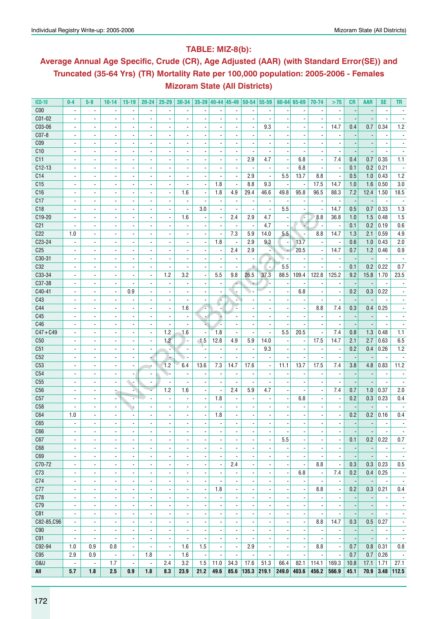### **Table: MIZ-8(b):**

## **Average Annual Age Specific, Crude (CR), Age Adjusted (AAR) (with Standard Error(SE)) and Truncated (35-64 Yrs) (TR) Mortality Rate per 100,000 population: 2005-2006 - Females Mizoram State (All Districts)**

| <b>ICD-10</b>   | $0-4$                    | $5-9$                    | $10 - 14$                | $15-19$                  | $20 - 24$                | $25 - 29$                    |                          |                          |                          |                          |                          | $30-34$   35-39   40-44   45-49   50-54   55-59 |                          | $60 - 64$ 65-69          | 70-74                    | $>75$                    | <b>CR</b>                | <b>AAR</b>               | <b>SE</b>                | TR                       |
|-----------------|--------------------------|--------------------------|--------------------------|--------------------------|--------------------------|------------------------------|--------------------------|--------------------------|--------------------------|--------------------------|--------------------------|-------------------------------------------------|--------------------------|--------------------------|--------------------------|--------------------------|--------------------------|--------------------------|--------------------------|--------------------------|
| C <sub>00</sub> |                          | $\overline{\phantom{a}}$ |                          | $\overline{\phantom{a}}$ |                          |                              |                          |                          |                          |                          |                          |                                                 |                          |                          |                          |                          |                          |                          |                          |                          |
| C01-02          | $\blacksquare$           | $\blacksquare$           | $\frac{1}{2}$            | $\overline{\phantom{a}}$ | $\blacksquare$           | $\blacksquare$               |                          |                          |                          |                          |                          | $\overline{a}$                                  |                          |                          |                          |                          |                          |                          |                          |                          |
| C03-06          | $\overline{\phantom{a}}$ | $\overline{\phantom{a}}$ | $\overline{\phantom{a}}$ | $\blacksquare$           | $\overline{\phantom{a}}$ | $\qquad \qquad \blacksquare$ |                          | $\overline{\phantom{a}}$ | $\overline{\phantom{a}}$ | $\blacksquare$           | $\blacksquare$           | 9.3                                             |                          | $\overline{\phantom{a}}$ | $\overline{\phantom{a}}$ | 14.7                     | 0.4                      | 0.7                      | 0.34                     | 1.2                      |
| C07-8           | $\blacksquare$           | $\overline{\phantom{a}}$ | $\overline{\phantom{a}}$ | $\blacksquare$           | $\blacksquare$           | $\qquad \qquad \blacksquare$ |                          | $\overline{\phantom{a}}$ |                          |                          |                          |                                                 |                          |                          |                          |                          |                          |                          |                          |                          |
| C <sub>09</sub> |                          | $\overline{\phantom{a}}$ | $\overline{a}$           | $\overline{\phantom{a}}$ | $\overline{\phantom{a}}$ | -                            |                          | ٠                        |                          |                          |                          |                                                 |                          |                          |                          |                          |                          |                          |                          |                          |
| C10             | $\overline{\phantom{a}}$ | $\blacksquare$           | $\frac{1}{2}$            | $\blacksquare$           |                          |                              |                          |                          |                          |                          |                          |                                                 |                          |                          |                          |                          |                          |                          |                          |                          |
| C11             | $\blacksquare$           | $\overline{\phantom{a}}$ | $\overline{\phantom{a}}$ | $\blacksquare$           | $\blacksquare$           | $\overline{\phantom{a}}$     | $\blacksquare$           | $\overline{\phantom{a}}$ | $\overline{\phantom{a}}$ | $\blacksquare$           | 2.9                      | 4.7                                             |                          | 6.8                      | $\blacksquare$           | 7.4                      | 0.4                      | 0.7                      | 0.35                     | 1.1                      |
| $C12-13$        |                          | $\overline{\phantom{a}}$ | $\overline{a}$           |                          | $\blacksquare$           |                              |                          |                          |                          |                          |                          | $\overline{\phantom{a}}$                        |                          | 6.8                      |                          |                          | 0.1                      | 0.2                      | 0.21                     |                          |
| C14             |                          |                          |                          | $\overline{\phantom{a}}$ |                          |                              |                          |                          |                          |                          | 2.9                      |                                                 | 5.5                      | 13.7                     |                          |                          |                          |                          |                          | 1.2                      |
|                 | $\overline{\phantom{a}}$ | $\overline{\phantom{a}}$ | $\overline{\phantom{a}}$ | $\overline{\phantom{a}}$ | $\overline{\phantom{a}}$ | ٠                            |                          | $\overline{\phantom{a}}$ |                          | ÷,                       |                          | $\blacksquare$                                  |                          |                          | 8.8                      |                          | 0.5                      | 1.0                      | 0.43                     |                          |
| C15             | $\blacksquare$           | $\overline{\phantom{a}}$ |                          | $\overline{\phantom{a}}$ | $\blacksquare$           | $\overline{\phantom{a}}$     | $\blacksquare$           | $\blacksquare$           | 1.8                      | $\overline{\phantom{a}}$ | 8.8                      | 9.3                                             |                          | $\overline{\phantom{a}}$ | 17.5                     | 14.7                     | 1.0                      | 1.6                      | 0.50                     | 3.0                      |
| C16             | $\blacksquare$           | $\blacksquare$           | $\blacksquare$           | $\blacksquare$           | $\blacksquare$           | $\blacksquare$               | 1.6                      | $\overline{\phantom{a}}$ | 1.8                      | 4.9                      | 29.4                     | 46.6                                            | 49.8                     | 95.8                     | 96.5                     | 88.3                     | 7.2                      | 12.4                     | 1.50                     | 18.5                     |
| C17             | $\overline{\phantom{a}}$ |                          |                          | $\overline{\phantom{a}}$ | $\overline{\phantom{a}}$ | ۰                            | $\overline{\phantom{a}}$ | ٠                        |                          | $\overline{\phantom{a}}$ |                          |                                                 |                          |                          |                          | $\overline{\phantom{a}}$ |                          |                          |                          |                          |
| C18             |                          | $\overline{a}$           | ÷,                       | $\overline{a}$           | $\overline{a}$           |                              | $\blacksquare$           | 3.0                      |                          |                          | $\blacksquare$           | ÷,                                              | 5.5                      |                          |                          | 14.7                     | 0.5                      | 0.7                      | 0.33                     | 1.3                      |
| C19-20          | $\blacksquare$           | $\overline{\phantom{a}}$ | $\frac{1}{2}$            | $\blacksquare$           | $\blacksquare$           | $\blacksquare$               | 1.6                      | $\overline{\phantom{a}}$ | $\overline{\phantom{a}}$ | 2.4                      | 2.9                      | 4.7                                             |                          | T.                       | 8.8                      | 36.8                     | 1.0                      | 1.5                      | 0.48                     | 1.5                      |
| C <sub>21</sub> | $\blacksquare$           | $\blacksquare$           | $\blacksquare$           | $\overline{\phantom{a}}$ | $\blacksquare$           |                              |                          | $\overline{\phantom{a}}$ |                          |                          |                          | 4.7                                             |                          |                          |                          | $\overline{\phantom{a}}$ | 0.1                      | 0.2                      | 0.19                     | 0.6                      |
| C22             | 1.0                      | $\blacksquare$           | $\frac{1}{2}$            | $\overline{\phantom{a}}$ | $\blacksquare$           |                              |                          | $\overline{\phantom{a}}$ |                          | 7.3                      | 5.9                      | 14.0                                            | 5.5                      |                          | 8.8                      | 14.7                     | 1.3                      | 2.1                      | 0.59                     | 4.9                      |
| C23-24          | $\blacksquare$           | $\overline{\phantom{a}}$ | $\overline{a}$           | $\overline{\phantom{a}}$ | $\overline{\phantom{a}}$ |                              |                          | $\overline{\phantom{a}}$ | 1.8                      |                          | 2.9                      | 9.3                                             | $\overline{\phantom{a}}$ | 13.7                     |                          | $\overline{\phantom{a}}$ | 0.6                      | 1.0                      | 0.43                     | 2.0                      |
| C <sub>25</sub> | $\blacksquare$           | $\blacksquare$           | $\overline{\phantom{a}}$ | $\blacksquare$           | $\blacksquare$           | $\overline{\phantom{a}}$     |                          | $\overline{\phantom{a}}$ | $\overline{\phantom{a}}$ | 2.4                      | 2.9                      | ÷                                               |                          | 20.5                     | $\blacksquare$           | 14.7                     | 0.7                      | 1.2                      | 0.46                     | 0.9                      |
| $C30-31$        | $\overline{\phantom{a}}$ | $\overline{\phantom{a}}$ | $\overline{\phantom{a}}$ | $\blacksquare$           | $\blacksquare$           | $\overline{\phantom{a}}$     |                          | $\overline{\phantom{a}}$ |                          |                          |                          | ж                                               |                          | $\overline{\phantom{a}}$ | $\blacksquare$           | $\overline{\phantom{a}}$ |                          |                          | $\overline{\phantom{a}}$ |                          |
| C32             | $\overline{\phantom{a}}$ | $\overline{\phantom{a}}$ | $\overline{a}$           | $\overline{\phantom{a}}$ | $\overline{\phantom{a}}$ | ۰                            |                          | -                        |                          |                          | ٠                        | $\overline{\phantom{a}}$                        | 5.5                      |                          |                          | $\overline{\phantom{a}}$ | 0.1                      | 0.2                      | 0.22                     | 0.7                      |
| C33-34          | $\overline{\phantom{a}}$ | $\blacksquare$           | $\frac{1}{2}$            | $\blacksquare$           | $\blacksquare$           | 1.2                          | 3.2                      | $\overline{\phantom{a}}$ | 5.5                      | 9.8                      | 26.5                     | 37.3                                            | 88.5                     | 109.4                    | 122.8                    | 125.2                    | 9.2                      | 15.8                     | 1.70                     | 23.5                     |
| C37-38          | $\blacksquare$           | $\blacksquare$           | $\blacksquare$           | $\blacksquare$           | $\blacksquare$           | $\overline{\phantom{a}}$     | $\blacksquare$           | $\overline{\phantom{a}}$ | $\overline{\phantom{a}}$ | ÷                        |                          | ۰.                                              |                          | $\blacksquare$           |                          | $\blacksquare$           | $\overline{\phantom{a}}$ |                          |                          |                          |
| C40-41          |                          | $\overline{\phantom{a}}$ | $\overline{\phantom{a}}$ | 0.9                      | $\blacksquare$           | ۰                            |                          |                          |                          |                          |                          |                                                 |                          | 6.8                      |                          | $\overline{\phantom{a}}$ | 0.2                      | 0.3                      | 0.22                     |                          |
| C43             |                          | $\blacksquare$           | $\blacksquare$           | $\overline{\phantom{a}}$ | $\blacksquare$           | ÷,                           |                          |                          |                          |                          |                          |                                                 |                          | $\overline{\phantom{a}}$ |                          |                          |                          |                          |                          |                          |
| C44             | $\blacksquare$           | $\blacksquare$           | $\frac{1}{2}$            | $\blacksquare$           | $\blacksquare$           | $\blacksquare$               | 1.6                      | l,                       |                          | ÷,                       |                          |                                                 |                          | $\overline{a}$           | 8.8                      | 7.4                      | 0.3                      | 0.4                      | 0.25                     |                          |
| C45             | $\blacksquare$           | $\blacksquare$           | $\overline{\phantom{a}}$ | $\overline{\phantom{a}}$ | $\blacksquare$           | $\overline{\phantom{a}}$     | $\overline{\phantom{a}}$ | ÷                        | ÷                        | $\blacksquare$           | $\overline{\phantom{a}}$ | $\blacksquare$                                  |                          | $\overline{\phantom{a}}$ | $\blacksquare$           | $\overline{\phantom{a}}$ | $\overline{\phantom{a}}$ | $\overline{\phantom{a}}$ | $\overline{\phantom{a}}$ |                          |
| C46             | $\overline{\phantom{a}}$ | $\overline{\phantom{a}}$ |                          | $\overline{\phantom{a}}$ | $\overline{\phantom{a}}$ | $\overline{\phantom{a}}$     | $\overline{\phantom{a}}$ | u                        |                          | $\overline{\phantom{a}}$ |                          | $\overline{a}$                                  |                          | $\blacksquare$           | $\blacksquare$           | $\overline{\phantom{a}}$ |                          |                          |                          |                          |
| $C47 + C49$     |                          |                          | $\blacksquare$           | $\overline{a}$           | $\overline{\phantom{a}}$ | 1.2                          | 1.6                      | $\blacksquare$           | 1.8                      | $\overline{a}$           |                          | ÷,                                              | 5.5                      | 20.5                     | $\overline{\phantom{a}}$ | 7.4                      | 0.8                      | 1.3                      | 0.48                     | 1.1                      |
|                 |                          |                          |                          |                          |                          | 1.2                          |                          | $-1.5$                   |                          | 4.9                      | 5.9                      | 14.0                                            |                          |                          | 17.5                     | 14.7                     | 2.1                      |                          | 0.63                     |                          |
| C50             | $\blacksquare$           | $\overline{\phantom{a}}$ | $\frac{1}{2}$            | $\blacksquare$           | $\blacksquare$           |                              | $\blacksquare$           |                          | 12.8                     |                          |                          |                                                 |                          | $\blacksquare$           |                          |                          |                          | 2.7                      |                          | 6.5                      |
| C51             | $\blacksquare$           | $\blacksquare$           | $\overline{\phantom{a}}$ | $\blacksquare$           | $\overline{\phantom{a}}$ | $\overline{\phantom{a}}$     |                          | ٠.                       |                          | $\blacksquare$           | $\blacksquare$           | 9.3                                             |                          | $\overline{\phantom{a}}$ |                          | $\overline{\phantom{a}}$ | 0.2                      | 0.4                      | 0.26                     | 1.2                      |
| C52             |                          | $\overline{\phantom{a}}$ | $\overline{a}$           | $\overline{\phantom{a}}$ |                          | ٠                            |                          |                          |                          |                          |                          |                                                 |                          |                          |                          |                          |                          |                          |                          |                          |
| C53             |                          | $\blacksquare$           |                          | $\overline{\phantom{a}}$ |                          | 1.2                          | 6.4                      | 13.6                     | 7.3                      | 14.7                     | 17.6                     | $\blacksquare$                                  | 11.1                     | 13.7                     | 17.5                     | 7.4                      | 3.8                      | 4.8                      | 0.83                     | 11.2                     |
| C54             | $\blacksquare$           | $\overline{\phantom{a}}$ | ٠                        | $\overline{\phantom{a}}$ | $\blacksquare$           |                              | $\blacksquare$           | $\overline{\phantom{a}}$ | $\overline{\phantom{a}}$ |                          | $\blacksquare$           | $\overline{\phantom{a}}$                        |                          | $\overline{\phantom{a}}$ |                          | $\overline{\phantom{a}}$ |                          |                          | $\blacksquare$           | $\overline{\phantom{a}}$ |
| C55             | $\blacksquare$           | $\blacksquare$           | $\blacksquare$           | <b>.</b>                 | $\overline{\phantom{a}}$ | $\blacksquare$               | ä,                       | $\overline{\phantom{a}}$ | $\overline{a}$           | ä,                       | $\overline{\phantom{a}}$ | $\overline{a}$                                  |                          | $\blacksquare$           |                          | $\overline{\phantom{a}}$ |                          |                          | $\overline{\phantom{a}}$ | $\overline{\phantom{a}}$ |
| C <sub>56</sub> | $\overline{\phantom{a}}$ | $\overline{\phantom{m}}$ | ÷,                       | ¥.                       | ÷                        | 1.2                          | 1.6                      | -                        |                          | 2.4                      | 5.9                      | 4.7                                             |                          |                          | $\overline{\phantom{a}}$ | 7.4                      | 0.7                      | 1.0                      | 0.37                     | 2.0                      |
| C57             | $\blacksquare$           | $\blacksquare$           | $\blacksquare$           | ٠                        |                          |                              |                          | $\overline{\phantom{a}}$ | 1.8                      |                          |                          |                                                 |                          | 6.8                      |                          | ä,                       | 0.2                      | 0.3                      | 0.23                     | 0.4                      |
| C58             | $\blacksquare$           | $\blacksquare$           | $\overline{\phantom{a}}$ | ÷                        | $\blacksquare$           | $\blacksquare$               |                          | $\overline{\phantom{a}}$ |                          |                          |                          |                                                 |                          | $\blacksquare$           |                          | $\blacksquare$           |                          |                          |                          |                          |
| C64             | 1.0                      |                          | $\overline{a}$           | $\overline{\phantom{a}}$ | $\overline{\phantom{a}}$ |                              |                          | $\overline{\phantom{a}}$ | 1.8                      |                          |                          | ٠                                               |                          | $\blacksquare$           |                          |                          | 0.2                      | 0.2                      | 0.16                     | 0.4                      |
| C65             |                          |                          |                          |                          |                          |                              |                          |                          |                          |                          |                          |                                                 |                          | $\overline{\phantom{a}}$ |                          |                          |                          | ۰                        |                          |                          |
| C66             | $\overline{\phantom{a}}$ | $\overline{\phantom{a}}$ | $\overline{\phantom{a}}$ | $\overline{\phantom{a}}$ | $\overline{\phantom{a}}$ | $\overline{\phantom{a}}$     | $\overline{\phantom{a}}$ | $\overline{\phantom{a}}$ | $\overline{\phantom{a}}$ | $\blacksquare$           | $\overline{\phantom{a}}$ | $\overline{\phantom{a}}$                        |                          | $\overline{\phantom{a}}$ | $\overline{\phantom{a}}$ | $\overline{\phantom{a}}$ |                          | $\overline{\phantom{a}}$ | $\overline{\phantom{a}}$ | $\overline{\phantom{a}}$ |
| C67             | $\overline{\phantom{a}}$ | $\overline{\phantom{a}}$ | $\overline{\phantom{a}}$ | $\overline{\phantom{a}}$ | $\overline{\phantom{a}}$ | $\overline{\phantom{a}}$     | $\overline{\phantom{a}}$ | $\overline{\phantom{a}}$ | $\blacksquare$           | $\blacksquare$           | $\overline{\phantom{a}}$ | $\overline{\phantom{a}}$                        | 5.5                      | $\overline{\phantom{a}}$ | $\blacksquare$           | $\blacksquare$           | 0.1                      | 0.2                      | 0.22                     | 0.7                      |
| C68             | $\overline{\phantom{a}}$ | $\overline{\phantom{a}}$ | $\overline{\phantom{a}}$ | $\overline{\phantom{a}}$ | $\overline{\phantom{a}}$ | $\overline{\phantom{a}}$     | $\overline{\phantom{a}}$ | $\overline{\phantom{a}}$ | $\overline{\phantom{a}}$ | $\overline{\phantom{a}}$ | $\overline{\phantom{a}}$ | $\overline{\phantom{a}}$                        |                          | $\overline{\phantom{a}}$ | $\overline{\phantom{a}}$ | $\overline{\phantom{a}}$ | г.                       | $\overline{\phantom{a}}$ | $\overline{\phantom{a}}$ | $\overline{\phantom{a}}$ |
| C69             | $\blacksquare$           | $\overline{a}$           | $\overline{\phantom{a}}$ | $\overline{\phantom{a}}$ | $\overline{\phantom{a}}$ | $\overline{\phantom{a}}$     | ÷,                       | $\frac{1}{2}$            |                          | $\blacksquare$           | $\blacksquare$           | $\overline{\phantom{a}}$                        |                          | $\blacksquare$           | $\overline{\phantom{a}}$ | $\overline{\phantom{a}}$ |                          |                          | $\overline{\phantom{a}}$ | $\overline{\phantom{a}}$ |
| C70-72          | $\overline{\phantom{a}}$ | $\overline{\phantom{a}}$ | $\overline{\phantom{a}}$ | $\overline{\phantom{a}}$ | $\overline{\phantom{a}}$ | $\overline{\phantom{a}}$     | $\overline{\phantom{a}}$ | $\overline{\phantom{a}}$ | $\overline{\phantom{a}}$ | 2.4                      | $\overline{\phantom{a}}$ | $\overline{\phantom{a}}$                        |                          | $\overline{\phantom{a}}$ | 8.8                      | $\overline{\phantom{a}}$ | 0.3                      | 0.3                      | 0.23                     | 0.5                      |
| C73             | $\blacksquare$           | $\overline{\phantom{a}}$ | $\blacksquare$           | $\blacksquare$           | $\blacksquare$           | $\blacksquare$               | $\blacksquare$           | $\overline{\phantom{a}}$ | $\overline{\phantom{a}}$ | $\blacksquare$           | $\overline{\phantom{a}}$ | $\overline{\phantom{a}}$                        | $\overline{\phantom{a}}$ | 6.8                      | $\blacksquare$           | 7.4                      | 0.2                      | 0.4                      | 0.25                     | $\overline{\phantom{a}}$ |
| C74             | $\overline{\phantom{a}}$ | $\overline{\phantom{a}}$ | $\frac{1}{2}$            | $\overline{\phantom{a}}$ | $\overline{\phantom{a}}$ | $\overline{\phantom{a}}$     | $\overline{\phantom{a}}$ | $\overline{\phantom{a}}$ |                          | $\overline{\phantom{a}}$ | $\overline{\phantom{a}}$ | $\overline{\phantom{a}}$                        |                          | $\overline{\phantom{a}}$ |                          | $\overline{\phantom{a}}$ | $\overline{\phantom{a}}$ |                          |                          | $\overline{\phantom{a}}$ |
| C77             | $\blacksquare$           | $\overline{\phantom{a}}$ | $\overline{\phantom{a}}$ | $\overline{\phantom{a}}$ | $\blacksquare$           | ÷,                           | $\overline{\phantom{a}}$ | $\overline{\phantom{a}}$ | 1.8                      | $\overline{\phantom{a}}$ |                          | $\overline{a}$                                  |                          | $\blacksquare$           | 8.8                      | $\blacksquare$           | 0.2                      | 0.3                      | 0.21                     | 0.4                      |
| C78             | $\overline{\phantom{a}}$ | $\overline{\phantom{a}}$ | $\overline{\phantom{a}}$ | $\overline{\phantom{a}}$ | $\overline{\phantom{a}}$ | $\overline{\phantom{a}}$     | $\overline{\phantom{a}}$ | $\overline{\phantom{a}}$ | $\overline{\phantom{a}}$ | $\blacksquare$           | $\overline{\phantom{a}}$ | $\overline{\phantom{a}}$                        |                          | $\overline{\phantom{a}}$ | $\blacksquare$           | $\overline{\phantom{a}}$ | $\overline{\phantom{a}}$ | $\overline{\phantom{a}}$ | $\overline{\phantom{a}}$ | $\overline{\phantom{a}}$ |
| C79             | $\blacksquare$           | $\blacksquare$           | $\blacksquare$           | $\blacksquare$           | $\blacksquare$           | $\overline{\phantom{a}}$     | $\blacksquare$           | $\overline{\phantom{a}}$ | $\overline{\phantom{a}}$ | $\blacksquare$           | $\overline{\phantom{a}}$ | $\overline{\phantom{a}}$                        | $\overline{\phantom{a}}$ | $\overline{\phantom{a}}$ | $\blacksquare$           | $\overline{\phantom{a}}$ |                          | $\overline{\phantom{a}}$ | $\overline{\phantom{a}}$ | $\overline{\phantom{a}}$ |
|                 |                          |                          |                          |                          |                          |                              |                          |                          |                          |                          |                          |                                                 |                          |                          |                          |                          | $\overline{\phantom{a}}$ |                          |                          |                          |
| C81             | $\overline{\phantom{a}}$ | $\overline{\phantom{a}}$ | $\overline{\phantom{a}}$ | $\overline{\phantom{a}}$ | $\overline{\phantom{a}}$ | $\overline{\phantom{a}}$     | ٠                        | $\overline{\phantom{a}}$ | $\overline{\phantom{a}}$ | $\overline{\phantom{a}}$ | $\overline{\phantom{a}}$ | $\overline{\phantom{a}}$                        |                          | $\overline{\phantom{a}}$ | $\overline{\phantom{a}}$ | $\overline{\phantom{a}}$ | $\overline{a}$           |                          |                          | $\overline{\phantom{a}}$ |
| C82-85, C96     | $\overline{\phantom{a}}$ | $\overline{\phantom{a}}$ | $\overline{\phantom{a}}$ | $\overline{\phantom{a}}$ | $\blacksquare$           | $\overline{\phantom{a}}$     | $\blacksquare$           | $\overline{a}$           |                          |                          | $\blacksquare$           |                                                 |                          | $\overline{a}$           | 8.8                      | 14.7                     | 0.3                      | 0.5                      | 0.27                     | $\overline{\phantom{a}}$ |
| C90             | $\blacksquare$           | $\overline{\phantom{a}}$ | $\blacksquare$           | $\overline{\phantom{a}}$ | $\overline{\phantom{a}}$ | $\overline{\phantom{a}}$     | $\blacksquare$           | $\overline{\phantom{a}}$ | $\overline{\phantom{a}}$ | $\overline{\phantom{a}}$ | $\blacksquare$           | $\overline{\phantom{a}}$                        |                          | $\overline{\phantom{a}}$ | $\overline{\phantom{a}}$ | $\overline{\phantom{a}}$ | $\overline{\phantom{a}}$ | $\overline{\phantom{a}}$ | $\overline{\phantom{a}}$ | $\overline{\phantom{a}}$ |
| C91             | $\overline{\phantom{a}}$ | $\blacksquare$           | $\overline{\phantom{a}}$ | $\overline{\phantom{a}}$ | $\overline{\phantom{a}}$ | $\overline{\phantom{a}}$     |                          | $\overline{\phantom{a}}$ |                          |                          |                          | $\overline{\phantom{a}}$                        |                          | $\overline{\phantom{a}}$ |                          |                          | $\overline{\phantom{a}}$ |                          |                          | $\overline{\phantom{a}}$ |
| C92-94          | 1.0                      | 0.9                      | 0.8                      | $\overline{\phantom{a}}$ | $\overline{\phantom{a}}$ | $\blacksquare$               | 1.6                      | 1.5                      | $\overline{\phantom{a}}$ | $\overline{\phantom{a}}$ | 2.9                      | $\overline{\phantom{a}}$                        |                          | $\overline{\phantom{a}}$ | 8.8                      | $\overline{\phantom{a}}$ | 0.7                      | 0.8                      | 0.31                     | 0.8                      |
| C <sub>95</sub> | 2.9                      | 0.9                      | $\overline{\phantom{a}}$ | $\overline{\phantom{a}}$ | 1.8                      | $\overline{\phantom{a}}$     | 1.6                      | $\overline{\phantom{a}}$ |                          | $\overline{\phantom{a}}$ | $\overline{\phantom{a}}$ | $\blacksquare$                                  |                          | $\blacksquare$           | $\overline{\phantom{a}}$ | $\blacksquare$           | 0.7                      | 0.7                      | 0.26                     | $\sim$                   |
| <b>0&amp;U</b>  | $\overline{\phantom{a}}$ | $\blacksquare$           | 1.7                      | $\overline{\phantom{a}}$ | $\overline{\phantom{a}}$ | 2.4                          | 3.2                      | 1.5                      | 11.0                     | 34.3                     | 17.6                     | 51.3                                            | 66.4                     | 82.1                     | 114.1                    | 169.3                    | 10.8                     | 17.1                     | 1.71                     | 27.1                     |
| All             | 5.7                      | 1.8                      | 2.5                      | 0.9                      | 1.8                      | 8.3                          | 23.9                     | 21.2                     | 49.6                     | 85.6                     | $135.3$ 219.1            |                                                 | 249.0                    | 403.6                    | 456.2                    | 566.9                    | 45.1                     | 70.9                     |                          | $3.48$   112.5           |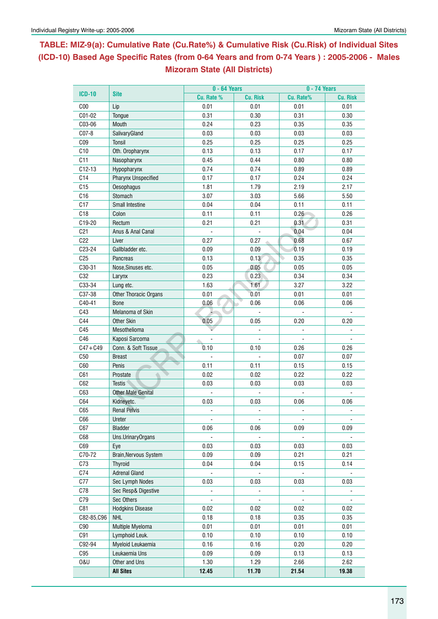## **Table: MIZ-9(a): Cumulative Rate (Cu.Rate%) & Cumulative Risk (Cu.Risk) of Individual Sites (ICD-10) Based Age Specific Rates (from 0-64 Years and from 0-74 Years ) : 2005-2006 - Males Mizoram State (All Districts)**

|                 |                           | $0 - 64$ Years |                 | 0 - 74 Years        |                          |  |  |  |
|-----------------|---------------------------|----------------|-----------------|---------------------|--------------------------|--|--|--|
| <b>ICD-10</b>   | <b>Site</b>               | Cu. Rate %     | <b>Cu. Risk</b> | Cu. Rate%           | <b>Cu. Risk</b>          |  |  |  |
| C <sub>00</sub> | Lip                       | 0.01           | 0.01            | 0.01                | 0.01                     |  |  |  |
| C01-02          | Tongue                    | 0.31           | 0.30            | 0.31                | 0.30                     |  |  |  |
| C03-06          | Mouth                     | 0.24           | 0.23            | 0.35                | 0.35                     |  |  |  |
| $CO7-8$         | SalivaryGland             | 0.03           | 0.03            | 0.03                | 0.03                     |  |  |  |
| CO9             | Tonsil                    | 0.25           | 0.25            | 0.25                | 0.25                     |  |  |  |
| C10             | Oth. Oropharynx           | 0.13           | 0.13            | 0.17                | 0.17                     |  |  |  |
| C11             | Nasopharynx               | 0.45           | 0.44            | 0.80                | 0.80                     |  |  |  |
| $C12-13$        | Hypopharynx               | 0.74           | 0.74            | 0.89                | 0.89                     |  |  |  |
| C14             | Pharynx Unspecified       | 0.17           | 0.17            | 0.24                | 0.24                     |  |  |  |
| C15             | Oesophagus                | 1.81           | 1.79            | 2.19                | 2.17                     |  |  |  |
| C16             | Stomach                   | 3.07           | 3.03            | 5.66                | 5.50                     |  |  |  |
| C17             | Small Intestine           | 0.04           | 0.04            | 0.11                | 0.11                     |  |  |  |
| C18             | Colon                     | 0.11           | 0.11            | 0.26                | 0.26                     |  |  |  |
| C19-20          | Rectum                    | 0.21           | 0.21            | 0.31                | 0.31                     |  |  |  |
| C <sub>21</sub> | Anus & Anal Canal         |                |                 | 0.04                | 0.04                     |  |  |  |
| C22             | Liver                     | 0.27           | 0.27            | 0.68                | 0.67                     |  |  |  |
| C23-24          | Gallbladder etc.          | 0.09           | 0.09            | 0.19                | 0.19                     |  |  |  |
| C <sub>25</sub> | Pancreas                  | 0.13           | 0.13            | 0.35                | 0.35                     |  |  |  |
| C30-31          | Nose, Sinuses etc.        | 0.05           | 0.05            | 0.05                | 0.05                     |  |  |  |
| C32             | Larynx                    | 0.23           | 0.23            | 0.34                | 0.34                     |  |  |  |
| C33-34          | Lung etc.                 | 1.63           | 1.61            | 3.27                | 3.22                     |  |  |  |
| C37-38          | Other Thoracic Organs     | 0.01           | 0.01            | 0.01                | 0.01                     |  |  |  |
| C40-41          | <b>Bone</b>               | 0.06           | 0.06            | 0.06                | 0.06                     |  |  |  |
| C43             | Melanoma of Skin          |                |                 |                     |                          |  |  |  |
| C44             | <b>Other Skin</b>         | 0.05           | 0.05            | 0.20                | 0.20                     |  |  |  |
| C45             | Mesothelioma              |                |                 |                     |                          |  |  |  |
| C46             | Kaposi Sarcoma            |                |                 |                     |                          |  |  |  |
| $C47 + C49$     | Conn. & Soft Tissue       | 0.10           | 0.10            | 0.26                | 0.26                     |  |  |  |
| C50             | <b>Breast</b>             |                |                 | 0.07                | 0.07                     |  |  |  |
| C60             | Penis                     | 0.11           | 0.11            | 0.15                | 0.15                     |  |  |  |
| C61             | Prostate                  | 0.02           | 0.02            | 0.22                | 0.22                     |  |  |  |
| C62             | <b>Testis</b>             | 0.03           | 0.03            | 0.03                | 0.03                     |  |  |  |
| C63             | <b>Other Male Genital</b> |                |                 |                     |                          |  |  |  |
| C64             | Kidneyetc.                | 0.03           | 0.03            | 0.06                | 0.06                     |  |  |  |
| C65             | <b>Renal Pelvis</b>       | ä,             | $\mathbf{r}$    | $\bar{\phantom{a}}$ |                          |  |  |  |
| C66             | Ureter                    |                |                 |                     |                          |  |  |  |
| C67             | <b>Bladder</b>            | 0.06           | 0.06            | 0.09                | 0.09                     |  |  |  |
| C68             | Uns.UrinaryOrgans         |                | $\blacksquare$  |                     |                          |  |  |  |
| C69             | Eye                       | 0.03           | 0.03            | 0.03                | 0.03                     |  |  |  |
| C70-72          | Brain, Nervous System     | 0.09           | 0.09            | 0.21                | 0.21                     |  |  |  |
| C73             | Thyroid                   | 0.04           | 0.04            | 0.15                | 0.14                     |  |  |  |
| C74             | <b>Adrenal Gland</b>      | $\Box$         |                 |                     |                          |  |  |  |
| C77             | Sec Lymph Nodes           | 0.03           | 0.03            | 0.03                | 0.03                     |  |  |  |
| C78             | Sec Resp& Digestive       |                |                 |                     |                          |  |  |  |
| C79             | Sec Others                | $\Box$         | $\mathbb{Z}^2$  | $\mathbf{u}$        | $\overline{\phantom{a}}$ |  |  |  |
| C81             | <b>Hodgkins Disease</b>   | 0.02           | 0.02            | 0.02                | 0.02                     |  |  |  |
| C82-85,C96      | <b>NHL</b>                | 0.18           | 0.18            | 0.35                | 0.35                     |  |  |  |
| C90             | Multiple Myeloma          | 0.01           | 0.01            | 0.01                | 0.01                     |  |  |  |
| C91             | Lymphoid Leuk.            | 0.10           | 0.10            | 0.10                | 0.10                     |  |  |  |
| C92-94          | Myeloid Leukaemia         | 0.16           | 0.16            | 0.20                | 0.20                     |  |  |  |
| C95             | Leukaemia Uns             | 0.09           | 0.09            | 0.13                | 0.13                     |  |  |  |
| <b>0&amp;U</b>  | Other and Uns             | 1.30           | 1.29            | 2.66                | 2.62                     |  |  |  |
|                 | <b>All Sites</b>          |                |                 |                     |                          |  |  |  |
|                 |                           | 12.45          | 11.70           | 21.54               | 19.38                    |  |  |  |